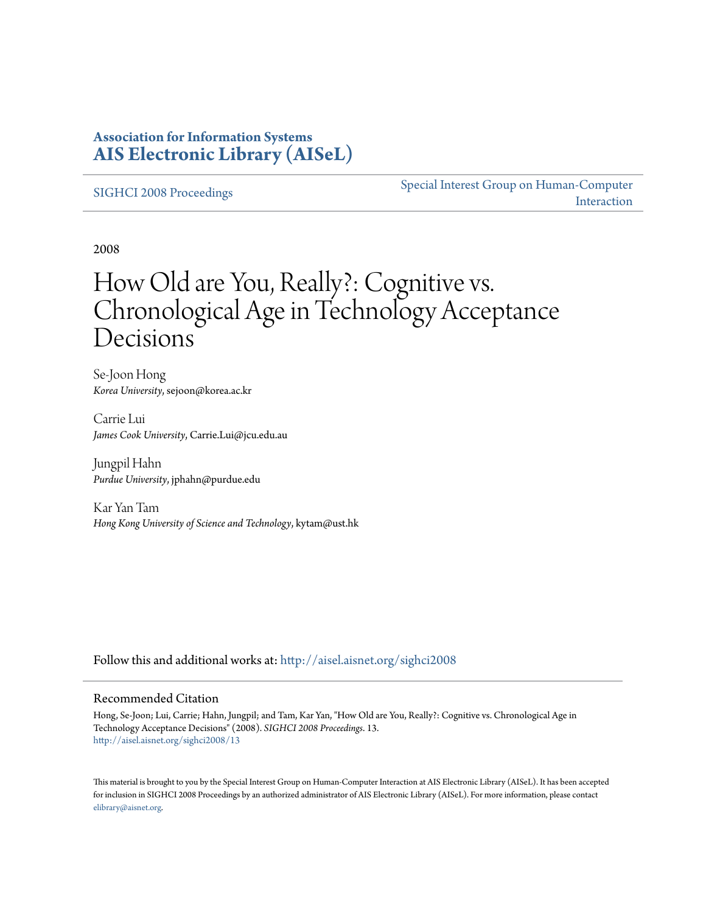## **Association for Information Systems [AIS Electronic Library \(AISeL\)](http://aisel.aisnet.org?utm_source=aisel.aisnet.org%2Fsighci2008%2F13&utm_medium=PDF&utm_campaign=PDFCoverPages)**

[SIGHCI 2008 Proceedings](http://aisel.aisnet.org/sighci2008?utm_source=aisel.aisnet.org%2Fsighci2008%2F13&utm_medium=PDF&utm_campaign=PDFCoverPages)

[Special Interest Group on Human-Computer](http://aisel.aisnet.org/sighci?utm_source=aisel.aisnet.org%2Fsighci2008%2F13&utm_medium=PDF&utm_campaign=PDFCoverPages) [Interaction](http://aisel.aisnet.org/sighci?utm_source=aisel.aisnet.org%2Fsighci2008%2F13&utm_medium=PDF&utm_campaign=PDFCoverPages)

2008

# How Old are You, Really?: Cognitive vs. Chronological Age in Technology Acceptance **Decisions**

Se-Joon Hong *Korea University*, sejoon@korea.ac.kr

Carrie Lui *James Cook University*, Carrie.Lui@jcu.edu.au

Jungpil Hahn *Purdue University*, jphahn@purdue.edu

Kar Yan Tam *Hong Kong University of Science and Technology*, kytam@ust.hk

Follow this and additional works at: [http://aisel.aisnet.org/sighci2008](http://aisel.aisnet.org/sighci2008?utm_source=aisel.aisnet.org%2Fsighci2008%2F13&utm_medium=PDF&utm_campaign=PDFCoverPages)

#### Recommended Citation

Hong, Se-Joon; Lui, Carrie; Hahn, Jungpil; and Tam, Kar Yan, "How Old are You, Really?: Cognitive vs. Chronological Age in Technology Acceptance Decisions" (2008). *SIGHCI 2008 Proceedings*. 13. [http://aisel.aisnet.org/sighci2008/13](http://aisel.aisnet.org/sighci2008/13?utm_source=aisel.aisnet.org%2Fsighci2008%2F13&utm_medium=PDF&utm_campaign=PDFCoverPages)

This material is brought to you by the Special Interest Group on Human-Computer Interaction at AIS Electronic Library (AISeL). It has been accepted for inclusion in SIGHCI 2008 Proceedings by an authorized administrator of AIS Electronic Library (AISeL). For more information, please contact [elibrary@aisnet.org.](mailto:elibrary@aisnet.org%3E)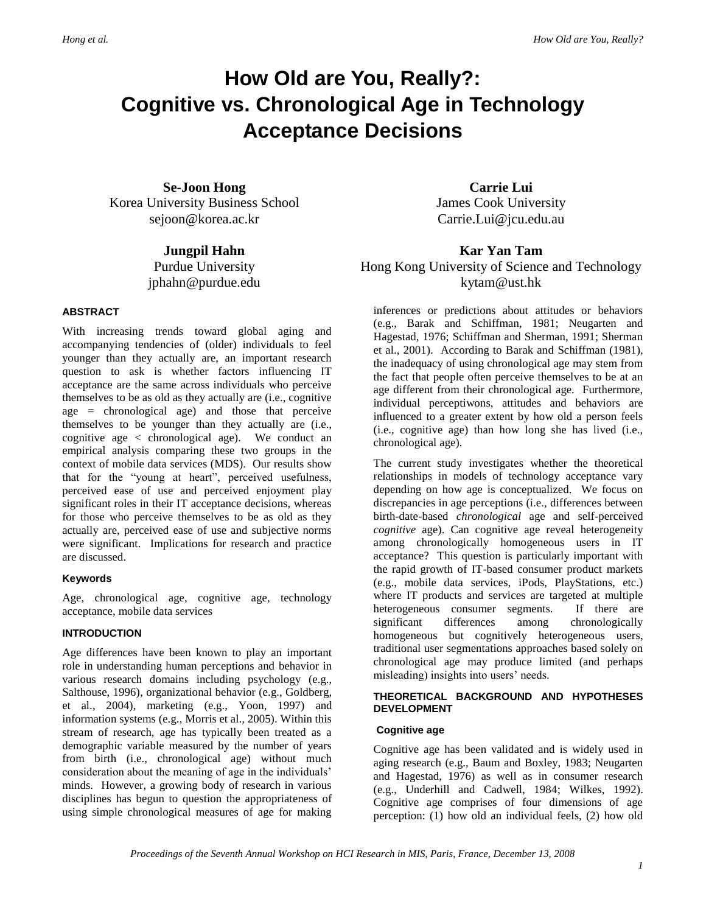# **How Old are You, Really?: Cognitive vs. Chronological Age in Technology Acceptance Decisions**

**Se-Joon Hong** Korea University Business School sejoon@korea.ac.kr

> **Jungpil Hahn** Purdue University jphahn@purdue.edu

#### **ABSTRACT**

With increasing trends toward global aging and accompanying tendencies of (older) individuals to feel younger than they actually are, an important research question to ask is whether factors influencing IT acceptance are the same across individuals who perceive themselves to be as old as they actually are (i.e., cognitive age = chronological age) and those that perceive themselves to be younger than they actually are (i.e., cognitive age  $\langle$  chronological age). We conduct an empirical analysis comparing these two groups in the context of mobile data services (MDS). Our results show that for the "young at heart", perceived usefulness, perceived ease of use and perceived enjoyment play significant roles in their IT acceptance decisions, whereas for those who perceive themselves to be as old as they actually are, perceived ease of use and subjective norms were significant. Implications for research and practice are discussed.

#### **Keywords**

Age, chronological age, cognitive age, technology acceptance, mobile data services

#### **INTRODUCTION**

Age differences have been known to play an important role in understanding human perceptions and behavior in various research domains including psychology (e.g., Salthouse, 1996), organizational behavior (e.g., Goldberg, et al., 2004), marketing (e.g., Yoon, 1997) and information systems (e.g., Morris et al., 2005). Within this stream of research, age has typically been treated as a demographic variable measured by the number of years from birth (i.e., chronological age) without much consideration about the meaning of age in the individuals' minds. However, a growing body of research in various disciplines has begun to question the appropriateness of using simple chronological measures of age for making

**Carrie Lui** James Cook University Carrie.Lui@jcu.edu.au

## **Kar Yan Tam** Hong Kong University of Science and Technology kytam@ust.hk

inferences or predictions about attitudes or behaviors (e.g., Barak and Schiffman, 1981; Neugarten and Hagestad, 1976; Schiffman and Sherman, 1991; Sherman et al., 2001). According to Barak and Schiffman (1981), the inadequacy of using chronological age may stem from the fact that people often perceive themselves to be at an age different from their chronological age. Furthermore, individual perceptiwons, attitudes and behaviors are influenced to a greater extent by how old a person feels (i.e., cognitive age) than how long she has lived (i.e., chronological age).

The current study investigates whether the theoretical relationships in models of technology acceptance vary depending on how age is conceptualized. We focus on discrepancies in age perceptions (i.e., differences between birth-date-based *chronological* age and self-perceived *cognitive* age). Can cognitive age reveal heterogeneity among chronologically homogeneous users in IT acceptance? This question is particularly important with the rapid growth of IT-based consumer product markets (e.g., mobile data services, iPods, PlayStations, etc.) where IT products and services are targeted at multiple heterogeneous consumer segments. If there are significant differences among chronologically homogeneous but cognitively heterogeneous users, traditional user segmentations approaches based solely on chronological age may produce limited (and perhaps misleading) insights into users' needs.

#### **THEORETICAL BACKGROUND AND HYPOTHESES DEVELOPMENT**

#### **Cognitive age**

Cognitive age has been validated and is widely used in aging research (e.g., Baum and Boxley, 1983; Neugarten and Hagestad, 1976) as well as in consumer research (e.g., Underhill and Cadwell, 1984; Wilkes, 1992). Cognitive age comprises of four dimensions of age perception: (1) how old an individual feels, (2) how old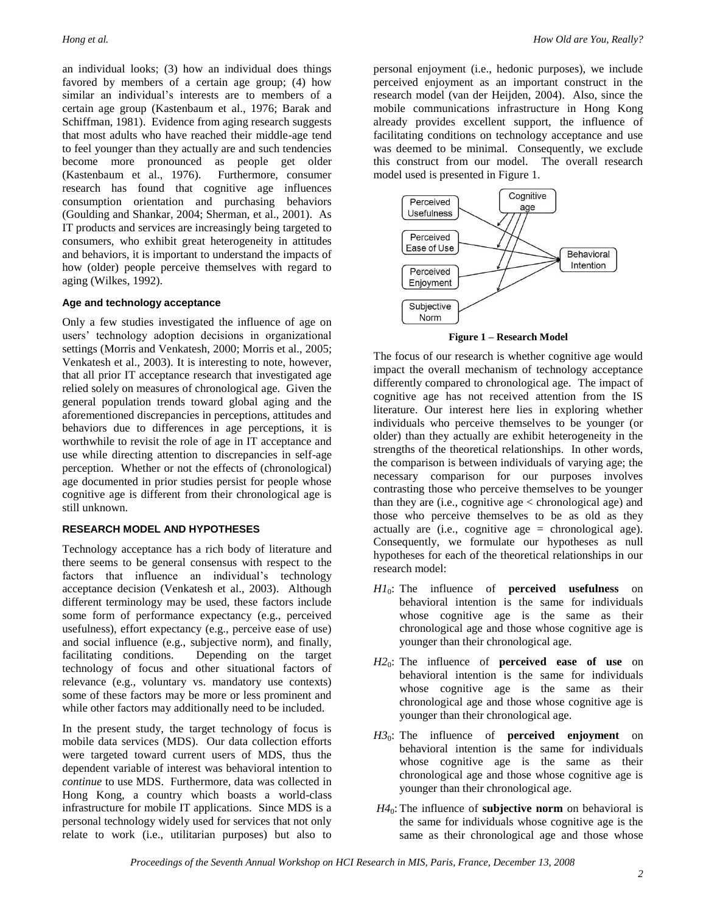an individual looks; (3) how an individual does things favored by members of a certain age group; (4) how similar an individual's interests are to members of a certain age group (Kastenbaum et al., 1976; Barak and Schiffman, 1981). Evidence from aging research suggests that most adults who have reached their middle-age tend to feel younger than they actually are and such tendencies become more pronounced as people get older (Kastenbaum et al., 1976). Furthermore, consumer research has found that cognitive age influences consumption orientation and purchasing behaviors (Goulding and Shankar, 2004; Sherman, et al., 2001). As IT products and services are increasingly being targeted to consumers, who exhibit great heterogeneity in attitudes and behaviors, it is important to understand the impacts of how (older) people perceive themselves with regard to aging (Wilkes, 1992).

#### **Age and technology acceptance**

Only a few studies investigated the influence of age on users' technology adoption decisions in organizational settings (Morris and Venkatesh, 2000; Morris et al., 2005; Venkatesh et al., 2003). It is interesting to note, however, that all prior IT acceptance research that investigated age relied solely on measures of chronological age. Given the general population trends toward global aging and the aforementioned discrepancies in perceptions, attitudes and behaviors due to differences in age perceptions, it is worthwhile to revisit the role of age in IT acceptance and use while directing attention to discrepancies in self-age perception. Whether or not the effects of (chronological) age documented in prior studies persist for people whose cognitive age is different from their chronological age is still unknown.

#### **RESEARCH MODEL AND HYPOTHESES**

Technology acceptance has a rich body of literature and there seems to be general consensus with respect to the factors that influence an individual's technology acceptance decision (Venkatesh et al., 2003). Although different terminology may be used, these factors include some form of performance expectancy (e.g., perceived usefulness), effort expectancy (e.g., perceive ease of use) and social influence (e.g., subjective norm), and finally, facilitating conditions. Depending on the target technology of focus and other situational factors of relevance (e.g., voluntary vs. mandatory use contexts) some of these factors may be more or less prominent and while other factors may additionally need to be included.

In the present study, the target technology of focus is mobile data services (MDS). Our data collection efforts were targeted toward current users of MDS, thus the dependent variable of interest was behavioral intention to *continue* to use MDS. Furthermore, data was collected in Hong Kong, a country which boasts a world-class infrastructure for mobile IT applications. Since MDS is a personal technology widely used for services that not only relate to work (i.e., utilitarian purposes) but also to

personal enjoyment (i.e., hedonic purposes), we include perceived enjoyment as an important construct in the research model (van der Heijden, 2004). Also, since the mobile communications infrastructure in Hong Kong already provides excellent support, the influence of facilitating conditions on technology acceptance and use was deemed to be minimal. Consequently, we exclude this construct from our model. The overall research model used is presented in Figure 1.



**Figure 1 – Research Model**

The focus of our research is whether cognitive age would impact the overall mechanism of technology acceptance differently compared to chronological age. The impact of cognitive age has not received attention from the IS literature. Our interest here lies in exploring whether individuals who perceive themselves to be younger (or older) than they actually are exhibit heterogeneity in the strengths of the theoretical relationships. In other words, the comparison is between individuals of varying age; the necessary comparison for our purposes involves contrasting those who perceive themselves to be younger than they are (i.e., cognitive age  $\langle$  chronological age) and those who perceive themselves to be as old as they actually are (i.e., cognitive age = chronological age). Consequently, we formulate our hypotheses as null hypotheses for each of the theoretical relationships in our research model:

- *H1*0: The influence of **perceived usefulness** on behavioral intention is the same for individuals whose cognitive age is the same as their chronological age and those whose cognitive age is younger than their chronological age.
- *H2*0: The influence of **perceived ease of use** on behavioral intention is the same for individuals whose cognitive age is the same as their chronological age and those whose cognitive age is younger than their chronological age.
- *H3*0: The influence of **perceived enjoyment** on behavioral intention is the same for individuals whose cognitive age is the same as their chronological age and those whose cognitive age is younger than their chronological age.
- *H4*0: The influence of **subjective norm** on behavioral is the same for individuals whose cognitive age is the same as their chronological age and those whose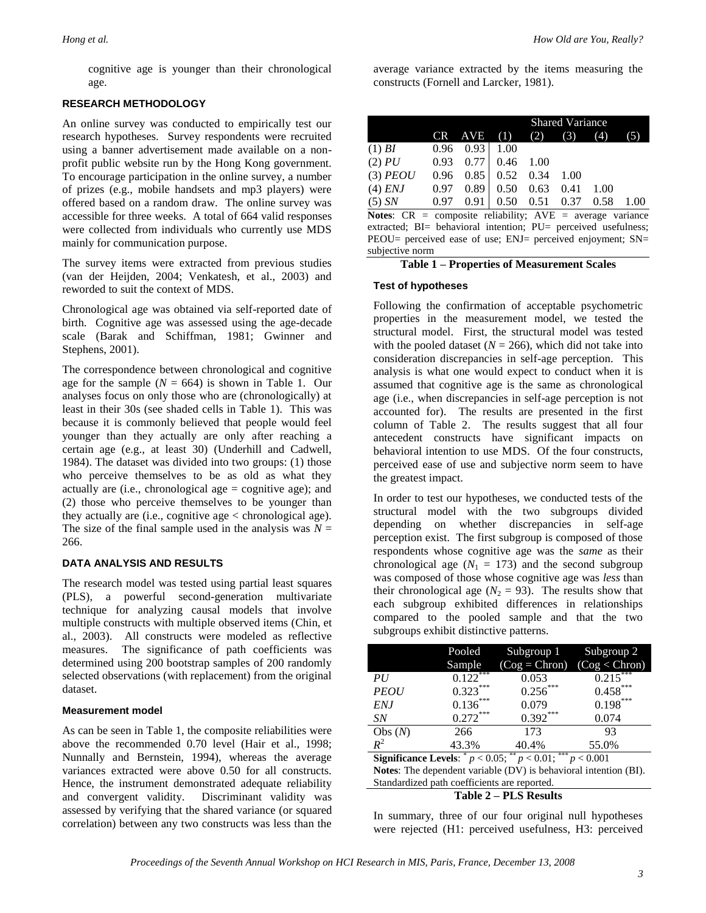cognitive age is younger than their chronological age.

#### **RESEARCH METHODOLOGY**

An online survey was conducted to empirically test our research hypotheses. Survey respondents were recruited using a banner advertisement made available on a nonprofit public website run by the Hong Kong government. To encourage participation in the online survey, a number of prizes (e.g., mobile handsets and mp3 players) were offered based on a random draw. The online survey was accessible for three weeks. A total of 664 valid responses were collected from individuals who currently use MDS mainly for communication purpose.

The survey items were extracted from previous studies (van der Heijden, 2004; Venkatesh, et al., 2003) and reworded to suit the context of MDS.

Chronological age was obtained via self-reported date of birth. Cognitive age was assessed using the age-decade scale (Barak and Schiffman, 1981; Gwinner and Stephens, 2001).

The correspondence between chronological and cognitive age for the sample  $(N = 664)$  is shown in Table 1. Our analyses focus on only those who are (chronologically) at least in their 30s (see shaded cells in Table 1). This was because it is commonly believed that people would feel younger than they actually are only after reaching a certain age (e.g., at least 30) (Underhill and Cadwell, 1984). The dataset was divided into two groups: (1) those who perceive themselves to be as old as what they actually are (i.e., chronological age = cognitive age); and (2) those who perceive themselves to be younger than they actually are (i.e., cognitive age < chronological age). The size of the final sample used in the analysis was  $N =$ 266.

#### **DATA ANALYSIS AND RESULTS**

The research model was tested using partial least squares (PLS), a powerful second-generation multivariate technique for analyzing causal models that involve multiple constructs with multiple observed items (Chin, et al., 2003). All constructs were modeled as reflective measures. The significance of path coefficients was determined using 200 bootstrap samples of 200 randomly selected observations (with replacement) from the original dataset.

#### **Measurement model**

As can be seen in Table 1, the composite reliabilities were above the recommended 0.70 level (Hair et al., 1998; Nunnally and Bernstein, 1994), whereas the average variances extracted were above 0.50 for all constructs. Hence, the instrument demonstrated adequate reliability and convergent validity. Discriminant validity was assessed by verifying that the shared variance (or squared correlation) between any two constructs was less than the

average variance extracted by the items measuring the constructs (Fornell and Larcker, 1981).

|                 |      |        | <b>Shared Variance</b> |      |                   |      |      |  |
|-----------------|------|--------|------------------------|------|-------------------|------|------|--|
|                 |      | CR AVE | (1)                    | (2)  | (3)               | (4)  | (5)  |  |
| $(1)$ <i>BI</i> | 0.96 | 0.931  | 1.00                   |      |                   |      |      |  |
| $(2)$ $PU$      | 0.93 | 0.77   | 0.46                   | 1.00 |                   |      |      |  |
| $(3)$ PEOU      | 0.96 |        | $0.85$ 0.52 0.34       |      | 1.00              |      |      |  |
| $(4)$ ENJ       | 0.97 | 0.89   | 0.50                   | 0.63 | 0.41              | 1.00 |      |  |
| $(5)$ SN        | 0.97 | 0.91   | 0.50                   |      | $0.51 \quad 0.37$ | 0.58 | 1.00 |  |

**Notes**: CR = composite reliability; AVE = average variance extracted; BI= behavioral intention; PU= perceived usefulness; PEOU= perceived ease of use; ENJ= perceived enjoyment; SN= subjective norm

#### **Table 1 – Properties of Measurement Scales**

#### **Test of hypotheses**

Following the confirmation of acceptable psychometric properties in the measurement model, we tested the structural model. First, the structural model was tested with the pooled dataset ( $N = 266$ ), which did not take into consideration discrepancies in self-age perception. This analysis is what one would expect to conduct when it is assumed that cognitive age is the same as chronological age (i.e., when discrepancies in self-age perception is not accounted for). The results are presented in the first column of Table 2. The results suggest that all four antecedent constructs have significant impacts on behavioral intention to use MDS. Of the four constructs, perceived ease of use and subjective norm seem to have the greatest impact.

In order to test our hypotheses, we conducted tests of the structural model with the two subgroups divided depending on whether discrepancies in self-age perception exist. The first subgroup is composed of those respondents whose cognitive age was the *same* as their chronological age  $(N_1 = 173)$  and the second subgroup was composed of those whose cognitive age was *less* than their chronological age  $(N_2 = 93)$ . The results show that each subgroup exhibited differences in relationships compared to the pooled sample and that the two subgroups exhibit distinctive patterns.

|                                                                                    | Pooled                   | Subgroup 1      | Subgroup 2               |  |  |  |
|------------------------------------------------------------------------------------|--------------------------|-----------------|--------------------------|--|--|--|
|                                                                                    | Sample                   | $(Cog = Chron)$ | (Cog < Chron)            |  |  |  |
| PU                                                                                 | $0.12\overline{2}^{***}$ | 0.053           | $0.21\overline{5}^{***}$ |  |  |  |
| <b>PEOU</b>                                                                        | $0.323***$               | $0.256***$      | $0.458***$               |  |  |  |
| <b>ENJ</b>                                                                         | $0.136***$               | 0.079           | $0.198***$               |  |  |  |
| SN                                                                                 | $0.272***$               | $0.392***$      | 0.074                    |  |  |  |
| Obs $(N)$                                                                          | 266                      | 173             | 93                       |  |  |  |
| $R^2$                                                                              | 43.3%                    | 40.4%           | 55.0%                    |  |  |  |
| **<br>***<br><b>Significance Levels:</b> $p < 0.05$ ;<br>$p < 0.01$ ;<br>p < 0.001 |                          |                 |                          |  |  |  |

**Notes**: The dependent variable (DV) is behavioral intention (BI). Standardized path coefficients are reported.

**Table 2 – PLS Results**

In summary, three of our four original null hypotheses were rejected (H1: perceived usefulness, H3: perceived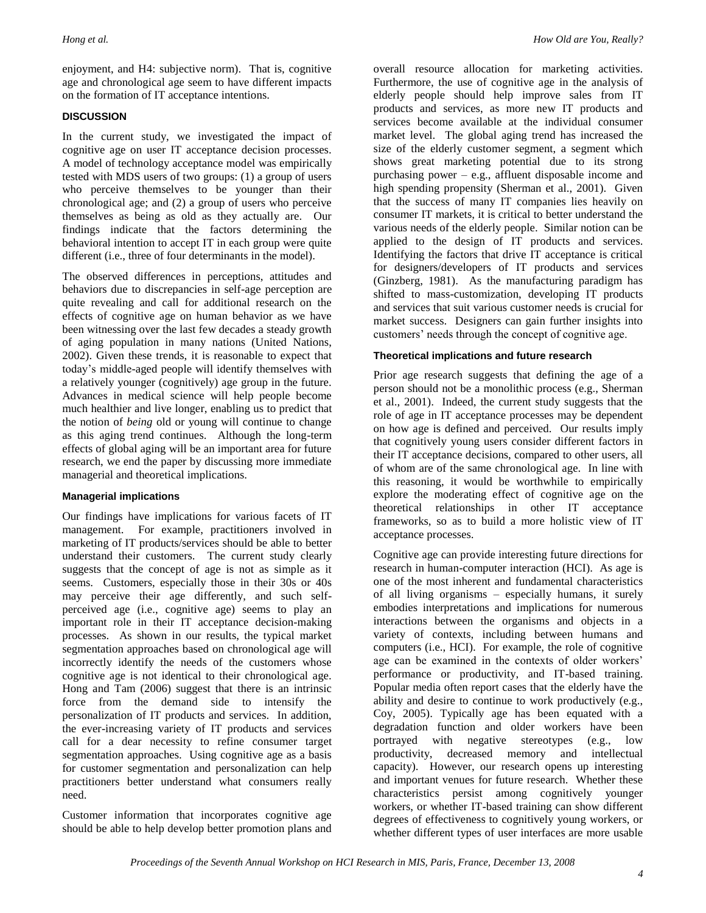enjoyment, and H4: subjective norm). That is, cognitive age and chronological age seem to have different impacts on the formation of IT acceptance intentions.

#### **DISCUSSION**

In the current study, we investigated the impact of cognitive age on user IT acceptance decision processes. A model of technology acceptance model was empirically tested with MDS users of two groups: (1) a group of users who perceive themselves to be younger than their chronological age; and (2) a group of users who perceive themselves as being as old as they actually are. Our findings indicate that the factors determining the behavioral intention to accept IT in each group were quite different (i.e., three of four determinants in the model).

The observed differences in perceptions, attitudes and behaviors due to discrepancies in self-age perception are quite revealing and call for additional research on the effects of cognitive age on human behavior as we have been witnessing over the last few decades a steady growth of aging population in many nations (United Nations, 2002). Given these trends, it is reasonable to expect that today's middle-aged people will identify themselves with a relatively younger (cognitively) age group in the future. Advances in medical science will help people become much healthier and live longer, enabling us to predict that the notion of *being* old or young will continue to change as this aging trend continues. Although the long-term effects of global aging will be an important area for future research, we end the paper by discussing more immediate managerial and theoretical implications.

#### **Managerial implications**

Our findings have implications for various facets of IT management. For example, practitioners involved in marketing of IT products/services should be able to better understand their customers. The current study clearly suggests that the concept of age is not as simple as it seems. Customers, especially those in their 30s or 40s may perceive their age differently, and such selfperceived age (i.e., cognitive age) seems to play an important role in their IT acceptance decision-making processes. As shown in our results, the typical market segmentation approaches based on chronological age will incorrectly identify the needs of the customers whose cognitive age is not identical to their chronological age. Hong and Tam (2006) suggest that there is an intrinsic force from the demand side to intensify the personalization of IT products and services. In addition, the ever-increasing variety of IT products and services call for a dear necessity to refine consumer target segmentation approaches. Using cognitive age as a basis for customer segmentation and personalization can help practitioners better understand what consumers really need.

Customer information that incorporates cognitive age should be able to help develop better promotion plans and overall resource allocation for marketing activities. Furthermore, the use of cognitive age in the analysis of elderly people should help improve sales from IT products and services, as more new IT products and services become available at the individual consumer market level. The global aging trend has increased the size of the elderly customer segment, a segment which shows great marketing potential due to its strong purchasing power – e.g., affluent disposable income and high spending propensity (Sherman et al., 2001). Given that the success of many IT companies lies heavily on consumer IT markets, it is critical to better understand the various needs of the elderly people. Similar notion can be applied to the design of IT products and services. Identifying the factors that drive IT acceptance is critical for designers/developers of IT products and services (Ginzberg, 1981). As the manufacturing paradigm has shifted to mass-customization, developing IT products and services that suit various customer needs is crucial for market success. Designers can gain further insights into customers' needs through the concept of cognitive age.

#### **Theoretical implications and future research**

Prior age research suggests that defining the age of a person should not be a monolithic process (e.g., Sherman et al., 2001). Indeed, the current study suggests that the role of age in IT acceptance processes may be dependent on how age is defined and perceived. Our results imply that cognitively young users consider different factors in their IT acceptance decisions, compared to other users, all of whom are of the same chronological age. In line with this reasoning, it would be worthwhile to empirically explore the moderating effect of cognitive age on the theoretical relationships in other IT acceptance frameworks, so as to build a more holistic view of IT acceptance processes.

Cognitive age can provide interesting future directions for research in human-computer interaction (HCI). As age is one of the most inherent and fundamental characteristics of all living organisms – especially humans, it surely embodies interpretations and implications for numerous interactions between the organisms and objects in a variety of contexts, including between humans and computers (i.e., HCI). For example, the role of cognitive age can be examined in the contexts of older workers' performance or productivity, and IT-based training. Popular media often report cases that the elderly have the ability and desire to continue to work productively (e.g., Coy, 2005). Typically age has been equated with a degradation function and older workers have been portrayed with negative stereotypes (e.g., low productivity, decreased memory and intellectual capacity). However, our research opens up interesting and important venues for future research. Whether these characteristics persist among cognitively younger workers, or whether IT-based training can show different degrees of effectiveness to cognitively young workers, or whether different types of user interfaces are more usable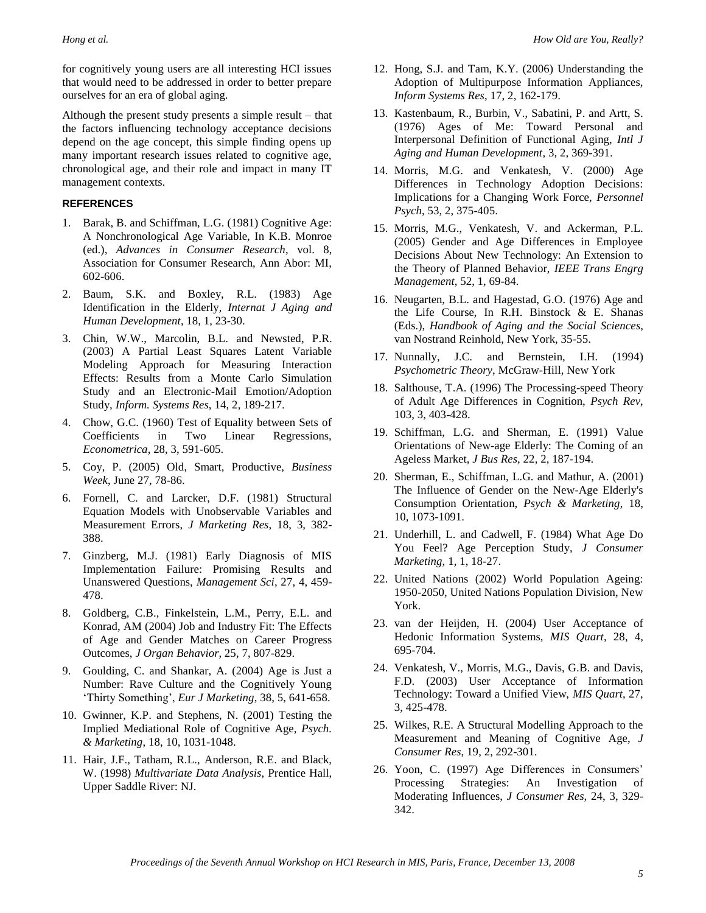for cognitively young users are all interesting HCI issues that would need to be addressed in order to better prepare ourselves for an era of global aging.

Although the present study presents a simple result – that the factors influencing technology acceptance decisions depend on the age concept, this simple finding opens up many important research issues related to cognitive age, chronological age, and their role and impact in many IT management contexts.

#### **REFERENCES**

- 1. Barak, B. and Schiffman, L.G. (1981) Cognitive Age: A Nonchronological Age Variable, In K.B. Monroe (ed.), *Advances in Consumer Research*, vol. 8, Association for Consumer Research, Ann Abor: MI, 602-606.
- 2. Baum, S.K. and Boxley, R.L. (1983) Age Identification in the Elderly, *Internat J Aging and Human Development*, 18, 1, 23-30.
- 3. Chin, W.W., Marcolin, B.L. and Newsted, P.R. (2003) A Partial Least Squares Latent Variable Modeling Approach for Measuring Interaction Effects: Results from a Monte Carlo Simulation Study and an Electronic-Mail Emotion/Adoption Study, *Inform. Systems Res*, 14, 2, 189-217.
- 4. Chow, G.C. (1960) Test of Equality between Sets of Coefficients in Two Linear Regressions, *Econometrica*, 28, 3, 591-605.
- 5. Coy, P. (2005) Old, Smart, Productive, *Business Week*, June 27, 78-86.
- 6. Fornell, C. and Larcker, D.F. (1981) Structural Equation Models with Unobservable Variables and Measurement Errors, *J Marketing Res*, 18, 3, 382- 388.
- 7. Ginzberg, M.J. (1981) Early Diagnosis of MIS Implementation Failure: Promising Results and Unanswered Questions, *Management Sci*, 27, 4, 459- 478.
- 8. Goldberg, C.B., Finkelstein, L.M., Perry, E.L. and Konrad, AM (2004) Job and Industry Fit: The Effects of Age and Gender Matches on Career Progress Outcomes, *J Organ Behavior*, 25, 7, 807-829.
- 9. Goulding, C. and Shankar, A. (2004) Age is Just a Number: Rave Culture and the Cognitively Young ‗Thirty Something', *Eur J Marketing*, 38, 5, 641-658.
- 10. Gwinner, K.P. and Stephens, N. (2001) Testing the Implied Mediational Role of Cognitive Age, *Psych. & Marketing*, 18, 10, 1031-1048.
- 11. Hair, J.F., Tatham, R.L., Anderson, R.E. and Black, W. (1998) *Multivariate Data Analysis*, Prentice Hall, Upper Saddle River: NJ.
- 12. Hong, S.J. and Tam, K.Y. (2006) Understanding the Adoption of Multipurpose Information Appliances, *Inform Systems Res*, 17, 2, 162-179.
- 13. Kastenbaum, R., Burbin, V., Sabatini, P. and Artt, S. (1976) Ages of Me: Toward Personal and Interpersonal Definition of Functional Aging, *Intl J Aging and Human Development*, 3, 2, 369-391.
- 14. Morris, M.G. and Venkatesh, V. (2000) Age Differences in Technology Adoption Decisions: Implications for a Changing Work Force, *Personnel Psych*, 53, 2, 375-405.
- 15. Morris, M.G., Venkatesh, V. and Ackerman, P.L. (2005) Gender and Age Differences in Employee Decisions About New Technology: An Extension to the Theory of Planned Behavior, *IEEE Trans Engrg Management*, 52, 1, 69-84.
- 16. Neugarten, B.L. and Hagestad, G.O. (1976) Age and the Life Course, In R.H. Binstock & E. Shanas (Eds.), *Handbook of Aging and the Social Sciences*, van Nostrand Reinhold, New York, 35-55.
- 17. Nunnally, J.C. and Bernstein, I.H. (1994) *Psychometric Theory*, McGraw-Hill, New York
- 18. Salthouse, T.A. (1996) The Processing-speed Theory of Adult Age Differences in Cognition, *Psych Rev*, 103, 3, 403-428.
- 19. Schiffman, L.G. and Sherman, E. (1991) Value Orientations of New-age Elderly: The Coming of an Ageless Market, *J Bus Res*, 22, 2, 187-194.
- 20. Sherman, E., Schiffman, L.G. and Mathur, A. (2001) The Influence of Gender on the New-Age Elderly's Consumption Orientation, *Psych & Marketing*, 18, 10, 1073-1091.
- 21. Underhill, L. and Cadwell, F. (1984) What Age Do You Feel? Age Perception Study, *J Consumer Marketing*, 1, 1, 18-27.
- 22. United Nations (2002) World Population Ageing: 1950-2050, United Nations Population Division, New York.
- 23. van der Heijden, H. (2004) User Acceptance of Hedonic Information Systems, *MIS Quart*, 28, 4, 695-704.
- 24. Venkatesh, V., Morris, M.G., Davis, G.B. and Davis, F.D. (2003) User Acceptance of Information Technology: Toward a Unified View, *MIS Quart*, 27, 3, 425-478.
- 25. Wilkes, R.E. A Structural Modelling Approach to the Measurement and Meaning of Cognitive Age, *J Consumer Res*, 19, 2, 292-301.
- 26. Yoon, C. (1997) Age Differences in Consumers' Processing Strategies: An Investigation of Moderating Influences, *J Consumer Res*, 24, 3, 329- 342.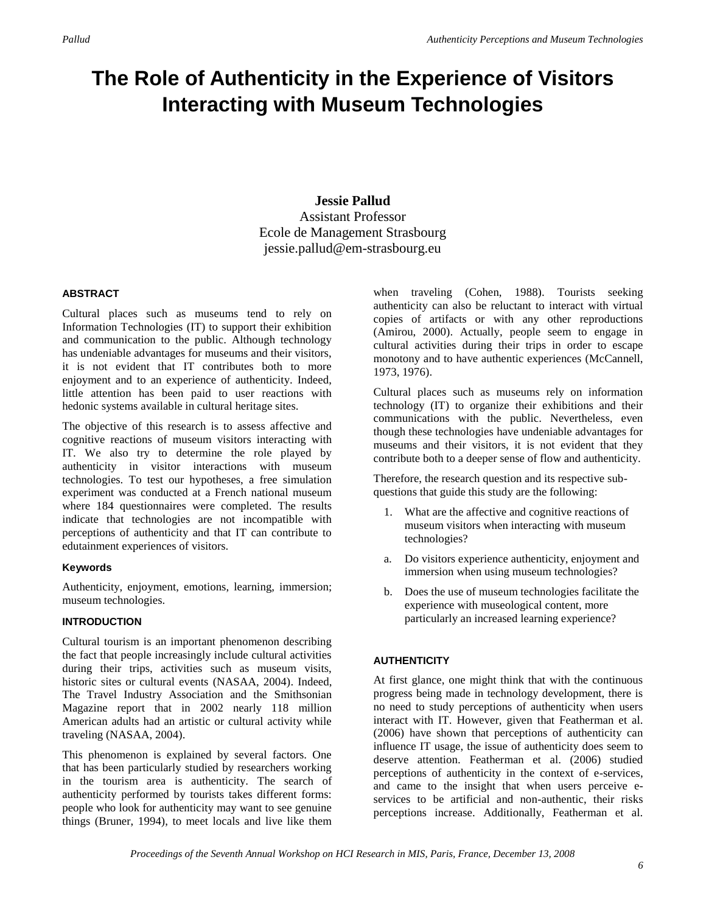# **The Role of Authenticity in the Experience of Visitors Interacting with Museum Technologies**

## **Jessie Pallud** Assistant Professor Ecole de Management Strasbourg jessie.pallud@em-strasbourg.eu

#### **ABSTRACT**

Cultural places such as museums tend to rely on Information Technologies (IT) to support their exhibition and communication to the public. Although technology has undeniable advantages for museums and their visitors, it is not evident that IT contributes both to more enjoyment and to an experience of authenticity. Indeed, little attention has been paid to user reactions with hedonic systems available in cultural heritage sites.

The objective of this research is to assess affective and cognitive reactions of museum visitors interacting with IT. We also try to determine the role played by authenticity in visitor interactions with museum technologies. To test our hypotheses, a free simulation experiment was conducted at a French national museum where 184 questionnaires were completed. The results indicate that technologies are not incompatible with perceptions of authenticity and that IT can contribute to edutainment experiences of visitors.

### **Keywords**

Authenticity, enjoyment, emotions, learning, immersion; museum technologies.

#### **INTRODUCTION**

Cultural tourism is an important phenomenon describing the fact that people increasingly include cultural activities during their trips, activities such as museum visits, historic sites or cultural events (NASAA, 2004). Indeed, The Travel Industry Association and the Smithsonian Magazine report that in 2002 nearly 118 million American adults had an artistic or cultural activity while traveling (NASAA, 2004).

This phenomenon is explained by several factors. One that has been particularly studied by researchers working in the tourism area is authenticity. The search of authenticity performed by tourists takes different forms: people who look for authenticity may want to see genuine things (Bruner, 1994), to meet locals and live like them when traveling (Cohen, 1988). Tourists seeking authenticity can also be reluctant to interact with virtual copies of artifacts or with any other reproductions (Amirou, 2000). Actually, people seem to engage in cultural activities during their trips in order to escape monotony and to have authentic experiences (McCannell, 1973, 1976).

Cultural places such as museums rely on information technology (IT) to organize their exhibitions and their communications with the public. Nevertheless, even though these technologies have undeniable advantages for museums and their visitors, it is not evident that they contribute both to a deeper sense of flow and authenticity.

Therefore, the research question and its respective subquestions that guide this study are the following:

- 1. What are the affective and cognitive reactions of museum visitors when interacting with museum technologies?
- a. Do visitors experience authenticity, enjoyment and immersion when using museum technologies?
- b. Does the use of museum technologies facilitate the experience with museological content, more particularly an increased learning experience?

### **AUTHENTICITY**

At first glance, one might think that with the continuous progress being made in technology development, there is no need to study perceptions of authenticity when users interact with IT. However, given that Featherman et al. (2006) have shown that perceptions of authenticity can influence IT usage, the issue of authenticity does seem to deserve attention. Featherman et al. (2006) studied perceptions of authenticity in the context of e-services, and came to the insight that when users perceive eservices to be artificial and non-authentic, their risks perceptions increase. Additionally, Featherman et al.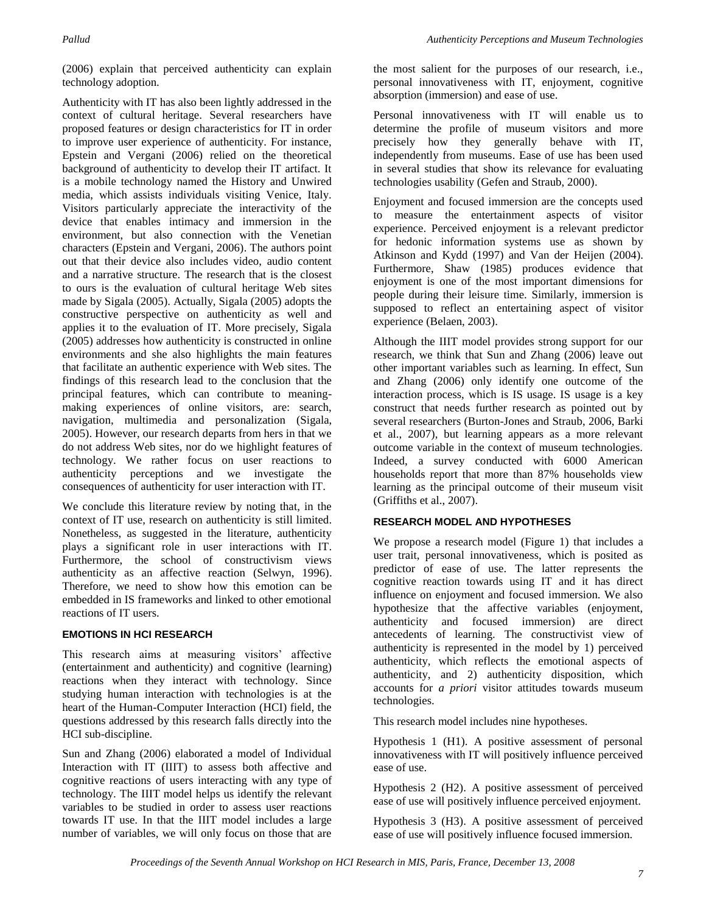(2006) explain that perceived authenticity can explain technology adoption.

Authenticity with IT has also been lightly addressed in the context of cultural heritage. Several researchers have proposed features or design characteristics for IT in order to improve user experience of authenticity. For instance, Epstein and Vergani (2006) relied on the theoretical background of authenticity to develop their IT artifact. It is a mobile technology named the History and Unwired media, which assists individuals visiting Venice, Italy. Visitors particularly appreciate the interactivity of the device that enables intimacy and immersion in the environment, but also connection with the Venetian characters (Epstein and Vergani, 2006). The authors point out that their device also includes video, audio content and a narrative structure. The research that is the closest to ours is the evaluation of cultural heritage Web sites made by Sigala (2005). Actually, Sigala (2005) adopts the constructive perspective on authenticity as well and applies it to the evaluation of IT. More precisely, Sigala (2005) addresses how authenticity is constructed in online environments and she also highlights the main features that facilitate an authentic experience with Web sites. The findings of this research lead to the conclusion that the principal features, which can contribute to meaningmaking experiences of online visitors, are: search, navigation, multimedia and personalization (Sigala, 2005). However, our research departs from hers in that we do not address Web sites, nor do we highlight features of technology. We rather focus on user reactions to authenticity perceptions and we investigate the consequences of authenticity for user interaction with IT.

We conclude this literature review by noting that, in the context of IT use, research on authenticity is still limited. Nonetheless, as suggested in the literature, authenticity plays a significant role in user interactions with IT. Furthermore, the school of constructivism views authenticity as an affective reaction (Selwyn, 1996). Therefore, we need to show how this emotion can be embedded in IS frameworks and linked to other emotional reactions of IT users.

#### **EMOTIONS IN HCI RESEARCH**

This research aims at measuring visitors' affective (entertainment and authenticity) and cognitive (learning) reactions when they interact with technology. Since studying human interaction with technologies is at the heart of the Human-Computer Interaction (HCI) field, the questions addressed by this research falls directly into the HCI sub-discipline.

Sun and Zhang (2006) elaborated a model of Individual Interaction with IT (IIIT) to assess both affective and cognitive reactions of users interacting with any type of technology. The IIIT model helps us identify the relevant variables to be studied in order to assess user reactions towards IT use. In that the IIIT model includes a large number of variables, we will only focus on those that are the most salient for the purposes of our research, i.e., personal innovativeness with IT, enjoyment, cognitive absorption (immersion) and ease of use.

Personal innovativeness with IT will enable us to determine the profile of museum visitors and more precisely how they generally behave with IT, independently from museums. Ease of use has been used in several studies that show its relevance for evaluating technologies usability (Gefen and Straub, 2000).

Enjoyment and focused immersion are the concepts used to measure the entertainment aspects of visitor experience. Perceived enjoyment is a relevant predictor for hedonic information systems use as shown by Atkinson and Kydd (1997) and Van der Heijen (2004). Furthermore, Shaw (1985) produces evidence that enjoyment is one of the most important dimensions for people during their leisure time. Similarly, immersion is supposed to reflect an entertaining aspect of visitor experience (Belaen, 2003).

Although the IIIT model provides strong support for our research, we think that Sun and Zhang (2006) leave out other important variables such as learning. In effect, Sun and Zhang (2006) only identify one outcome of the interaction process, which is IS usage. IS usage is a key construct that needs further research as pointed out by several researchers (Burton-Jones and Straub, 2006, Barki et al., 2007), but learning appears as a more relevant outcome variable in the context of museum technologies. Indeed, a survey conducted with 6000 American households report that more than 87% households view learning as the principal outcome of their museum visit (Griffiths et al., 2007).

### **RESEARCH MODEL AND HYPOTHESES**

We propose a research model (Figure 1) that includes a user trait, personal innovativeness, which is posited as predictor of ease of use. The latter represents the cognitive reaction towards using IT and it has direct influence on enjoyment and focused immersion. We also hypothesize that the affective variables (enjoyment, authenticity and focused immersion) are direct antecedents of learning. The constructivist view of authenticity is represented in the model by 1) perceived authenticity, which reflects the emotional aspects of authenticity, and 2) authenticity disposition, which accounts for *a priori* visitor attitudes towards museum technologies.

This research model includes nine hypotheses.

Hypothesis 1 (H1). A positive assessment of personal innovativeness with IT will positively influence perceived ease of use.

Hypothesis 2 (H2). A positive assessment of perceived ease of use will positively influence perceived enjoyment.

Hypothesis 3 (H3). A positive assessment of perceived ease of use will positively influence focused immersion.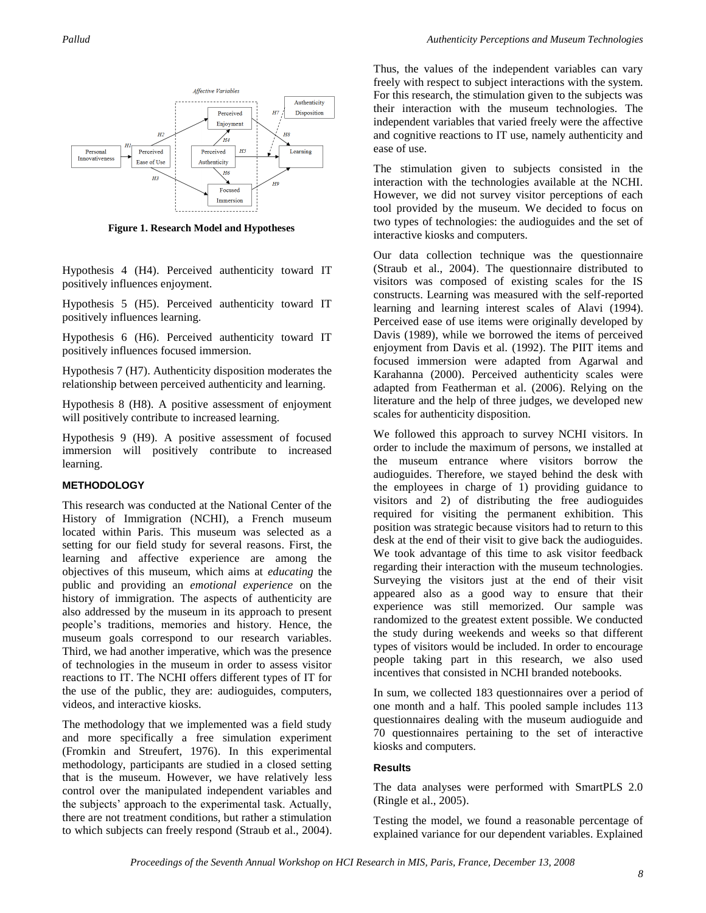

**Figure 1. Research Model and Hypotheses**

Hypothesis 4 (H4). Perceived authenticity toward IT positively influences enjoyment.

Hypothesis 5 (H5). Perceived authenticity toward IT positively influences learning.

Hypothesis 6 (H6). Perceived authenticity toward IT positively influences focused immersion.

Hypothesis 7 (H7). Authenticity disposition moderates the relationship between perceived authenticity and learning.

Hypothesis 8 (H8). A positive assessment of enjoyment will positively contribute to increased learning.

Hypothesis 9 (H9). A positive assessment of focused immersion will positively contribute to increased learning.

#### **METHODOLOGY**

This research was conducted at the National Center of the History of Immigration (NCHI), a French museum located within Paris. This museum was selected as a setting for our field study for several reasons. First, the learning and affective experience are among the objectives of this museum, which aims at *educating* the public and providing an *emotional experience* on the history of immigration. The aspects of authenticity are also addressed by the museum in its approach to present people's traditions, memories and history. Hence, the museum goals correspond to our research variables. Third, we had another imperative, which was the presence of technologies in the museum in order to assess visitor reactions to IT. The NCHI offers different types of IT for the use of the public, they are: audioguides, computers, videos, and interactive kiosks.

The methodology that we implemented was a field study and more specifically a free simulation experiment (Fromkin and Streufert, 1976). In this experimental methodology, participants are studied in a closed setting that is the museum. However, we have relatively less control over the manipulated independent variables and the subjects' approach to the experimental task. Actually, there are not treatment conditions, but rather a stimulation to which subjects can freely respond (Straub et al., 2004). Thus, the values of the independent variables can vary freely with respect to subject interactions with the system. For this research, the stimulation given to the subjects was their interaction with the museum technologies. The independent variables that varied freely were the affective and cognitive reactions to IT use, namely authenticity and ease of use.

The stimulation given to subjects consisted in the interaction with the technologies available at the NCHI. However, we did not survey visitor perceptions of each tool provided by the museum. We decided to focus on two types of technologies: the audioguides and the set of interactive kiosks and computers.

Our data collection technique was the questionnaire (Straub et al., 2004). The questionnaire distributed to visitors was composed of existing scales for the IS constructs. Learning was measured with the self-reported learning and learning interest scales of Alavi (1994). Perceived ease of use items were originally developed by Davis (1989), while we borrowed the items of perceived enjoyment from Davis et al. (1992). The PIIT items and focused immersion were adapted from Agarwal and Karahanna (2000). Perceived authenticity scales were adapted from Featherman et al. (2006). Relying on the literature and the help of three judges, we developed new scales for authenticity disposition.

We followed this approach to survey NCHI visitors. In order to include the maximum of persons, we installed at the museum entrance where visitors borrow the audioguides. Therefore, we stayed behind the desk with the employees in charge of 1) providing guidance to visitors and 2) of distributing the free audioguides required for visiting the permanent exhibition. This position was strategic because visitors had to return to this desk at the end of their visit to give back the audioguides. We took advantage of this time to ask visitor feedback regarding their interaction with the museum technologies. Surveying the visitors just at the end of their visit appeared also as a good way to ensure that their experience was still memorized. Our sample was randomized to the greatest extent possible. We conducted the study during weekends and weeks so that different types of visitors would be included. In order to encourage people taking part in this research, we also used incentives that consisted in NCHI branded notebooks.

In sum, we collected 183 questionnaires over a period of one month and a half. This pooled sample includes 113 questionnaires dealing with the museum audioguide and 70 questionnaires pertaining to the set of interactive kiosks and computers.

#### **Results**

The data analyses were performed with SmartPLS 2.0 (Ringle et al., 2005).

Testing the model, we found a reasonable percentage of explained variance for our dependent variables. Explained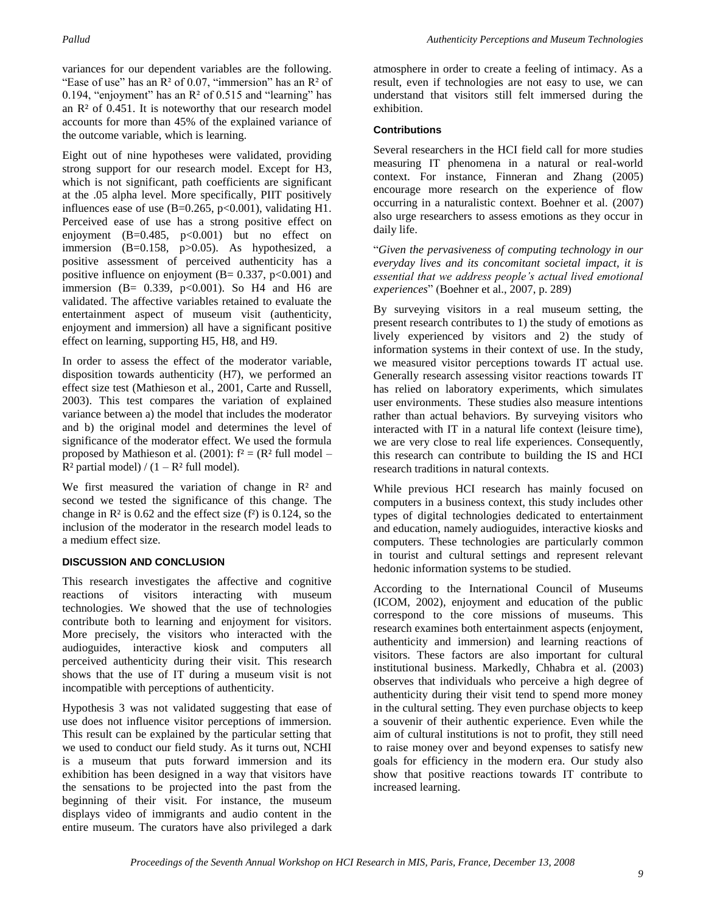variances for our dependent variables are the following. "Ease of use" has an  $R^2$  of 0.07, "immersion" has an  $R^2$  of 0.194, "enjoyment" has an  $R<sup>2</sup>$  of 0.515 and "learning" has an  $R<sup>2</sup>$  of 0.451. It is noteworthy that our research model accounts for more than 45% of the explained variance of the outcome variable, which is learning.

Eight out of nine hypotheses were validated, providing strong support for our research model. Except for H3, which is not significant, path coefficients are significant at the .05 alpha level. More specifically, PIIT positively influences ease of use  $(B=0.265, p<0.001)$ , validating H1. Perceived ease of use has a strong positive effect on enjoyment  $(B=0.485, p<0.001)$  but no effect on immersion  $(B=0.158, p>0.05)$ . As hypothesized, a positive assessment of perceived authenticity has a positive influence on enjoyment  $(B= 0.337, p<0.001)$  and immersion (B=  $0.339$ , p<0.001). So H4 and H6 are validated. The affective variables retained to evaluate the entertainment aspect of museum visit (authenticity, enjoyment and immersion) all have a significant positive effect on learning, supporting H5, H8, and H9.

In order to assess the effect of the moderator variable, disposition towards authenticity (H7), we performed an effect size test (Mathieson et al., 2001, Carte and Russell, 2003). This test compares the variation of explained variance between a) the model that includes the moderator and b) the original model and determines the level of significance of the moderator effect. We used the formula proposed by Mathieson et al. (2001):  $f^2 = (R^2 \text{ full model} R<sup>2</sup>$  partial model) / (1 –  $R<sup>2</sup>$  full model).

We first measured the variation of change in  $\mathbb{R}^2$  and second we tested the significance of this change. The change in  $\mathbb{R}^2$  is 0.62 and the effect size ( $f^2$ ) is 0.124, so the inclusion of the moderator in the research model leads to a medium effect size.

### **DISCUSSION AND CONCLUSION**

This research investigates the affective and cognitive reactions of visitors interacting with museum technologies. We showed that the use of technologies contribute both to learning and enjoyment for visitors. More precisely, the visitors who interacted with the audioguides, interactive kiosk and computers all perceived authenticity during their visit. This research shows that the use of IT during a museum visit is not incompatible with perceptions of authenticity.

Hypothesis 3 was not validated suggesting that ease of use does not influence visitor perceptions of immersion. This result can be explained by the particular setting that we used to conduct our field study. As it turns out, NCHI is a museum that puts forward immersion and its exhibition has been designed in a way that visitors have the sensations to be projected into the past from the beginning of their visit. For instance, the museum displays video of immigrants and audio content in the entire museum. The curators have also privileged a dark

atmosphere in order to create a feeling of intimacy. As a result, even if technologies are not easy to use, we can understand that visitors still felt immersed during the exhibition.

#### **Contributions**

Several researchers in the HCI field call for more studies measuring IT phenomena in a natural or real-world context. For instance, Finneran and Zhang (2005) encourage more research on the experience of flow occurring in a naturalistic context. Boehner et al. (2007) also urge researchers to assess emotions as they occur in daily life.

―*Given the pervasiveness of computing technology in our everyday lives and its concomitant societal impact, it is essential that we address people's actual lived emotional experiences*‖ (Boehner et al., 2007, p. 289)

By surveying visitors in a real museum setting, the present research contributes to 1) the study of emotions as lively experienced by visitors and 2) the study of information systems in their context of use. In the study, we measured visitor perceptions towards IT actual use. Generally research assessing visitor reactions towards IT has relied on laboratory experiments, which simulates user environments. These studies also measure intentions rather than actual behaviors. By surveying visitors who interacted with IT in a natural life context (leisure time), we are very close to real life experiences. Consequently, this research can contribute to building the IS and HCI research traditions in natural contexts.

While previous HCI research has mainly focused on computers in a business context, this study includes other types of digital technologies dedicated to entertainment and education, namely audioguides, interactive kiosks and computers. These technologies are particularly common in tourist and cultural settings and represent relevant hedonic information systems to be studied.

According to the International Council of Museums (ICOM, 2002), enjoyment and education of the public correspond to the core missions of museums. This research examines both entertainment aspects (enjoyment, authenticity and immersion) and learning reactions of visitors. These factors are also important for cultural institutional business. Markedly, Chhabra et al. (2003) observes that individuals who perceive a high degree of authenticity during their visit tend to spend more money in the cultural setting. They even purchase objects to keep a souvenir of their authentic experience. Even while the aim of cultural institutions is not to profit, they still need to raise money over and beyond expenses to satisfy new goals for efficiency in the modern era. Our study also show that positive reactions towards IT contribute to increased learning.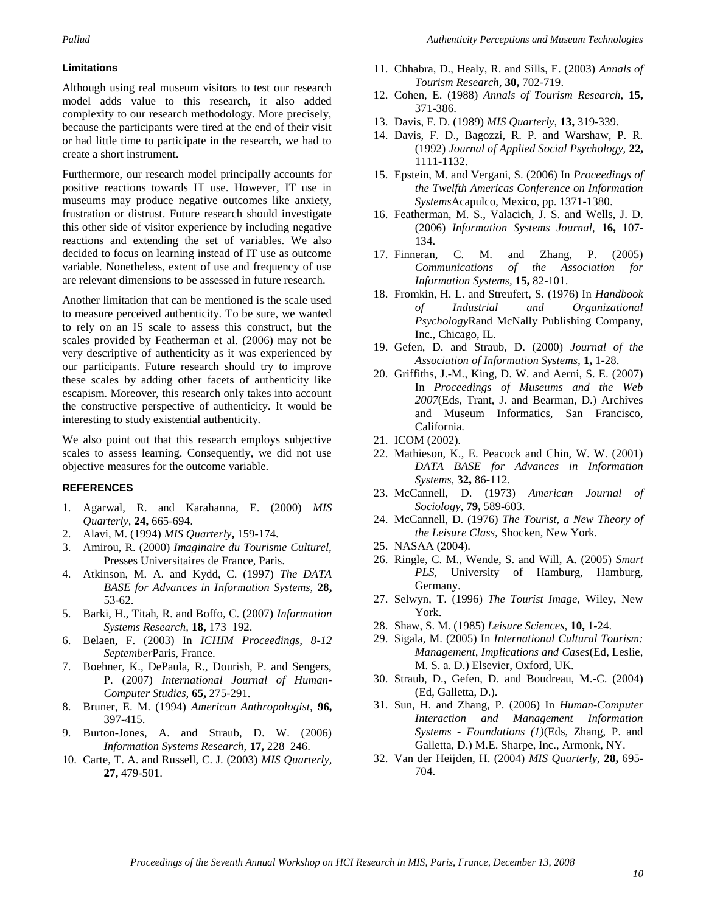#### **Limitations**

Although using real museum visitors to test our research model adds value to this research, it also added complexity to our research methodology. More precisely, because the participants were tired at the end of their visit or had little time to participate in the research, we had to create a short instrument.

Furthermore, our research model principally accounts for positive reactions towards IT use. However, IT use in museums may produce negative outcomes like anxiety, frustration or distrust. Future research should investigate this other side of visitor experience by including negative reactions and extending the set of variables. We also decided to focus on learning instead of IT use as outcome variable. Nonetheless, extent of use and frequency of use are relevant dimensions to be assessed in future research.

Another limitation that can be mentioned is the scale used to measure perceived authenticity. To be sure, we wanted to rely on an IS scale to assess this construct, but the scales provided by Featherman et al. (2006) may not be very descriptive of authenticity as it was experienced by our participants. Future research should try to improve these scales by adding other facets of authenticity like escapism. Moreover, this research only takes into account the constructive perspective of authenticity. It would be interesting to study existential authenticity.

We also point out that this research employs subjective scales to assess learning. Consequently, we did not use objective measures for the outcome variable.

#### **REFERENCES**

- 1. Agarwal, R. and Karahanna, E. (2000) *MIS Quarterly,* **24,** 665-694.
- 2. Alavi, M. (1994) *MIS Quarterly***,** 159-174.
- 3. Amirou, R. (2000) *Imaginaire du Tourisme Culturel,*  Presses Universitaires de France, Paris.
- 4. Atkinson, M. A. and Kydd, C. (1997) *The DATA BASE for Advances in Information Systems,* **28,** 53-62.
- 5. Barki, H., Titah, R. and Boffo, C. (2007) *Information Systems Research,* **18,** 173–192.
- 6. Belaen, F. (2003) In *ICHIM Proceedings, 8-12 September*Paris, France.
- 7. Boehner, K., DePaula, R., Dourish, P. and Sengers, P. (2007) *International Journal of Human-Computer Studies,* **65,** 275-291.
- 8. Bruner, E. M. (1994) *American Anthropologist,* **96,** 397-415.
- 9. Burton-Jones, A. and Straub, D. W. (2006) *Information Systems Research,* **17,** 228–246.
- 10. Carte, T. A. and Russell, C. J. (2003) *MIS Quarterly,* **27,** 479-501.
- 11. Chhabra, D., Healy, R. and Sills, E. (2003) *Annals of Tourism Research,* **30,** 702-719.
- 12. Cohen, E. (1988) *Annals of Tourism Research,* **15,** 371-386.
- 13. Davis, F. D. (1989) *MIS Quarterly,* **13,** 319-339.
- 14. Davis, F. D., Bagozzi, R. P. and Warshaw, P. R. (1992) *Journal of Applied Social Psychology,* **22,** 1111-1132.
- 15. Epstein, M. and Vergani, S. (2006) In *Proceedings of the Twelfth Americas Conference on Information Systems*Acapulco, Mexico, pp. 1371-1380.
- 16. Featherman, M. S., Valacich, J. S. and Wells, J. D. (2006) *Information Systems Journal,* **16,** 107- 134.
- 17. Finneran, C. M. and Zhang, P. (2005) *Communications of the Association for Information Systems,* **15,** 82-101.
- 18. Fromkin, H. L. and Streufert, S. (1976) In *Handbook of Industrial and Organizational Psychology*Rand McNally Publishing Company, Inc., Chicago, IL.
- 19. Gefen, D. and Straub, D. (2000) *Journal of the Association of Information Systems,* **1,** 1-28.
- 20. Griffiths, J.-M., King, D. W. and Aerni, S. E. (2007) In *Proceedings of Museums and the Web 2007*(Eds, Trant, J. and Bearman, D.) Archives and Museum Informatics, San Francisco, California.
- 21. ICOM (2002).
- 22. Mathieson, K., E. Peacock and Chin, W. W. (2001) *DATA BASE for Advances in Information Systems,* **32,** 86-112.
- 23. McCannell, D. (1973) *American Journal of Sociology,* **79,** 589-603.
- 24. McCannell, D. (1976) *The Tourist, a New Theory of the Leisure Class,* Shocken, New York.
- 25. NASAA (2004).
- 26. Ringle, C. M., Wende, S. and Will, A. (2005) *Smart*  PLS, University of Hamburg, Hamburg, Germany.
- 27. Selwyn, T. (1996) *The Tourist Image,* Wiley, New York.
- 28. Shaw, S. M. (1985) *Leisure Sciences,* **10,** 1-24.
- 29. Sigala, M. (2005) In *International Cultural Tourism: Management, Implications and Cases*(Ed, Leslie, M. S. a. D.) Elsevier, Oxford, UK.
- 30. Straub, D., Gefen, D. and Boudreau, M.-C. (2004) (Ed, Galletta, D.).
- 31. Sun, H. and Zhang, P. (2006) In *Human-Computer Interaction and Management Information Systems - Foundations (1)*(Eds, Zhang, P. and Galletta, D.) M.E. Sharpe, Inc., Armonk, NY.
- 32. Van der Heijden, H. (2004) *MIS Quarterly,* **28,** 695- 704.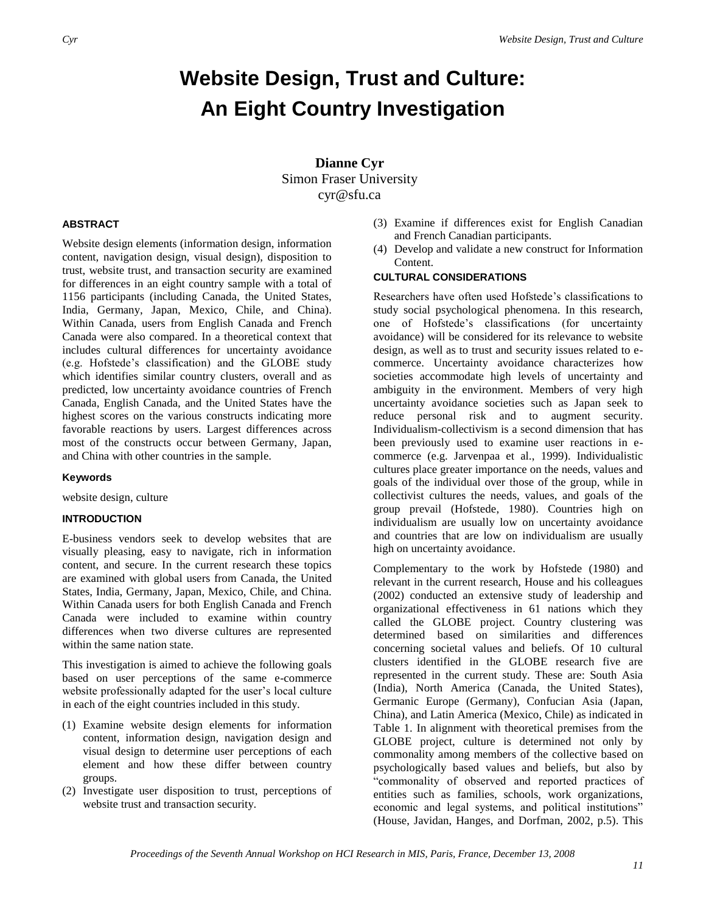# **Website Design, Trust and Culture: An Eight Country Investigation**

**Dianne Cyr** Simon Fraser University cyr@sfu.ca

#### **ABSTRACT**

Website design elements (information design, information content, navigation design, visual design), disposition to trust, website trust, and transaction security are examined for differences in an eight country sample with a total of 1156 participants (including Canada, the United States, India, Germany, Japan, Mexico, Chile, and China). Within Canada, users from English Canada and French Canada were also compared. In a theoretical context that includes cultural differences for uncertainty avoidance (e.g. Hofstede's classification) and the GLOBE study which identifies similar country clusters, overall and as predicted, low uncertainty avoidance countries of French Canada, English Canada, and the United States have the highest scores on the various constructs indicating more favorable reactions by users. Largest differences across most of the constructs occur between Germany, Japan, and China with other countries in the sample.

#### **Keywords**

website design, culture

#### **INTRODUCTION**

E-business vendors seek to develop websites that are visually pleasing, easy to navigate, rich in information content, and secure. In the current research these topics are examined with global users from Canada, the United States, India, Germany, Japan, Mexico, Chile, and China. Within Canada users for both English Canada and French Canada were included to examine within country differences when two diverse cultures are represented within the same nation state.

This investigation is aimed to achieve the following goals based on user perceptions of the same e-commerce website professionally adapted for the user's local culture in each of the eight countries included in this study.

- (1) Examine website design elements for information content, information design, navigation design and visual design to determine user perceptions of each element and how these differ between country groups.
- (2) Investigate user disposition to trust, perceptions of website trust and transaction security.
- (3) Examine if differences exist for English Canadian and French Canadian participants.
- (4) Develop and validate a new construct for Information Content.

#### **CULTURAL CONSIDERATIONS**

Researchers have often used Hofstede's classifications to study social psychological phenomena. In this research, one of Hofstede's classifications (for uncertainty avoidance) will be considered for its relevance to website design, as well as to trust and security issues related to ecommerce. Uncertainty avoidance characterizes how societies accommodate high levels of uncertainty and ambiguity in the environment. Members of very high uncertainty avoidance societies such as Japan seek to reduce personal risk and to augment security. Individualism-collectivism is a second dimension that has been previously used to examine user reactions in ecommerce (e.g. Jarvenpaa et al., 1999). Individualistic cultures place greater importance on the needs, values and goals of the individual over those of the group, while in collectivist cultures the needs, values, and goals of the group prevail (Hofstede, 1980). Countries high on individualism are usually low on uncertainty avoidance and countries that are low on individualism are usually high on uncertainty avoidance.

Complementary to the work by Hofstede (1980) and relevant in the current research, House and his colleagues (2002) conducted an extensive study of leadership and organizational effectiveness in 61 nations which they called the GLOBE project. Country clustering was determined based on similarities and differences concerning societal values and beliefs. Of 10 cultural clusters identified in the GLOBE research five are represented in the current study. These are: South Asia (India), North America (Canada, the United States), Germanic Europe (Germany), Confucian Asia (Japan, China), and Latin America (Mexico, Chile) as indicated in Table 1. In alignment with theoretical premises from the GLOBE project, culture is determined not only by commonality among members of the collective based on psychologically based values and beliefs, but also by ―commonality of observed and reported practices of entities such as families, schools, work organizations, economic and legal systems, and political institutions" (House, Javidan, Hanges, and Dorfman, 2002, p.5). This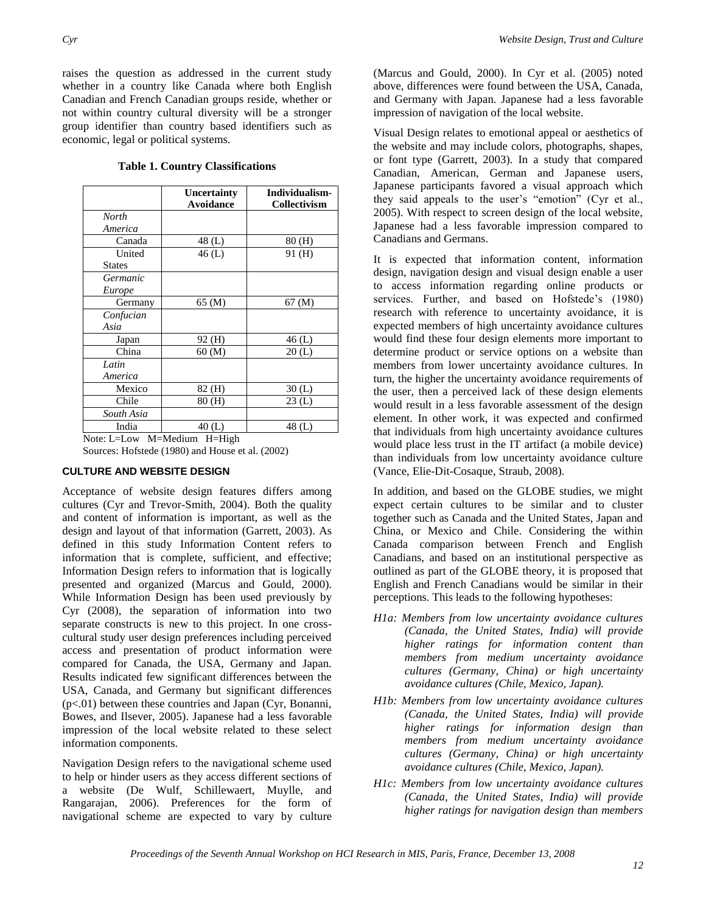raises the question as addressed in the current study whether in a country like Canada where both English Canadian and French Canadian groups reside, whether or not within country cultural diversity will be a stronger group identifier than country based identifiers such as economic, legal or political systems.

|                  | Uncertainty                 | Individualism-      |
|------------------|-----------------------------|---------------------|
|                  | Avoidance                   | <b>Collectivism</b> |
| North            |                             |                     |
| America          |                             |                     |
| Canada           | 48(L)                       | 80 (H)              |
| United           | 46(L)                       | 91 (H)              |
| <b>States</b>    |                             |                     |
| Germanic         |                             |                     |
| Europe           |                             |                     |
| Germany          | 65 (M)                      | 67 (M)              |
| Confucian        |                             |                     |
| Asia             |                             |                     |
| Japan            | 92 (H)                      | 46 (L)              |
| China            | 60 (M)                      | 20(L)               |
| Latin            |                             |                     |
| America          |                             |                     |
| Mexico           | 82 (H)                      | 30(L)               |
| Chile            | 80 (H)                      | 23(L)               |
| South Asia       |                             |                     |
| India            | 40(L)                       | 48(L)               |
| Note: $I = I_0w$ | $M = Medium$<br>$H = H$ igh |                     |

**Table 1. Country Classifications**

Sources: Hofstede (1980) and House et al. (2002)

#### **CULTURE AND WEBSITE DESIGN**

Acceptance of website design features differs among cultures (Cyr and Trevor-Smith, 2004). Both the quality and content of information is important, as well as the design and layout of that information (Garrett, 2003). As defined in this study Information Content refers to information that is complete, sufficient, and effective; Information Design refers to information that is logically presented and organized (Marcus and Gould, 2000). While Information Design has been used previously by Cyr (2008), the separation of information into two separate constructs is new to this project. In one crosscultural study user design preferences including perceived access and presentation of product information were compared for Canada, the USA, Germany and Japan. Results indicated few significant differences between the USA, Canada, and Germany but significant differences (p<.01) between these countries and Japan (Cyr, Bonanni, Bowes, and Ilsever, 2005). Japanese had a less favorable impression of the local website related to these select information components.

Navigation Design refers to the navigational scheme used to help or hinder users as they access different sections of a website (De Wulf, Schillewaert, Muylle, and Rangarajan, 2006). Preferences for the form of navigational scheme are expected to vary by culture (Marcus and Gould, 2000). In Cyr et al. (2005) noted above, differences were found between the USA, Canada, and Germany with Japan. Japanese had a less favorable impression of navigation of the local website.

Visual Design relates to emotional appeal or aesthetics of the website and may include colors, photographs, shapes, or font type (Garrett, 2003). In a study that compared Canadian, American, German and Japanese users, Japanese participants favored a visual approach which they said appeals to the user's "emotion" (Cyr et al., 2005). With respect to screen design of the local website, Japanese had a less favorable impression compared to Canadians and Germans.

It is expected that information content, information design, navigation design and visual design enable a user to access information regarding online products or services. Further, and based on Hofstede's (1980) research with reference to uncertainty avoidance, it is expected members of high uncertainty avoidance cultures would find these four design elements more important to determine product or service options on a website than members from lower uncertainty avoidance cultures. In turn, the higher the uncertainty avoidance requirements of the user, then a perceived lack of these design elements would result in a less favorable assessment of the design element. In other work, it was expected and confirmed that individuals from high uncertainty avoidance cultures would place less trust in the IT artifact (a mobile device) than individuals from low uncertainty avoidance culture (Vance, Elie-Dit-Cosaque, Straub, 2008).

In addition, and based on the GLOBE studies, we might expect certain cultures to be similar and to cluster together such as Canada and the United States, Japan and China, or Mexico and Chile. Considering the within Canada comparison between French and English Canadians, and based on an institutional perspective as outlined as part of the GLOBE theory, it is proposed that English and French Canadians would be similar in their perceptions. This leads to the following hypotheses:

- *H1a: Members from low uncertainty avoidance cultures (Canada, the United States, India) will provide higher ratings for information content than members from medium uncertainty avoidance cultures (Germany, China) or high uncertainty avoidance cultures (Chile, Mexico, Japan).*
- *H1b: Members from low uncertainty avoidance cultures (Canada, the United States, India) will provide higher ratings for information design than members from medium uncertainty avoidance cultures (Germany, China) or high uncertainty avoidance cultures (Chile, Mexico, Japan).*
- *H1c: Members from low uncertainty avoidance cultures (Canada, the United States, India) will provide higher ratings for navigation design than members*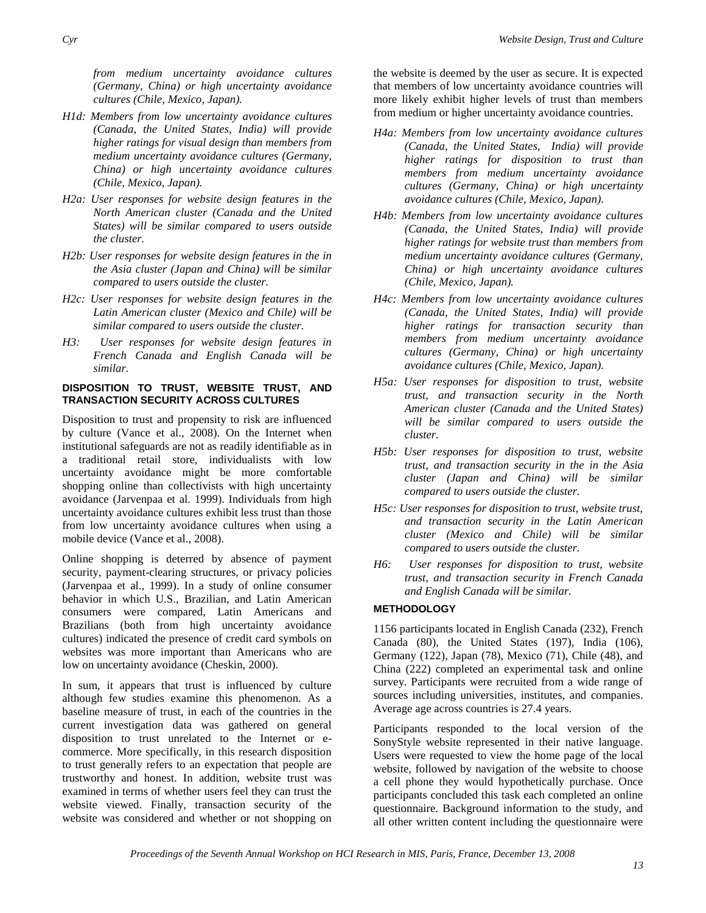*from medium uncertainty avoidance cultures (Germany, China) or high uncertainty avoidance cultures (Chile, Mexico, Japan).* 

- *H1d: Members from low uncertainty avoidance cultures (Canada, the United States, India) will provide higher ratings for visual design than members from medium uncertainty avoidance cultures (Germany, China) or high uncertainty avoidance cultures (Chile, Mexico, Japan).*
- *H2a: User responses for website design features in the North American cluster (Canada and the United States) will be similar compared to users outside the cluster.*
- *H2b: User responses for website design features in the in the Asia cluster (Japan and China) will be similar compared to users outside the cluster.*
- *H2c: User responses for website design features in the Latin American cluster (Mexico and Chile) will be similar compared to users outside the cluster.*
- *H3: User responses for website design features in French Canada and English Canada will be similar.*

#### **DISPOSITION TO TRUST, WEBSITE TRUST, AND TRANSACTION SECURITY ACROSS CULTURES**

Disposition to trust and propensity to risk are influenced by culture (Vance et al., 2008). On the Internet when institutional safeguards are not as readily identifiable as in a traditional retail store, individualists with low uncertainty avoidance might be more comfortable shopping online than collectivists with high uncertainty avoidance (Jarvenpaa et al. 1999). Individuals from high uncertainty avoidance cultures exhibit less trust than those from low uncertainty avoidance cultures when using a mobile device (Vance et al., 2008).

Online shopping is deterred by absence of payment security, payment-clearing structures, or privacy policies (Jarvenpaa et al., 1999). In a study of online consumer behavior in which U.S., Brazilian, and Latin American consumers were compared, Latin Americans and Brazilians (both from high uncertainty avoidance cultures) indicated the presence of credit card symbols on websites was more important than Americans who are low on uncertainty avoidance (Cheskin, 2000).

In sum, it appears that trust is influenced by culture although few studies examine this phenomenon. As a baseline measure of trust, in each of the countries in the current investigation data was gathered on general disposition to trust unrelated to the Internet or ecommerce. More specifically, in this research disposition to trust generally refers to an expectation that people are trustworthy and honest. In addition, website trust was examined in terms of whether users feel they can trust the website viewed. Finally, transaction security of the website was considered and whether or not shopping on the website is deemed by the user as secure. It is expected that members of low uncertainty avoidance countries will more likely exhibit higher levels of trust than members from medium or higher uncertainty avoidance countries.

- *H4a: Members from low uncertainty avoidance cultures (Canada, the United States, India) will provide higher ratings for disposition to trust than members from medium uncertainty avoidance cultures (Germany, China) or high uncertainty avoidance cultures (Chile, Mexico, Japan).*
- *H4b: Members from low uncertainty avoidance cultures (Canada, the United States, India) will provide higher ratings for website trust than members from medium uncertainty avoidance cultures (Germany, China) or high uncertainty avoidance cultures (Chile, Mexico, Japan).*
- *H4c: Members from low uncertainty avoidance cultures (Canada, the United States, India) will provide higher ratings for transaction security than members from medium uncertainty avoidance cultures (Germany, China) or high uncertainty avoidance cultures (Chile, Mexico, Japan).*
- *H5a: User responses for disposition to trust, website trust, and transaction security in the North American cluster (Canada and the United States) will be similar compared to users outside the cluster.*
- *H5b: User responses for disposition to trust, website trust, and transaction security in the in the Asia cluster (Japan and China) will be similar compared to users outside the cluster.*
- *H5c: User responses for disposition to trust, website trust, and transaction security in the Latin American cluster (Mexico and Chile) will be similar compared to users outside the cluster.*
- *H6: User responses for disposition to trust, website trust, and transaction security in French Canada and English Canada will be similar.*

## **METHODOLOGY**

1156 participants located in English Canada (232), French Canada (80), the United States (197), India (106), Germany (122), Japan (78), Mexico (71), Chile (48), and China (222) completed an experimental task and online survey. Participants were recruited from a wide range of sources including universities, institutes, and companies. Average age across countries is 27.4 years.

Participants responded to the local version of the SonyStyle website represented in their native language. Users were requested to view the home page of the local website, followed by navigation of the website to choose a cell phone they would hypothetically purchase. Once participants concluded this task each completed an online questionnaire. Background information to the study, and all other written content including the questionnaire were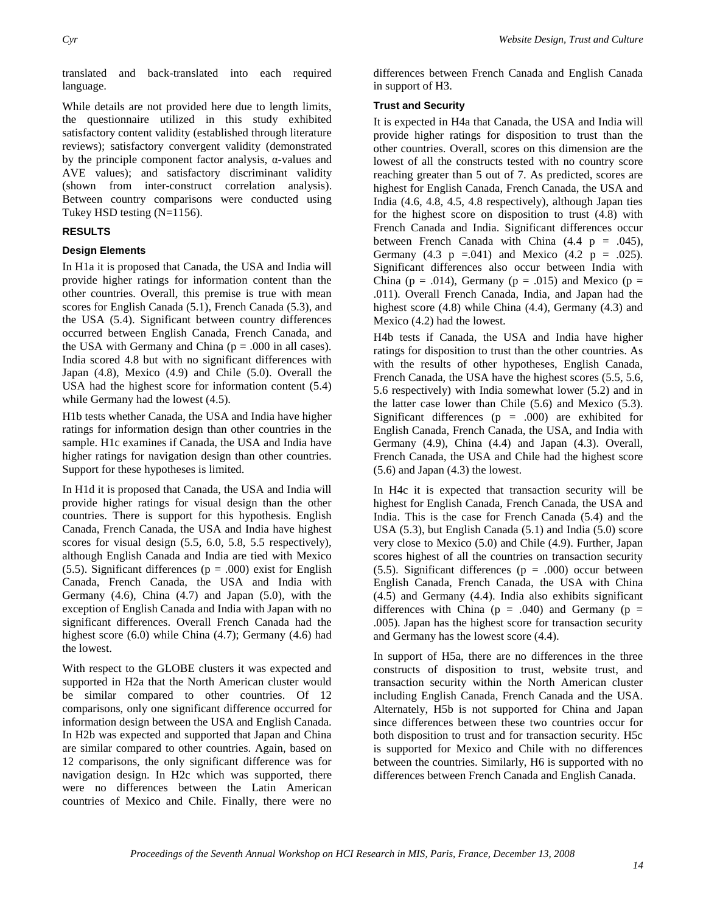translated and back-translated into each required language.

While details are not provided here due to length limits, the questionnaire utilized in this study exhibited satisfactory content validity (established through literature reviews); satisfactory convergent validity (demonstrated by the principle component factor analysis, α-values and AVE values); and satisfactory discriminant validity (shown from inter-construct correlation analysis). Between country comparisons were conducted using Tukey HSD testing (N=1156).

#### **RESULTS**

#### **Design Elements**

In H1a it is proposed that Canada, the USA and India will provide higher ratings for information content than the other countries. Overall, this premise is true with mean scores for English Canada (5.1), French Canada (5.3), and the USA (5.4). Significant between country differences occurred between English Canada, French Canada, and the USA with Germany and China ( $p = .000$  in all cases). India scored 4.8 but with no significant differences with Japan (4.8), Mexico (4.9) and Chile (5.0). Overall the USA had the highest score for information content (5.4) while Germany had the lowest (4.5).

H1b tests whether Canada, the USA and India have higher ratings for information design than other countries in the sample. H1c examines if Canada, the USA and India have higher ratings for navigation design than other countries. Support for these hypotheses is limited.

In H1d it is proposed that Canada, the USA and India will provide higher ratings for visual design than the other countries. There is support for this hypothesis. English Canada, French Canada, the USA and India have highest scores for visual design (5.5, 6.0, 5.8, 5.5 respectively), although English Canada and India are tied with Mexico (5.5). Significant differences ( $p = .000$ ) exist for English Canada, French Canada, the USA and India with Germany (4.6), China (4.7) and Japan (5.0), with the exception of English Canada and India with Japan with no significant differences. Overall French Canada had the highest score (6.0) while China (4.7); Germany (4.6) had the lowest.

With respect to the GLOBE clusters it was expected and supported in H2a that the North American cluster would be similar compared to other countries. Of 12 comparisons, only one significant difference occurred for information design between the USA and English Canada. In H2b was expected and supported that Japan and China are similar compared to other countries. Again, based on 12 comparisons, the only significant difference was for navigation design. In H2c which was supported, there were no differences between the Latin American countries of Mexico and Chile. Finally, there were no differences between French Canada and English Canada in support of H3.

#### **Trust and Security**

It is expected in H4a that Canada, the USA and India will provide higher ratings for disposition to trust than the other countries. Overall, scores on this dimension are the lowest of all the constructs tested with no country score reaching greater than 5 out of 7. As predicted, scores are highest for English Canada, French Canada, the USA and India (4.6, 4.8, 4.5, 4.8 respectively), although Japan ties for the highest score on disposition to trust (4.8) with French Canada and India. Significant differences occur between French Canada with China  $(4.4 \text{ p} = .045)$ , Germany (4.3  $p = .041$ ) and Mexico (4.2  $p = .025$ ). Significant differences also occur between India with China ( $p = .014$ ), Germany ( $p = .015$ ) and Mexico ( $p =$ .011). Overall French Canada, India, and Japan had the highest score (4.8) while China (4.4), Germany (4.3) and Mexico (4.2) had the lowest.

H4b tests if Canada, the USA and India have higher ratings for disposition to trust than the other countries. As with the results of other hypotheses, English Canada, French Canada, the USA have the highest scores (5.5, 5.6, 5.6 respectively) with India somewhat lower (5.2) and in the latter case lower than Chile (5.6) and Mexico (5.3). Significant differences ( $p = .000$ ) are exhibited for English Canada, French Canada, the USA, and India with Germany (4.9), China (4.4) and Japan (4.3). Overall, French Canada, the USA and Chile had the highest score (5.6) and Japan (4.3) the lowest.

In H4c it is expected that transaction security will be highest for English Canada, French Canada, the USA and India. This is the case for French Canada (5.4) and the USA (5.3), but English Canada (5.1) and India (5.0) score very close to Mexico (5.0) and Chile (4.9). Further, Japan scores highest of all the countries on transaction security (5.5). Significant differences ( $p = .000$ ) occur between English Canada, French Canada, the USA with China (4.5) and Germany (4.4). India also exhibits significant differences with China ( $p = .040$ ) and Germany ( $p =$ .005). Japan has the highest score for transaction security and Germany has the lowest score (4.4).

In support of H5a, there are no differences in the three constructs of disposition to trust, website trust, and transaction security within the North American cluster including English Canada, French Canada and the USA. Alternately, H5b is not supported for China and Japan since differences between these two countries occur for both disposition to trust and for transaction security. H5c is supported for Mexico and Chile with no differences between the countries. Similarly, H6 is supported with no differences between French Canada and English Canada.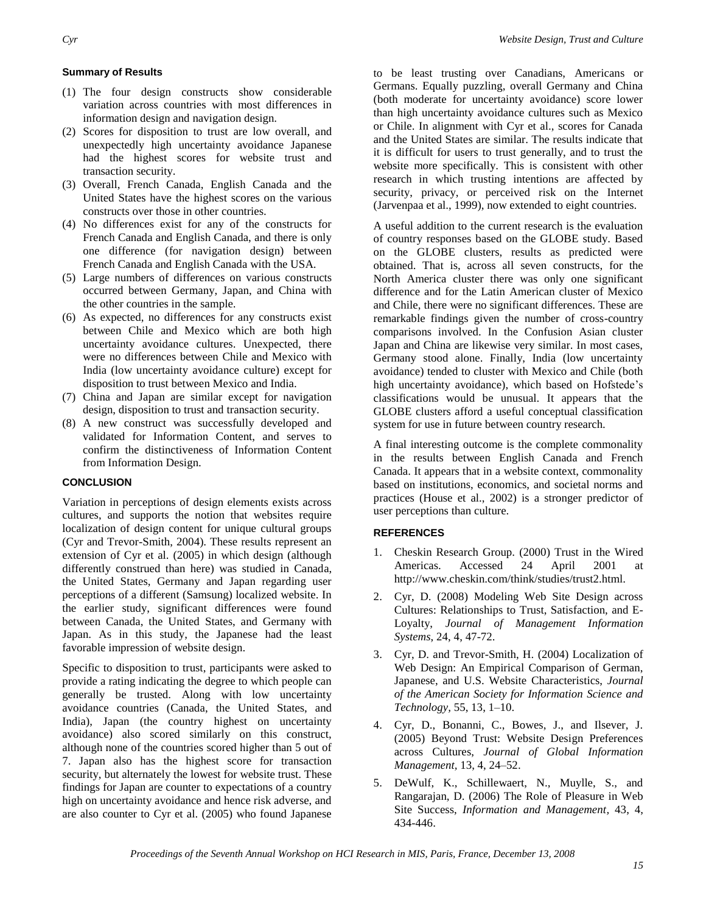#### **Summary of Results**

- (1) The four design constructs show considerable variation across countries with most differences in information design and navigation design.
- (2) Scores for disposition to trust are low overall, and unexpectedly high uncertainty avoidance Japanese had the highest scores for website trust and transaction security.
- (3) Overall, French Canada, English Canada and the United States have the highest scores on the various constructs over those in other countries.
- (4) No differences exist for any of the constructs for French Canada and English Canada, and there is only one difference (for navigation design) between French Canada and English Canada with the USA.
- (5) Large numbers of differences on various constructs occurred between Germany, Japan, and China with the other countries in the sample.
- (6) As expected, no differences for any constructs exist between Chile and Mexico which are both high uncertainty avoidance cultures. Unexpected, there were no differences between Chile and Mexico with India (low uncertainty avoidance culture) except for disposition to trust between Mexico and India.
- (7) China and Japan are similar except for navigation design, disposition to trust and transaction security.
- (8) A new construct was successfully developed and validated for Information Content, and serves to confirm the distinctiveness of Information Content from Information Design.

#### **CONCLUSION**

Variation in perceptions of design elements exists across cultures, and supports the notion that websites require localization of design content for unique cultural groups (Cyr and Trevor-Smith, 2004). These results represent an extension of Cyr et al. (2005) in which design (although differently construed than here) was studied in Canada, the United States, Germany and Japan regarding user perceptions of a different (Samsung) localized website. In the earlier study, significant differences were found between Canada, the United States, and Germany with Japan. As in this study, the Japanese had the least favorable impression of website design.

Specific to disposition to trust, participants were asked to provide a rating indicating the degree to which people can generally be trusted. Along with low uncertainty avoidance countries (Canada, the United States, and India), Japan (the country highest on uncertainty avoidance) also scored similarly on this construct, although none of the countries scored higher than 5 out of 7. Japan also has the highest score for transaction security, but alternately the lowest for website trust. These findings for Japan are counter to expectations of a country high on uncertainty avoidance and hence risk adverse, and are also counter to Cyr et al. (2005) who found Japanese

to be least trusting over Canadians, Americans or Germans. Equally puzzling, overall Germany and China (both moderate for uncertainty avoidance) score lower than high uncertainty avoidance cultures such as Mexico or Chile. In alignment with Cyr et al., scores for Canada and the United States are similar. The results indicate that it is difficult for users to trust generally, and to trust the website more specifically. This is consistent with other research in which trusting intentions are affected by security, privacy, or perceived risk on the Internet (Jarvenpaa et al., 1999), now extended to eight countries.

A useful addition to the current research is the evaluation of country responses based on the GLOBE study. Based on the GLOBE clusters, results as predicted were obtained. That is, across all seven constructs, for the North America cluster there was only one significant difference and for the Latin American cluster of Mexico and Chile, there were no significant differences. These are remarkable findings given the number of cross-country comparisons involved. In the Confusion Asian cluster Japan and China are likewise very similar. In most cases, Germany stood alone. Finally, India (low uncertainty avoidance) tended to cluster with Mexico and Chile (both high uncertainty avoidance), which based on Hofstede's classifications would be unusual. It appears that the GLOBE clusters afford a useful conceptual classification system for use in future between country research.

A final interesting outcome is the complete commonality in the results between English Canada and French Canada. It appears that in a website context, commonality based on institutions, economics, and societal norms and practices (House et al., 2002) is a stronger predictor of user perceptions than culture.

#### **REFERENCES**

- 1. Cheskin Research Group. (2000) Trust in the Wired Americas. Accessed 24 April 2001 at http://www.cheskin.com/think/studies/trust2.html.
- 2. Cyr, D. (2008) Modeling Web Site Design across Cultures: Relationships to Trust, Satisfaction, and E-Loyalty, *Journal of Management Information Systems*, 24, 4, 47-72.
- 3. Cyr, D. and Trevor-Smith, H. (2004) Localization of Web Design: An Empirical Comparison of German, Japanese, and U.S. Website Characteristics, *Journal of the American Society for Information Science and Technology,* 55, 13, 1–10.
- 4. Cyr, D., Bonanni, C., Bowes, J., and Ilsever, J. (2005) Beyond Trust: Website Design Preferences across Cultures, *Journal of Global Information Management,* 13, 4, 24–52.
- 5. DeWulf, K., Schillewaert, N., Muylle, S., and Rangarajan, D. (2006) The Role of Pleasure in Web Site Success, *Information and Management,* 43, 4, 434-446.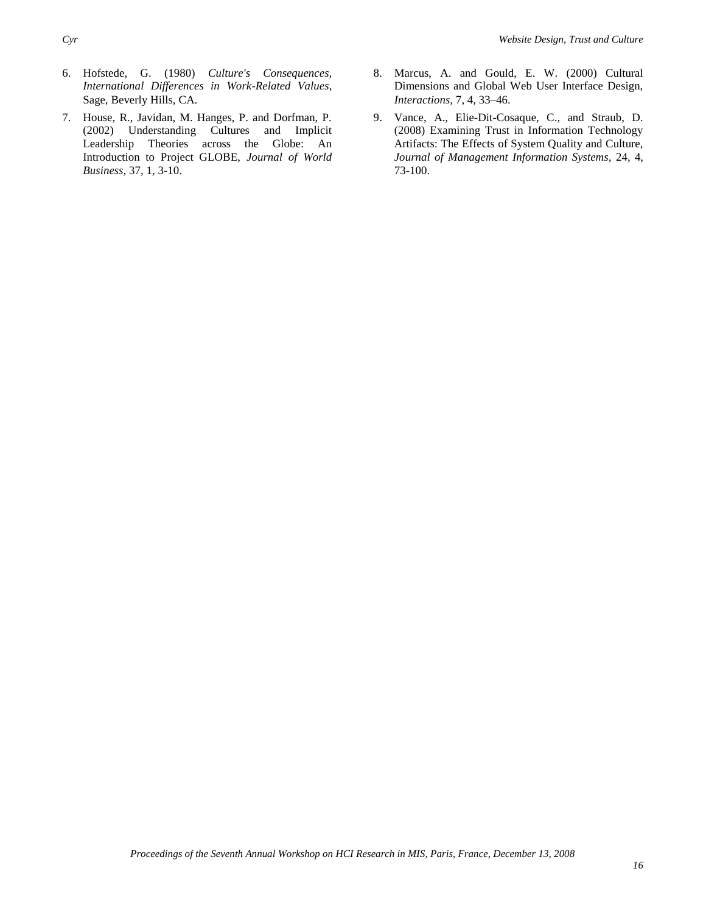- 6. Hofstede, G. (1980) *Culture's Consequences, International Differences in Work-Related Values*, Sage, Beverly Hills, CA.
- 7. House, R., Javidan, M. Hanges, P. and Dorfman, P. (2002) Understanding Cultures and Implicit Leadership Theories across the Globe: An Introduction to Project GLOBE, *Journal of World Business,* 37, 1, 3-10.
- 8. Marcus, A. and Gould, E. W. (2000) Cultural Dimensions and Global Web User Interface Design, *Interactions,* 7, 4, 33–46.
- 9. Vance, A., Elie-Dit-Cosaque, C., and Straub, D. (2008) Examining Trust in Information Technology Artifacts: The Effects of System Quality and Culture, *Journal of Management Information Systems,* 24, 4, 73-100.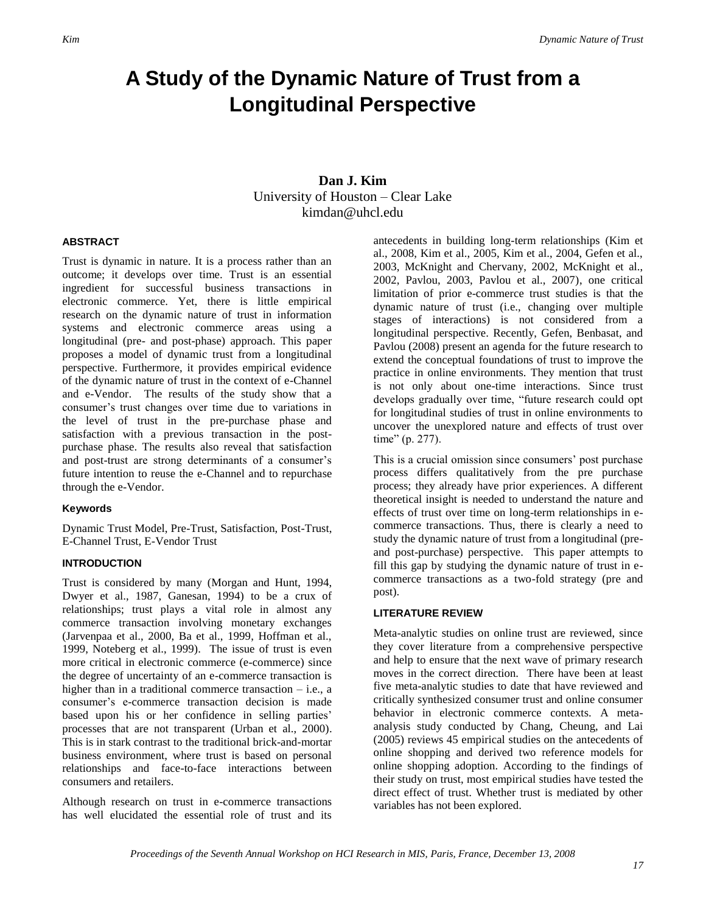## **A Study of the Dynamic Nature of Trust from a Longitudinal Perspective**

## **Dan J. Kim** University of Houston – Clear Lake kimdan@uhcl.edu

#### **ABSTRACT**

Trust is dynamic in nature. It is a process rather than an outcome; it develops over time. Trust is an essential ingredient for successful business transactions in electronic commerce. Yet, there is little empirical research on the dynamic nature of trust in information systems and electronic commerce areas using a longitudinal (pre- and post-phase) approach. This paper proposes a model of dynamic trust from a longitudinal perspective. Furthermore, it provides empirical evidence of the dynamic nature of trust in the context of e-Channel and e-Vendor. The results of the study show that a consumer's trust changes over time due to variations in the level of trust in the pre-purchase phase and satisfaction with a previous transaction in the postpurchase phase. The results also reveal that satisfaction and post-trust are strong determinants of a consumer's future intention to reuse the e-Channel and to repurchase through the e-Vendor.

#### **Keywords**

Dynamic Trust Model, Pre-Trust, Satisfaction, Post-Trust, E-Channel Trust, E-Vendor Trust

#### **INTRODUCTION**

Trust is considered by many (Morgan and Hunt, 1994, Dwyer et al., 1987, Ganesan, 1994) to be a crux of relationships; trust plays a vital role in almost any commerce transaction involving monetary exchanges (Jarvenpaa et al., 2000, Ba et al., 1999, Hoffman et al., 1999, Noteberg et al., 1999). The issue of trust is even more critical in electronic commerce (e-commerce) since the degree of uncertainty of an e-commerce transaction is higher than in a traditional commerce transaction  $-$  i.e., a consumer's e-commerce transaction decision is made based upon his or her confidence in selling parties' processes that are not transparent (Urban et al., 2000). This is in stark contrast to the traditional brick-and-mortar business environment, where trust is based on personal relationships and face-to-face interactions between consumers and retailers.

Although research on trust in e-commerce transactions has well elucidated the essential role of trust and its antecedents in building long-term relationships (Kim et al., 2008, Kim et al., 2005, Kim et al., 2004, Gefen et al., 2003, McKnight and Chervany, 2002, McKnight et al., 2002, Pavlou, 2003, Pavlou et al., 2007), one critical limitation of prior e-commerce trust studies is that the dynamic nature of trust (i.e., changing over multiple stages of interactions) is not considered from a longitudinal perspective. Recently, Gefen, Benbasat, and Pavlou (2008) present an agenda for the future research to extend the conceptual foundations of trust to improve the practice in online environments. They mention that trust is not only about one-time interactions. Since trust develops gradually over time, "future research could opt for longitudinal studies of trust in online environments to uncover the unexplored nature and effects of trust over time" (p. 277).

This is a crucial omission since consumers' post purchase process differs qualitatively from the pre purchase process; they already have prior experiences. A different theoretical insight is needed to understand the nature and effects of trust over time on long-term relationships in ecommerce transactions. Thus, there is clearly a need to study the dynamic nature of trust from a longitudinal (preand post-purchase) perspective. This paper attempts to fill this gap by studying the dynamic nature of trust in ecommerce transactions as a two-fold strategy (pre and post).

#### **LITERATURE REVIEW**

Meta-analytic studies on online trust are reviewed, since they cover literature from a comprehensive perspective and help to ensure that the next wave of primary research moves in the correct direction. There have been at least five meta-analytic studies to date that have reviewed and critically synthesized consumer trust and online consumer behavior in electronic commerce contexts. A metaanalysis study conducted by Chang, Cheung, and Lai (2005) reviews 45 empirical studies on the antecedents of online shopping and derived two reference models for online shopping adoption. According to the findings of their study on trust, most empirical studies have tested the direct effect of trust. Whether trust is mediated by other variables has not been explored.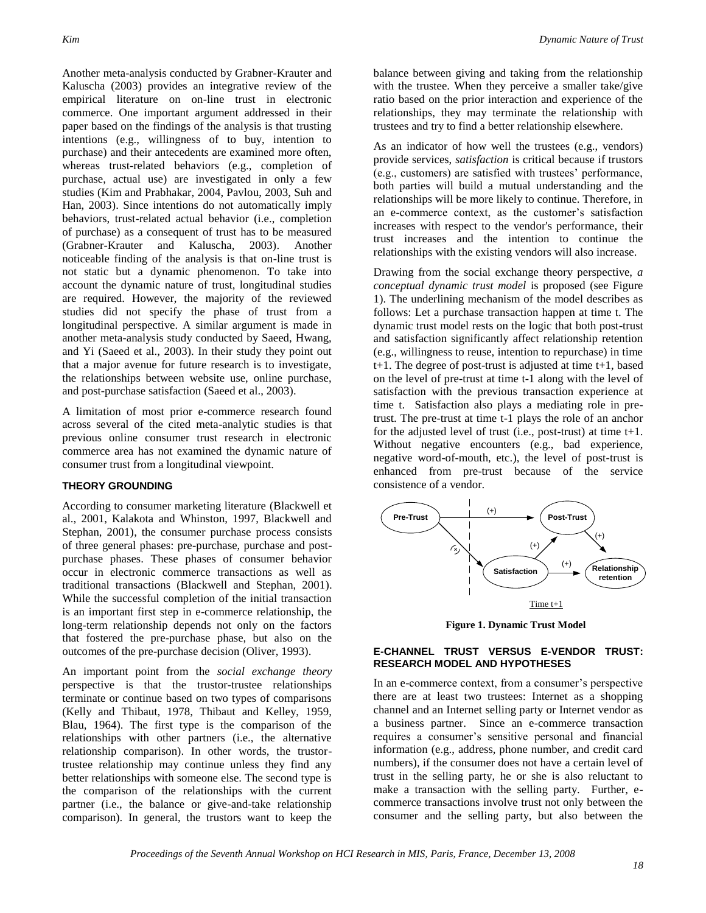Another meta-analysis conducted by Grabner-Krauter and Kaluscha (2003) provides an integrative review of the empirical literature on on-line trust in electronic commerce. One important argument addressed in their paper based on the findings of the analysis is that trusting intentions (e.g., willingness of to buy, intention to purchase) and their antecedents are examined more often, whereas trust-related behaviors (e.g., completion of purchase, actual use) are investigated in only a few studies (Kim and Prabhakar, 2004, Pavlou, 2003, Suh and Han, 2003). Since intentions do not automatically imply behaviors, trust-related actual behavior (i.e., completion of purchase) as a consequent of trust has to be measured (Grabner-Krauter and Kaluscha, 2003). Another noticeable finding of the analysis is that on-line trust is not static but a dynamic phenomenon. To take into account the dynamic nature of trust, longitudinal studies are required. However, the majority of the reviewed studies did not specify the phase of trust from a longitudinal perspective. A similar argument is made in another meta-analysis study conducted by Saeed, Hwang, and Yi (Saeed et al., 2003). In their study they point out that a major avenue for future research is to investigate, the relationships between website use, online purchase, and post-purchase satisfaction (Saeed et al., 2003).

A limitation of most prior e-commerce research found across several of the cited meta-analytic studies is that previous online consumer trust research in electronic commerce area has not examined the dynamic nature of consumer trust from a longitudinal viewpoint.

#### **THEORY GROUNDING**

According to consumer marketing literature (Blackwell et al., 2001, Kalakota and Whinston, 1997, Blackwell and Stephan, 2001), the consumer purchase process consists of three general phases: pre-purchase, purchase and postpurchase phases. These phases of consumer behavior occur in electronic commerce transactions as well as traditional transactions (Blackwell and Stephan, 2001). While the successful completion of the initial transaction is an important first step in e-commerce relationship, the long-term relationship depends not only on the factors that fostered the pre-purchase phase, but also on the outcomes of the pre-purchase decision (Oliver, 1993).

An important point from the *social exchange theory*  perspective is that the trustor-trustee relationships terminate or continue based on two types of comparisons (Kelly and Thibaut, 1978, Thibaut and Kelley, 1959, Blau, 1964). The first type is the comparison of the relationships with other partners (i.e., the alternative relationship comparison). In other words, the trustortrustee relationship may continue unless they find any better relationships with someone else. The second type is the comparison of the relationships with the current partner (i.e., the balance or give-and-take relationship comparison). In general, the trustors want to keep the balance between giving and taking from the relationship with the trustee. When they perceive a smaller take/give ratio based on the prior interaction and experience of the relationships, they may terminate the relationship with trustees and try to find a better relationship elsewhere.

As an indicator of how well the trustees (e.g., vendors) provide services, *satisfaction* is critical because if trustors (e.g., customers) are satisfied with trustees' performance, both parties will build a mutual understanding and the relationships will be more likely to continue. Therefore, in an e-commerce context, as the customer's satisfaction increases with respect to the vendor's performance, their trust increases and the intention to continue the relationships with the existing vendors will also increase.

Drawing from the social exchange theory perspective, *a conceptual dynamic trust model* is proposed (see Figure 1). The underlining mechanism of the model describes as follows: Let a purchase transaction happen at time t. The dynamic trust model rests on the logic that both post-trust and satisfaction significantly affect relationship retention (e.g., willingness to reuse, intention to repurchase) in time  $t+1$ . The degree of post-trust is adjusted at time  $t+1$ , based on the level of pre-trust at time t-1 along with the level of satisfaction with the previous transaction experience at time t. Satisfaction also plays a mediating role in pretrust. The pre-trust at time t-1 plays the role of an anchor for the adjusted level of trust (i.e., post-trust) at time t+1. Without negative encounters (e.g., bad experience, negative word-of-mouth, etc.), the level of post-trust is enhanced from pre-trust because of the service consistence of a vendor.



**Figure 1. Dynamic Trust Model**

#### **E-CHANNEL TRUST VERSUS E-VENDOR TRUST: RESEARCH MODEL AND HYPOTHESES**

In an e-commerce context, from a consumer's perspective there are at least two trustees: Internet as a shopping channel and an Internet selling party or Internet vendor as a business partner. Since an e-commerce transaction requires a consumer's sensitive personal and financial information (e.g., address, phone number, and credit card numbers), if the consumer does not have a certain level of trust in the selling party, he or she is also reluctant to make a transaction with the selling party. Further, ecommerce transactions involve trust not only between the consumer and the selling party, but also between the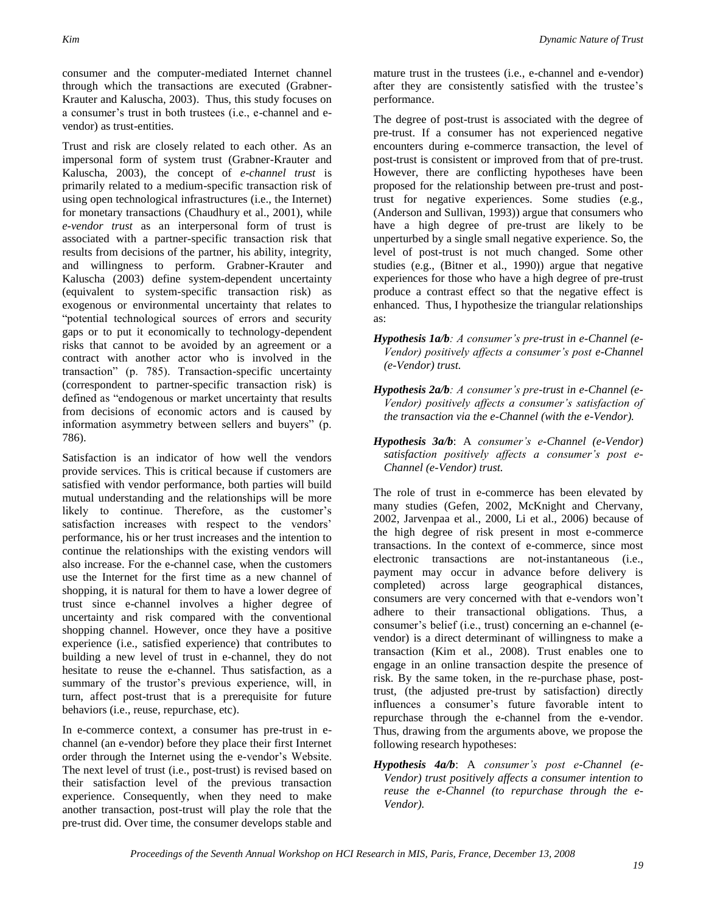consumer and the computer-mediated Internet channel through which the transactions are executed (Grabner-Krauter and Kaluscha, 2003). Thus, this study focuses on a consumer's trust in both trustees (i.e., e-channel and evendor) as trust-entities.

Trust and risk are closely related to each other. As an impersonal form of system trust (Grabner-Krauter and Kaluscha, 2003), the concept of *e-channel trust* is primarily related to a medium-specific transaction risk of using open technological infrastructures (i.e., the Internet) for monetary transactions (Chaudhury et al., 2001), while *e-vendor trust* as an interpersonal form of trust is associated with a partner-specific transaction risk that results from decisions of the partner, his ability, integrity, and willingness to perform. Grabner-Krauter and Kaluscha (2003) define system-dependent uncertainty (equivalent to system-specific transaction risk) as exogenous or environmental uncertainty that relates to "potential technological sources of errors and security gaps or to put it economically to technology-dependent risks that cannot to be avoided by an agreement or a contract with another actor who is involved in the transaction" (p. 785). Transaction-specific uncertainty (correspondent to partner-specific transaction risk) is defined as "endogenous or market uncertainty that results from decisions of economic actors and is caused by information asymmetry between sellers and buyers" (p. 786).

Satisfaction is an indicator of how well the vendors provide services. This is critical because if customers are satisfied with vendor performance, both parties will build mutual understanding and the relationships will be more likely to continue. Therefore, as the customer's satisfaction increases with respect to the vendors' performance, his or her trust increases and the intention to continue the relationships with the existing vendors will also increase. For the e-channel case, when the customers use the Internet for the first time as a new channel of shopping, it is natural for them to have a lower degree of trust since e-channel involves a higher degree of uncertainty and risk compared with the conventional shopping channel. However, once they have a positive experience (i.e., satisfied experience) that contributes to building a new level of trust in e-channel, they do not hesitate to reuse the e-channel. Thus satisfaction, as a summary of the trustor's previous experience, will, in turn, affect post-trust that is a prerequisite for future behaviors (i.e., reuse, repurchase, etc).

In e-commerce context, a consumer has pre-trust in echannel (an e-vendor) before they place their first Internet order through the Internet using the e-vendor's Website. The next level of trust (i.e., post-trust) is revised based on their satisfaction level of the previous transaction experience. Consequently, when they need to make another transaction, post-trust will play the role that the pre-trust did. Over time, the consumer develops stable and mature trust in the trustees (i.e., e-channel and e-vendor) after they are consistently satisfied with the trustee's performance.

The degree of post-trust is associated with the degree of pre-trust. If a consumer has not experienced negative encounters during e-commerce transaction, the level of post-trust is consistent or improved from that of pre-trust. However, there are conflicting hypotheses have been proposed for the relationship between pre-trust and posttrust for negative experiences. Some studies (e.g., (Anderson and Sullivan, 1993)) argue that consumers who have a high degree of pre-trust are likely to be unperturbed by a single small negative experience. So, the level of post-trust is not much changed. Some other studies (e.g., (Bitner et al., 1990)) argue that negative experiences for those who have a high degree of pre-trust produce a contrast effect so that the negative effect is enhanced. Thus, I hypothesize the triangular relationships as:

- *Hypothesis 1a/b: A consumer's pre-trust in e-Channel (e-Vendor) positively affects a consumer's post e-Channel (e-Vendor) trust.*
- *Hypothesis 2a/b: A consumer's pre-trust in e-Channel (e-Vendor) positively affects a consumer's satisfaction of the transaction via the e-Channel (with the e-Vendor).*
- *Hypothesis 3a/b*: A *consumer's e-Channel (e-Vendor) satisfaction positively affects a consumer's post e-Channel (e-Vendor) trust.*

The role of trust in e-commerce has been elevated by many studies (Gefen, 2002, McKnight and Chervany, 2002, Jarvenpaa et al., 2000, Li et al., 2006) because of the high degree of risk present in most e-commerce transactions. In the context of e-commerce, since most electronic transactions are not-instantaneous (i.e., payment may occur in advance before delivery is completed) across large geographical distances, consumers are very concerned with that e-vendors won't adhere to their transactional obligations. Thus, a consumer's belief (i.e., trust) concerning an e-channel (evendor) is a direct determinant of willingness to make a transaction (Kim et al., 2008). Trust enables one to engage in an online transaction despite the presence of risk. By the same token, in the re-purchase phase, posttrust, (the adjusted pre-trust by satisfaction) directly influences a consumer's future favorable intent to repurchase through the e-channel from the e-vendor. Thus, drawing from the arguments above, we propose the following research hypotheses:

*Hypothesis 4a/b*: A *consumer's post e-Channel (e-Vendor) trust positively affects a consumer intention to reuse the e-Channel (to repurchase through the e-Vendor).*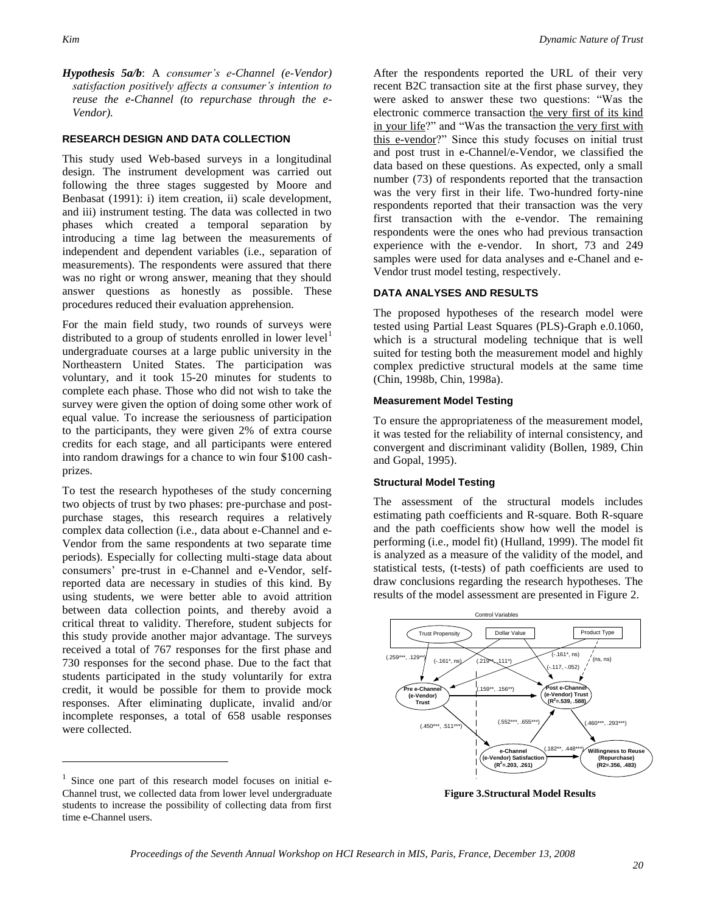*Hypothesis 5a/b*: A *consumer's e-Channel (e-Vendor) satisfaction positively affects a consumer's intention to reuse the e-Channel (to repurchase through the e-Vendor).*

#### **RESEARCH DESIGN AND DATA COLLECTION**

This study used Web-based surveys in a longitudinal design. The instrument development was carried out following the three stages suggested by Moore and Benbasat (1991): i) item creation, ii) scale development, and iii) instrument testing. The data was collected in two phases which created a temporal separation by introducing a time lag between the measurements of independent and dependent variables (i.e., separation of measurements). The respondents were assured that there was no right or wrong answer, meaning that they should answer questions as honestly as possible. These procedures reduced their evaluation apprehension.

For the main field study, two rounds of surveys were distributed to a group of students enrolled in lower level<sup>1</sup> undergraduate courses at a large public university in the Northeastern United States. The participation was voluntary, and it took 15-20 minutes for students to complete each phase. Those who did not wish to take the survey were given the option of doing some other work of equal value. To increase the seriousness of participation to the participants, they were given 2% of extra course credits for each stage, and all participants were entered into random drawings for a chance to win four \$100 cashprizes.

To test the research hypotheses of the study concerning two objects of trust by two phases: pre-purchase and postpurchase stages, this research requires a relatively complex data collection (i.e., data about e-Channel and e-Vendor from the same respondents at two separate time periods). Especially for collecting multi-stage data about consumers' pre-trust in e-Channel and e-Vendor, selfreported data are necessary in studies of this kind. By using students, we were better able to avoid attrition between data collection points, and thereby avoid a critical threat to validity. Therefore, student subjects for this study provide another major advantage. The surveys received a total of 767 responses for the first phase and 730 responses for the second phase. Due to the fact that students participated in the study voluntarily for extra credit, it would be possible for them to provide mock responses. After eliminating duplicate, invalid and/or incomplete responses, a total of 658 usable responses were collected.

 $\overline{a}$ 

After the respondents reported the URL of their very recent B2C transaction site at the first phase survey, they were asked to answer these two questions: "Was the electronic commerce transaction the very first of its kind in your life?" and "Was the transaction the very first with this e-vendor?" Since this study focuses on initial trust and post trust in e-Channel/e-Vendor, we classified the data based on these questions. As expected, only a small number (73) of respondents reported that the transaction was the very first in their life. Two-hundred forty-nine respondents reported that their transaction was the very first transaction with the e-vendor. The remaining respondents were the ones who had previous transaction experience with the e-vendor. In short, 73 and 249 samples were used for data analyses and e-Chanel and e-Vendor trust model testing, respectively.

#### **DATA ANALYSES AND RESULTS**

The proposed hypotheses of the research model were tested using Partial Least Squares (PLS)-Graph e.0.1060, which is a structural modeling technique that is well suited for testing both the measurement model and highly complex predictive structural models at the same time (Chin, 1998b, Chin, 1998a).

#### **Measurement Model Testing**

To ensure the appropriateness of the measurement model, it was tested for the reliability of internal consistency, and convergent and discriminant validity (Bollen, 1989, Chin and Gopal, 1995).

#### **Structural Model Testing**

The assessment of the structural models includes estimating path coefficients and R-square. Both R-square and the path coefficients show how well the model is performing (i.e., model fit) (Hulland, 1999). The model fit is analyzed as a measure of the validity of the model, and statistical tests, (t-tests) of path coefficients are used to draw conclusions regarding the research hypotheses. The results of the model assessment are presented in Figure 2.



**Figure 3.Structural Model Results**

<sup>&</sup>lt;sup>1</sup> Since one part of this research model focuses on initial e-Channel trust, we collected data from lower level undergraduate students to increase the possibility of collecting data from first time e-Channel users.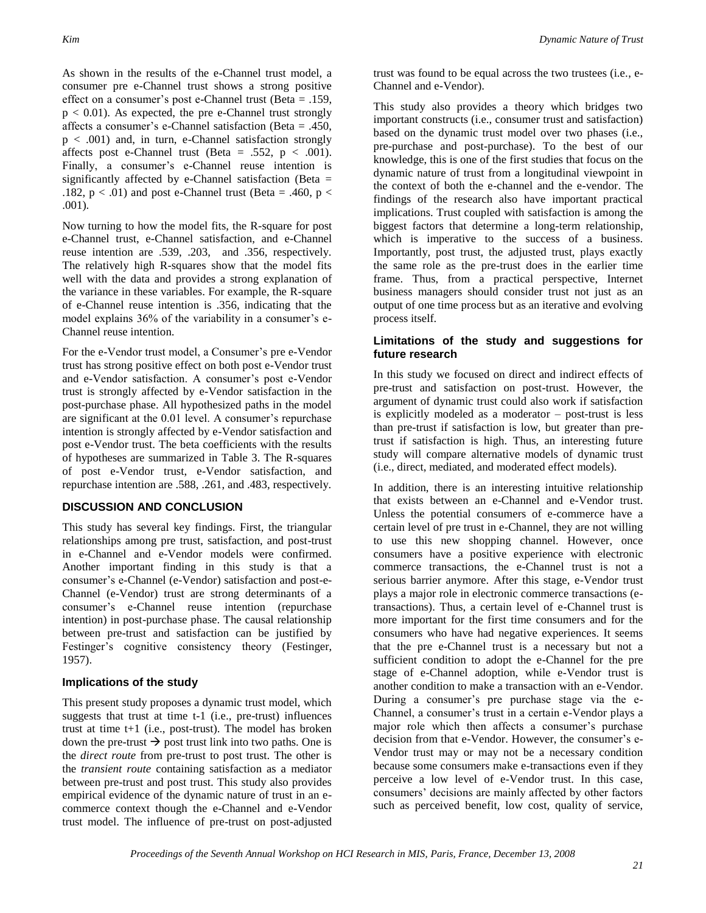As shown in the results of the e-Channel trust model, a consumer pre e-Channel trust shows a strong positive effect on a consumer's post e-Channel trust (Beta = .159,  $p < 0.01$ ). As expected, the pre e-Channel trust strongly affects a consumer's e-Channel satisfaction (Beta = .450, p < .001) and, in turn, e-Channel satisfaction strongly affects post e-Channel trust (Beta = .552,  $p < .001$ ). Finally, a consumer's e-Channel reuse intention is significantly affected by e-Channel satisfaction (Beta  $=$ .182,  $p < .01$ ) and post e-Channel trust (Beta = .460,  $p <$ .001).

Now turning to how the model fits, the R-square for post e-Channel trust, e-Channel satisfaction, and e-Channel reuse intention are .539, .203, and .356, respectively. The relatively high R-squares show that the model fits well with the data and provides a strong explanation of the variance in these variables. For example, the R-square of e-Channel reuse intention is .356, indicating that the model explains 36% of the variability in a consumer's e-Channel reuse intention.

For the e-Vendor trust model, a Consumer's pre e-Vendor trust has strong positive effect on both post e-Vendor trust and e-Vendor satisfaction. A consumer's post e-Vendor trust is strongly affected by e-Vendor satisfaction in the post-purchase phase. All hypothesized paths in the model are significant at the 0.01 level. A consumer's repurchase intention is strongly affected by e-Vendor satisfaction and post e-Vendor trust. The beta coefficients with the results of hypotheses are summarized in Table 3. The R-squares of post e-Vendor trust, e-Vendor satisfaction, and repurchase intention are .588, .261, and .483, respectively.

#### **DISCUSSION AND CONCLUSION**

This study has several key findings. First, the triangular relationships among pre trust, satisfaction, and post-trust in e-Channel and e-Vendor models were confirmed. Another important finding in this study is that a consumer's e-Channel (e-Vendor) satisfaction and post-e-Channel (e-Vendor) trust are strong determinants of a consumer's e-Channel reuse intention (repurchase intention) in post-purchase phase. The causal relationship between pre-trust and satisfaction can be justified by Festinger's cognitive consistency theory (Festinger, 1957).

#### **Implications of the study**

This present study proposes a dynamic trust model, which suggests that trust at time t-1 (i.e., pre-trust) influences trust at time t+1 (i.e., post-trust). The model has broken down the pre-trust  $\rightarrow$  post trust link into two paths. One is the *direct route* from pre-trust to post trust. The other is the *transient route* containing satisfaction as a mediator between pre-trust and post trust. This study also provides empirical evidence of the dynamic nature of trust in an ecommerce context though the e-Channel and e-Vendor trust model. The influence of pre-trust on post-adjusted trust was found to be equal across the two trustees (i.e., e-Channel and e-Vendor).

This study also provides a theory which bridges two important constructs (i.e., consumer trust and satisfaction) based on the dynamic trust model over two phases (i.e., pre-purchase and post-purchase). To the best of our knowledge, this is one of the first studies that focus on the dynamic nature of trust from a longitudinal viewpoint in the context of both the e-channel and the e-vendor. The findings of the research also have important practical implications. Trust coupled with satisfaction is among the biggest factors that determine a long-term relationship, which is imperative to the success of a business. Importantly, post trust, the adjusted trust, plays exactly the same role as the pre-trust does in the earlier time frame. Thus, from a practical perspective, Internet business managers should consider trust not just as an output of one time process but as an iterative and evolving process itself.

#### **Limitations of the study and suggestions for future research**

In this study we focused on direct and indirect effects of pre-trust and satisfaction on post-trust. However, the argument of dynamic trust could also work if satisfaction is explicitly modeled as a moderator – post-trust is less than pre-trust if satisfaction is low, but greater than pretrust if satisfaction is high. Thus, an interesting future study will compare alternative models of dynamic trust (i.e., direct, mediated, and moderated effect models).

In addition, there is an interesting intuitive relationship that exists between an e-Channel and e-Vendor trust. Unless the potential consumers of e-commerce have a certain level of pre trust in e-Channel, they are not willing to use this new shopping channel. However, once consumers have a positive experience with electronic commerce transactions, the e-Channel trust is not a serious barrier anymore. After this stage, e-Vendor trust plays a major role in electronic commerce transactions (etransactions). Thus, a certain level of e-Channel trust is more important for the first time consumers and for the consumers who have had negative experiences. It seems that the pre e-Channel trust is a necessary but not a sufficient condition to adopt the e-Channel for the pre stage of e-Channel adoption, while e-Vendor trust is another condition to make a transaction with an e-Vendor. During a consumer's pre purchase stage via the e-Channel, a consumer's trust in a certain e-Vendor plays a major role which then affects a consumer's purchase decision from that e-Vendor. However, the consumer's e-Vendor trust may or may not be a necessary condition because some consumers make e-transactions even if they perceive a low level of e-Vendor trust. In this case, consumers' decisions are mainly affected by other factors such as perceived benefit, low cost, quality of service,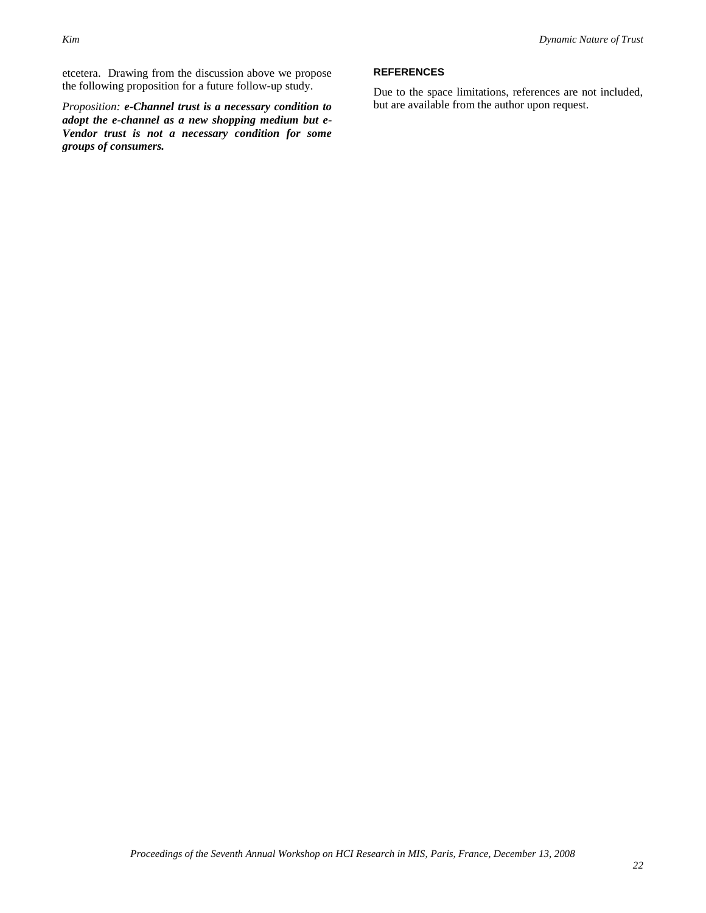etcetera. Drawing from the discussion above we propose the following proposition for a future follow-up study.

*Proposition: e-Channel trust is a necessary condition to adopt the e-channel as a new shopping medium but e-Vendor trust is not a necessary condition for some groups of consumers.* 

#### **REFERENCES**

Due to the space limitations, references are not included, but are available from the author upon request.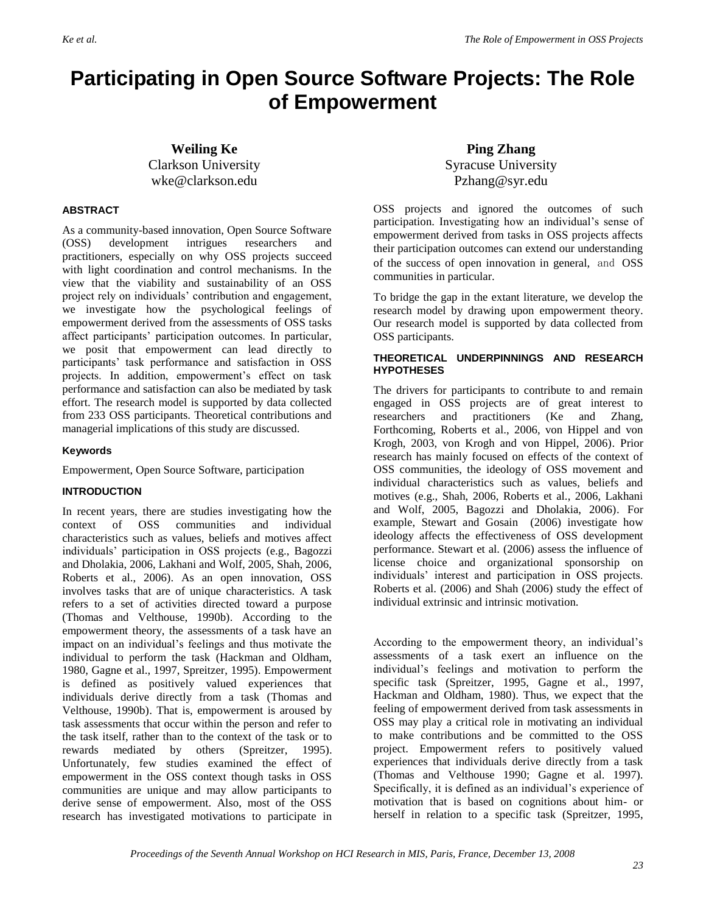## **Participating in Open Source Software Projects: The Role of Empowerment**

**Weiling Ke** Clarkson University wke@clarkson.edu

#### **ABSTRACT**

As a community-based innovation, Open Source Software (OSS) development intrigues researchers and practitioners, especially on why OSS projects succeed with light coordination and control mechanisms. In the view that the viability and sustainability of an OSS project rely on individuals' contribution and engagement, we investigate how the psychological feelings of empowerment derived from the assessments of OSS tasks affect participants' participation outcomes. In particular, we posit that empowerment can lead directly to participants' task performance and satisfaction in OSS projects. In addition, empowerment's effect on task performance and satisfaction can also be mediated by task effort. The research model is supported by data collected from 233 OSS participants. Theoretical contributions and managerial implications of this study are discussed.

#### **Keywords**

Empowerment, Open Source Software, participation

#### **INTRODUCTION**

In recent years, there are studies investigating how the context of OSS communities and individual characteristics such as values, beliefs and motives affect individuals' participation in OSS projects (e.g., Bagozzi and Dholakia, 2006, Lakhani and Wolf, 2005, Shah, 2006, Roberts et al., 2006). As an open innovation, OSS involves tasks that are of unique characteristics. A task refers to a set of activities directed toward a purpose (Thomas and Velthouse, 1990b). According to the empowerment theory, the assessments of a task have an impact on an individual's feelings and thus motivate the individual to perform the task (Hackman and Oldham, 1980, Gagne et al., 1997, Spreitzer, 1995). Empowerment is defined as positively valued experiences that individuals derive directly from a task (Thomas and Velthouse, 1990b). That is, empowerment is aroused by task assessments that occur within the person and refer to the task itself, rather than to the context of the task or to rewards mediated by others (Spreitzer, 1995). Unfortunately, few studies examined the effect of empowerment in the OSS context though tasks in OSS communities are unique and may allow participants to derive sense of empowerment. Also, most of the OSS research has investigated motivations to participate in

**Ping Zhang** Syracuse University Pzhang@syr.edu

OSS projects and ignored the outcomes of such participation. Investigating how an individual's sense of empowerment derived from tasks in OSS projects affects their participation outcomes can extend our understanding of the success of open innovation in general, and OSS communities in particular.

To bridge the gap in the extant literature, we develop the research model by drawing upon empowerment theory. Our research model is supported by data collected from OSS participants.

#### **THEORETICAL UNDERPINNINGS AND RESEARCH HYPOTHESES**

The drivers for participants to contribute to and remain engaged in OSS projects are of great interest to researchers and practitioners (Ke and Zhang, Forthcoming, Roberts et al., 2006, von Hippel and von Krogh, 2003, von Krogh and von Hippel, 2006). Prior research has mainly focused on effects of the context of OSS communities, the ideology of OSS movement and individual characteristics such as values, beliefs and motives (e.g., Shah, 2006, Roberts et al., 2006, Lakhani and Wolf, 2005, Bagozzi and Dholakia, 2006). For example, Stewart and Gosain (2006) investigate how ideology affects the effectiveness of OSS development performance. Stewart et al. (2006) assess the influence of license choice and organizational sponsorship on individuals' interest and participation in OSS projects. Roberts et al. (2006) and Shah (2006) study the effect of individual extrinsic and intrinsic motivation.

According to the empowerment theory, an individual's assessments of a task exert an influence on the individual's feelings and motivation to perform the specific task (Spreitzer, 1995, Gagne et al., 1997, Hackman and Oldham, 1980). Thus, we expect that the feeling of empowerment derived from task assessments in OSS may play a critical role in motivating an individual to make contributions and be committed to the OSS project. Empowerment refers to positively valued experiences that individuals derive directly from a task (Thomas and Velthouse 1990; Gagne et al. 1997). Specifically, it is defined as an individual's experience of motivation that is based on cognitions about him- or herself in relation to a specific task (Spreitzer, 1995,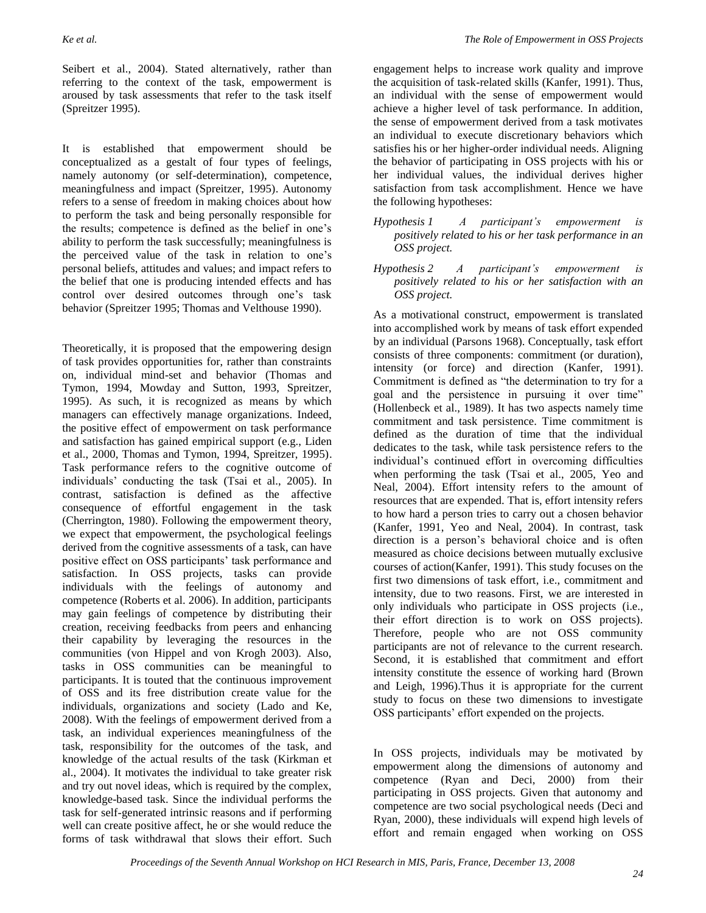Seibert et al., 2004). Stated alternatively, rather than referring to the context of the task, empowerment is aroused by task assessments that refer to the task itself (Spreitzer 1995).

It is established that empowerment should be conceptualized as a gestalt of four types of feelings, namely autonomy (or self-determination), competence, meaningfulness and impact (Spreitzer, 1995). Autonomy refers to a sense of freedom in making choices about how to perform the task and being personally responsible for the results; competence is defined as the belief in one's ability to perform the task successfully; meaningfulness is the perceived value of the task in relation to one's personal beliefs, attitudes and values; and impact refers to the belief that one is producing intended effects and has control over desired outcomes through one's task behavior (Spreitzer 1995; Thomas and Velthouse 1990).

Theoretically, it is proposed that the empowering design of task provides opportunities for, rather than constraints on, individual mind-set and behavior (Thomas and Tymon, 1994, Mowday and Sutton, 1993, Spreitzer, 1995). As such, it is recognized as means by which managers can effectively manage organizations. Indeed, the positive effect of empowerment on task performance and satisfaction has gained empirical support (e.g., Liden et al., 2000, Thomas and Tymon, 1994, Spreitzer, 1995). Task performance refers to the cognitive outcome of individuals' conducting the task (Tsai et al., 2005). In contrast, satisfaction is defined as the affective consequence of effortful engagement in the task (Cherrington, 1980). Following the empowerment theory, we expect that empowerment, the psychological feelings derived from the cognitive assessments of a task, can have positive effect on OSS participants' task performance and satisfaction. In OSS projects, tasks can provide individuals with the feelings of autonomy and competence (Roberts et al. 2006). In addition, participants may gain feelings of competence by distributing their creation, receiving feedbacks from peers and enhancing their capability by leveraging the resources in the communities (von Hippel and von Krogh 2003). Also, tasks in OSS communities can be meaningful to participants. It is touted that the continuous improvement of OSS and its free distribution create value for the individuals, organizations and society (Lado and Ke, 2008). With the feelings of empowerment derived from a task, an individual experiences meaningfulness of the task, responsibility for the outcomes of the task, and knowledge of the actual results of the task (Kirkman et al., 2004). It motivates the individual to take greater risk and try out novel ideas, which is required by the complex, knowledge-based task. Since the individual performs the task for self-generated intrinsic reasons and if performing well can create positive affect, he or she would reduce the forms of task withdrawal that slows their effort. Such

engagement helps to increase work quality and improve the acquisition of task-related skills (Kanfer, 1991). Thus, an individual with the sense of empowerment would achieve a higher level of task performance. In addition, the sense of empowerment derived from a task motivates an individual to execute discretionary behaviors which satisfies his or her higher-order individual needs. Aligning the behavior of participating in OSS projects with his or her individual values, the individual derives higher satisfaction from task accomplishment. Hence we have the following hypotheses:

- *Hypothesis 1 A participant's empowerment is positively related to his or her task performance in an OSS project.*
- *Hypothesis 2 A participant's empowerment is positively related to his or her satisfaction with an OSS project.*

As a motivational construct, empowerment is translated into accomplished work by means of task effort expended by an individual (Parsons 1968). Conceptually, task effort consists of three components: commitment (or duration), intensity (or force) and direction (Kanfer, 1991). Commitment is defined as "the determination to try for a goal and the persistence in pursuing it over time" (Hollenbeck et al., 1989). It has two aspects namely time commitment and task persistence. Time commitment is defined as the duration of time that the individual dedicates to the task, while task persistence refers to the individual's continued effort in overcoming difficulties when performing the task (Tsai et al., 2005, Yeo and Neal, 2004). Effort intensity refers to the amount of resources that are expended. That is, effort intensity refers to how hard a person tries to carry out a chosen behavior (Kanfer, 1991, Yeo and Neal, 2004). In contrast, task direction is a person's behavioral choice and is often measured as choice decisions between mutually exclusive courses of action(Kanfer, 1991). This study focuses on the first two dimensions of task effort, i.e., commitment and intensity, due to two reasons. First, we are interested in only individuals who participate in OSS projects (i.e., their effort direction is to work on OSS projects). Therefore, people who are not OSS community participants are not of relevance to the current research. Second, it is established that commitment and effort intensity constitute the essence of working hard (Brown and Leigh, 1996).Thus it is appropriate for the current study to focus on these two dimensions to investigate OSS participants' effort expended on the projects.

In OSS projects, individuals may be motivated by empowerment along the dimensions of autonomy and competence (Ryan and Deci, 2000) from their participating in OSS projects. Given that autonomy and competence are two social psychological needs (Deci and Ryan, 2000), these individuals will expend high levels of effort and remain engaged when working on OSS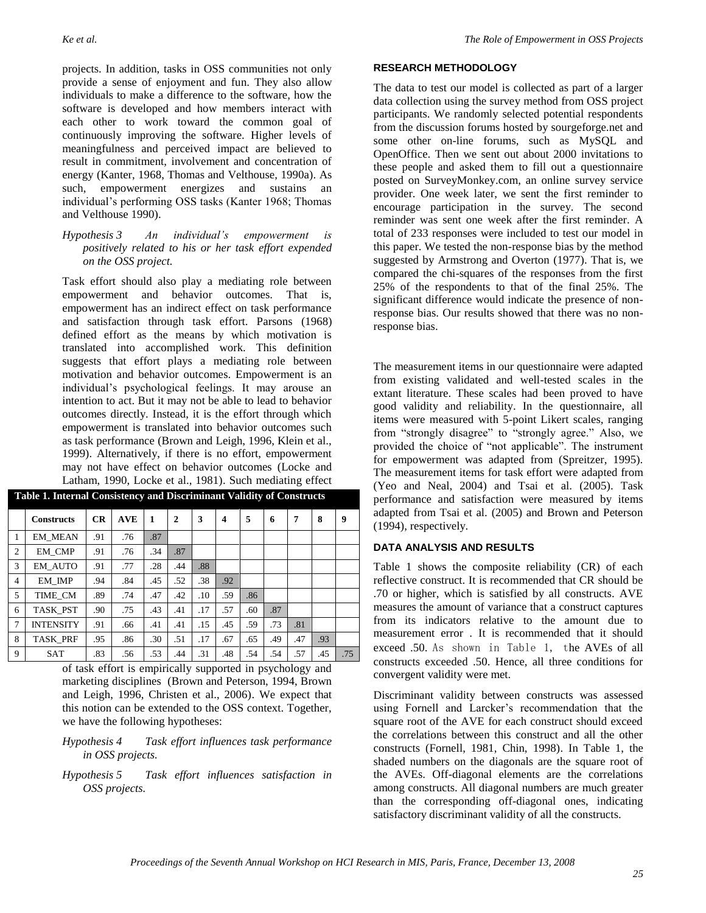projects. In addition, tasks in OSS communities not only provide a sense of enjoyment and fun. They also allow individuals to make a difference to the software, how the software is developed and how members interact with each other to work toward the common goal of continuously improving the software. Higher levels of meaningfulness and perceived impact are believed to result in commitment, involvement and concentration of energy (Kanter, 1968, Thomas and Velthouse, 1990a). As such, empowerment energizes and sustains an individual's performing OSS tasks (Kanter 1968; Thomas and Velthouse 1990).

#### *Hypothesis 3 An individual's empowerment is positively related to his or her task effort expended on the OSS project.*

Task effort should also play a mediating role between empowerment and behavior outcomes. That is, empowerment has an indirect effect on task performance and satisfaction through task effort. Parsons (1968) defined effort as the means by which motivation is translated into accomplished work. This definition suggests that effort plays a mediating role between motivation and behavior outcomes. Empowerment is an individual's psychological feelings. It may arouse an intention to act. But it may not be able to lead to behavior outcomes directly. Instead, it is the effort through which empowerment is translated into behavior outcomes such as task performance (Brown and Leigh, 1996, Klein et al., 1999). Alternatively, if there is no effort, empowerment may not have effect on behavior outcomes (Locke and Latham, 1990, Locke et al., 1981). Such mediating effect

| Table 1. Internal Consistency and Discriminant Validity of Constructs |                   |           |            |     |     |     |     |     |     |     |     |     |
|-----------------------------------------------------------------------|-------------------|-----------|------------|-----|-----|-----|-----|-----|-----|-----|-----|-----|
|                                                                       | <b>Constructs</b> | <b>CR</b> | <b>AVE</b> | 1   | 2   | 3   | 4   | 5   | 6   | 7   | 8   | 9   |
| 1                                                                     | <b>EM MEAN</b>    | .91       | .76        | .87 |     |     |     |     |     |     |     |     |
| $\mathfrak{2}$                                                        | EM CMP            | .91       | .76        | .34 | .87 |     |     |     |     |     |     |     |
| 3                                                                     | <b>EM AUTO</b>    | .91       | .77        | .28 | .44 | .88 |     |     |     |     |     |     |
| 4                                                                     | EM IMP            | .94       | .84        | .45 | .52 | .38 | .92 |     |     |     |     |     |
| 5                                                                     | TIME CM           | .89       | .74        | .47 | .42 | .10 | .59 | .86 |     |     |     |     |
| 6                                                                     | TASK PST          | .90       | .75        | .43 | .41 | .17 | .57 | .60 | .87 |     |     |     |
| 7                                                                     | <b>INTENSITY</b>  | .91       | .66        | .41 | .41 | .15 | .45 | .59 | .73 | .81 |     |     |
| 8                                                                     | <b>TASK PRF</b>   | .95       | .86        | .30 | .51 | .17 | .67 | .65 | .49 | .47 | .93 |     |
| 9                                                                     | <b>SAT</b>        | .83       | .56        | .53 | .44 | .31 | .48 | .54 | .54 | .57 | .45 | .75 |

of task effort is empirically supported in psychology and marketing disciplines (Brown and Peterson, 1994, Brown and Leigh, 1996, Christen et al., 2006). We expect that this notion can be extended to the OSS context. Together, we have the following hypotheses:

#### *Hypothesis 4 Task effort influences task performance in OSS projects.*

*Hypothesis 5 Task effort influences satisfaction in OSS projects.*

#### **RESEARCH METHODOLOGY**

The data to test our model is collected as part of a larger data collection using the survey method from OSS project participants. We randomly selected potential respondents from the discussion forums hosted by sourgeforge.net and some other on-line forums, such as MySQL and OpenOffice. Then we sent out about 2000 invitations to these people and asked them to fill out a questionnaire posted on SurveyMonkey.com, an online survey service provider. One week later, we sent the first reminder to encourage participation in the survey. The second reminder was sent one week after the first reminder. A total of 233 responses were included to test our model in this paper. We tested the non-response bias by the method suggested by Armstrong and Overton (1977). That is, we compared the chi-squares of the responses from the first 25% of the respondents to that of the final 25%. The significant difference would indicate the presence of nonresponse bias. Our results showed that there was no nonresponse bias.

The measurement items in our questionnaire were adapted from existing validated and well-tested scales in the extant literature. These scales had been proved to have good validity and reliability. In the questionnaire, all items were measured with 5-point Likert scales, ranging from "strongly disagree" to "strongly agree." Also, we provided the choice of "not applicable". The instrument for empowerment was adapted from (Spreitzer, 1995). The measurement items for task effort were adapted from (Yeo and Neal, 2004) and Tsai et al. (2005). Task performance and satisfaction were measured by items adapted from Tsai et al. (2005) and Brown and Peterson (1994), respectively.

### **DATA ANALYSIS AND RESULTS**

Table 1 shows the composite reliability (CR) of each reflective construct. It is recommended that CR should be .70 or higher, which is satisfied by all constructs. AVE measures the amount of variance that a construct captures from its indicators relative to the amount due to measurement error . It is recommended that it should exceed .50. As shown in Table 1, the AVEs of all constructs exceeded .50. Hence, all three conditions for convergent validity were met.

Discriminant validity between constructs was assessed using Fornell and Larcker's recommendation that the square root of the AVE for each construct should exceed the correlations between this construct and all the other constructs (Fornell, 1981, Chin, 1998). In Table 1, the shaded numbers on the diagonals are the square root of the AVEs. Off-diagonal elements are the correlations among constructs. All diagonal numbers are much greater than the corresponding off-diagonal ones, indicating satisfactory discriminant validity of all the constructs.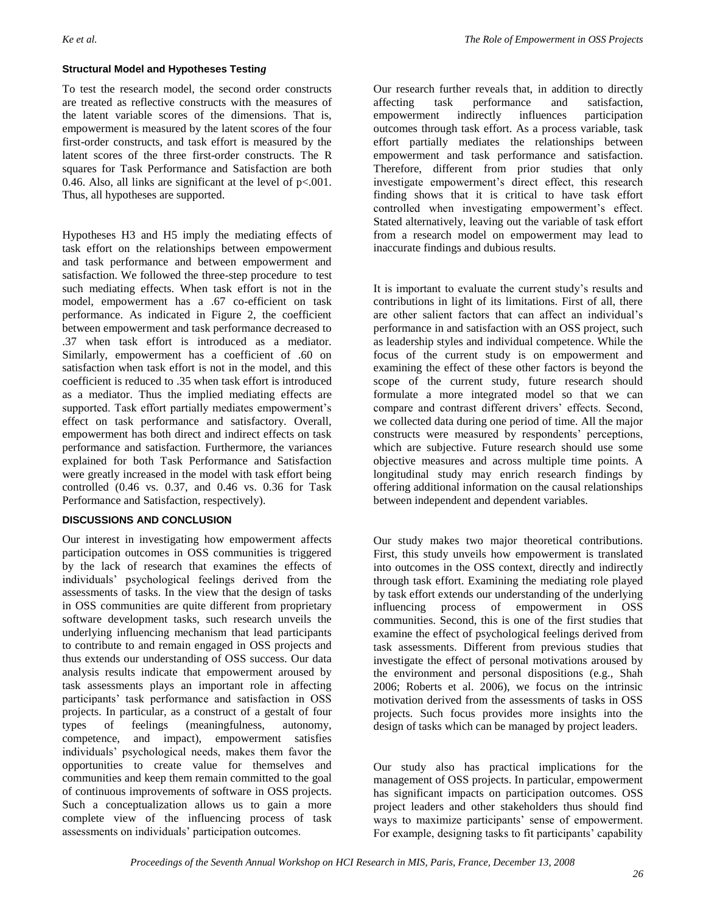#### **Structural Model and Hypotheses Testin***g*

To test the research model, the second order constructs are treated as reflective constructs with the measures of the latent variable scores of the dimensions. That is, empowerment is measured by the latent scores of the four first-order constructs, and task effort is measured by the latent scores of the three first-order constructs. The R squares for Task Performance and Satisfaction are both 0.46. Also, all links are significant at the level of  $p<0.001$ . Thus, all hypotheses are supported.

Hypotheses H3 and H5 imply the mediating effects of task effort on the relationships between empowerment and task performance and between empowerment and satisfaction. We followed the three-step procedure to test such mediating effects. When task effort is not in the model, empowerment has a .67 co-efficient on task performance. As indicated in Figure 2, the coefficient between empowerment and task performance decreased to .37 when task effort is introduced as a mediator. Similarly, empowerment has a coefficient of .60 on satisfaction when task effort is not in the model, and this coefficient is reduced to .35 when task effort is introduced as a mediator. Thus the implied mediating effects are supported. Task effort partially mediates empowerment's effect on task performance and satisfactory. Overall, empowerment has both direct and indirect effects on task performance and satisfaction. Furthermore, the variances explained for both Task Performance and Satisfaction were greatly increased in the model with task effort being controlled (0.46 vs. 0.37, and 0.46 vs. 0.36 for Task Performance and Satisfaction, respectively).

#### **DISCUSSIONS AND CONCLUSION**

Our interest in investigating how empowerment affects participation outcomes in OSS communities is triggered by the lack of research that examines the effects of individuals' psychological feelings derived from the assessments of tasks. In the view that the design of tasks in OSS communities are quite different from proprietary software development tasks, such research unveils the underlying influencing mechanism that lead participants to contribute to and remain engaged in OSS projects and thus extends our understanding of OSS success. Our data analysis results indicate that empowerment aroused by task assessments plays an important role in affecting participants' task performance and satisfaction in OSS projects. In particular, as a construct of a gestalt of four types of feelings (meaningfulness, autonomy, competence, and impact), empowerment satisfies individuals' psychological needs, makes them favor the opportunities to create value for themselves and communities and keep them remain committed to the goal of continuous improvements of software in OSS projects. Such a conceptualization allows us to gain a more complete view of the influencing process of task assessments on individuals' participation outcomes.

Our research further reveals that, in addition to directly affecting task performance and satisfaction, empowerment indirectly influences participation outcomes through task effort. As a process variable, task effort partially mediates the relationships between empowerment and task performance and satisfaction. Therefore, different from prior studies that only investigate empowerment's direct effect, this research finding shows that it is critical to have task effort controlled when investigating empowerment's effect. Stated alternatively, leaving out the variable of task effort from a research model on empowerment may lead to inaccurate findings and dubious results.

It is important to evaluate the current study's results and contributions in light of its limitations. First of all, there are other salient factors that can affect an individual's performance in and satisfaction with an OSS project, such as leadership styles and individual competence. While the focus of the current study is on empowerment and examining the effect of these other factors is beyond the scope of the current study, future research should formulate a more integrated model so that we can compare and contrast different drivers' effects. Second, we collected data during one period of time. All the major constructs were measured by respondents' perceptions, which are subjective. Future research should use some objective measures and across multiple time points. A longitudinal study may enrich research findings by offering additional information on the causal relationships between independent and dependent variables.

Our study makes two major theoretical contributions. First, this study unveils how empowerment is translated into outcomes in the OSS context, directly and indirectly through task effort. Examining the mediating role played by task effort extends our understanding of the underlying influencing process of empowerment in OSS communities. Second, this is one of the first studies that examine the effect of psychological feelings derived from task assessments. Different from previous studies that investigate the effect of personal motivations aroused by the environment and personal dispositions (e.g., Shah 2006; Roberts et al. 2006), we focus on the intrinsic motivation derived from the assessments of tasks in OSS projects. Such focus provides more insights into the design of tasks which can be managed by project leaders.

Our study also has practical implications for the management of OSS projects. In particular, empowerment has significant impacts on participation outcomes. OSS project leaders and other stakeholders thus should find ways to maximize participants' sense of empowerment. For example, designing tasks to fit participants' capability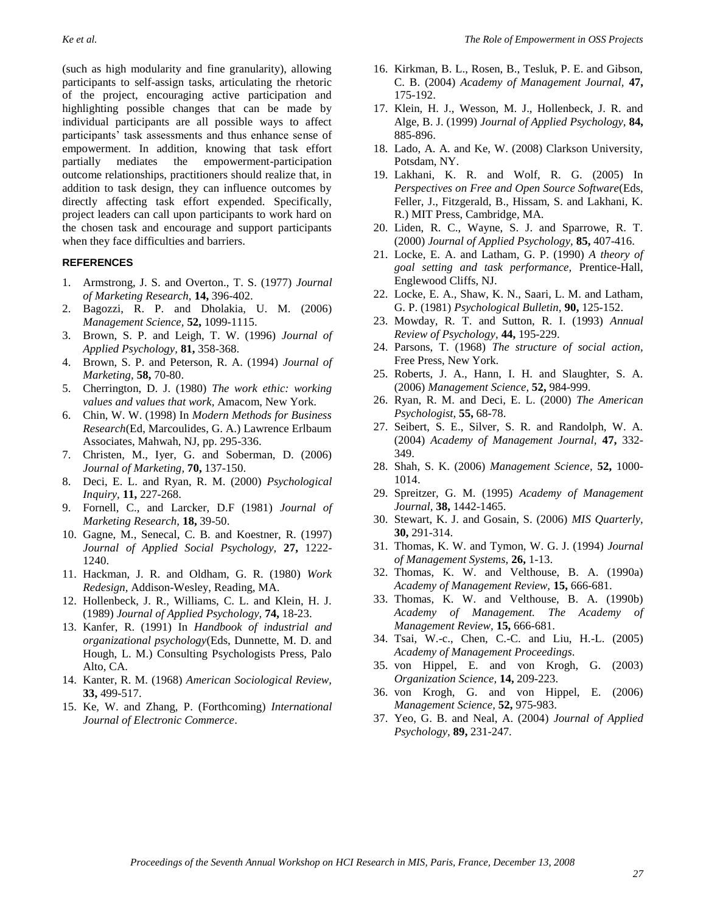(such as high modularity and fine granularity), allowing participants to self-assign tasks, articulating the rhetoric of the project, encouraging active participation and highlighting possible changes that can be made by individual participants are all possible ways to affect participants' task assessments and thus enhance sense of empowerment. In addition, knowing that task effort partially mediates the empowerment-participation outcome relationships, practitioners should realize that, in addition to task design, they can influence outcomes by directly affecting task effort expended. Specifically, project leaders can call upon participants to work hard on the chosen task and encourage and support participants when they face difficulties and barriers.

#### **REFERENCES**

- 1. Armstrong, J. S. and Overton., T. S. (1977) *Journal of Marketing Research,* **14,** 396-402.
- 2. Bagozzi, R. P. and Dholakia, U. M. (2006) *Management Science,* **52,** 1099-1115.
- 3. Brown, S. P. and Leigh, T. W. (1996) *Journal of Applied Psychology,* **81,** 358-368.
- 4. Brown, S. P. and Peterson, R. A. (1994) *Journal of Marketing,* **58,** 70-80.
- 5. Cherrington, D. J. (1980) *The work ethic: working values and values that work,* Amacom, New York.
- 6. Chin, W. W. (1998) In *Modern Methods for Business Research*(Ed, Marcoulides, G. A.) Lawrence Erlbaum Associates, Mahwah, NJ, pp. 295-336.
- 7. Christen, M., Iyer, G. and Soberman, D. (2006) *Journal of Marketing,* **70,** 137-150.
- 8. Deci, E. L. and Ryan, R. M. (2000) *Psychological Inquiry,* **11,** 227-268.
- 9. Fornell, C., and Larcker, D.F (1981) *Journal of Marketing Research,* **18,** 39-50.
- 10. Gagne, M., Senecal, C. B. and Koestner, R. (1997) *Journal of Applied Social Psychology,* **27,** 1222- 1240.
- 11. Hackman, J. R. and Oldham, G. R. (1980) *Work Redesign,* Addison-Wesley, Reading, MA.
- 12. Hollenbeck, J. R., Williams, C. L. and Klein, H. J. (1989) *Journal of Applied Psychology,* **74,** 18-23.
- 13. Kanfer, R. (1991) In *Handbook of industrial and organizational psychology*(Eds, Dunnette, M. D. and Hough, L. M.) Consulting Psychologists Press, Palo Alto, CA.
- 14. Kanter, R. M. (1968) *American Sociological Review,* **33,** 499-517.
- 15. Ke, W. and Zhang, P. (Forthcoming) *International Journal of Electronic Commerce*.
- 16. Kirkman, B. L., Rosen, B., Tesluk, P. E. and Gibson, C. B. (2004) *Academy of Management Journal,* **47,** 175-192.
- 17. Klein, H. J., Wesson, M. J., Hollenbeck, J. R. and Alge, B. J. (1999) *Journal of Applied Psychology,* **84,** 885-896.
- 18. Lado, A. A. and Ke, W. (2008) Clarkson University, Potsdam, NY.
- 19. Lakhani, K. R. and Wolf, R. G. (2005) In *Perspectives on Free and Open Source Software*(Eds, Feller, J., Fitzgerald, B., Hissam, S. and Lakhani, K. R.) MIT Press, Cambridge, MA.
- 20. Liden, R. C., Wayne, S. J. and Sparrowe, R. T. (2000) *Journal of Applied Psychology,* **85,** 407-416.
- 21. Locke, E. A. and Latham, G. P. (1990) *A theory of goal setting and task performance,* Prentice-Hall, Englewood Cliffs, NJ.
- 22. Locke, E. A., Shaw, K. N., Saari, L. M. and Latham, G. P. (1981) *Psychological Bulletin,* **90,** 125-152.
- 23. Mowday, R. T. and Sutton, R. I. (1993) *Annual Review of Psychology,* **44,** 195-229.
- 24. Parsons, T. (1968) *The structure of social action,*  Free Press, New York.
- 25. Roberts, J. A., Hann, I. H. and Slaughter, S. A. (2006) *Management Science,* **52,** 984-999.
- 26. Ryan, R. M. and Deci, E. L. (2000) *The American Psychologist,* **55,** 68-78.
- 27. Seibert, S. E., Silver, S. R. and Randolph, W. A. (2004) *Academy of Management Journal,* **47,** 332- 349.
- 28. Shah, S. K. (2006) *Management Science,* **52,** 1000- 1014.
- 29. Spreitzer, G. M. (1995) *Academy of Management Journal,* **38,** 1442-1465.
- 30. Stewart, K. J. and Gosain, S. (2006) *MIS Quarterly,* **30,** 291-314.
- 31. Thomas, K. W. and Tymon, W. G. J. (1994) *Journal of Management Systems,* **26,** 1-13.
- 32. Thomas, K. W. and Velthouse, B. A. (1990a) *Academy of Management Review,* **15,** 666-681.
- 33. Thomas, K. W. and Velthouse, B. A. (1990b) *Academy of Management. The Academy of Management Review,* **15,** 666-681.
- 34. Tsai, W.-c., Chen, C.-C. and Liu, H.-L. (2005) *Academy of Management Proceedings*.
- 35. von Hippel, E. and von Krogh, G. (2003) *Organization Science,* **14,** 209-223.
- 36. von Krogh, G. and von Hippel, E. (2006) *Management Science,* **52,** 975-983.
- 37. Yeo, G. B. and Neal, A. (2004) *Journal of Applied Psychology,* **89,** 231-247.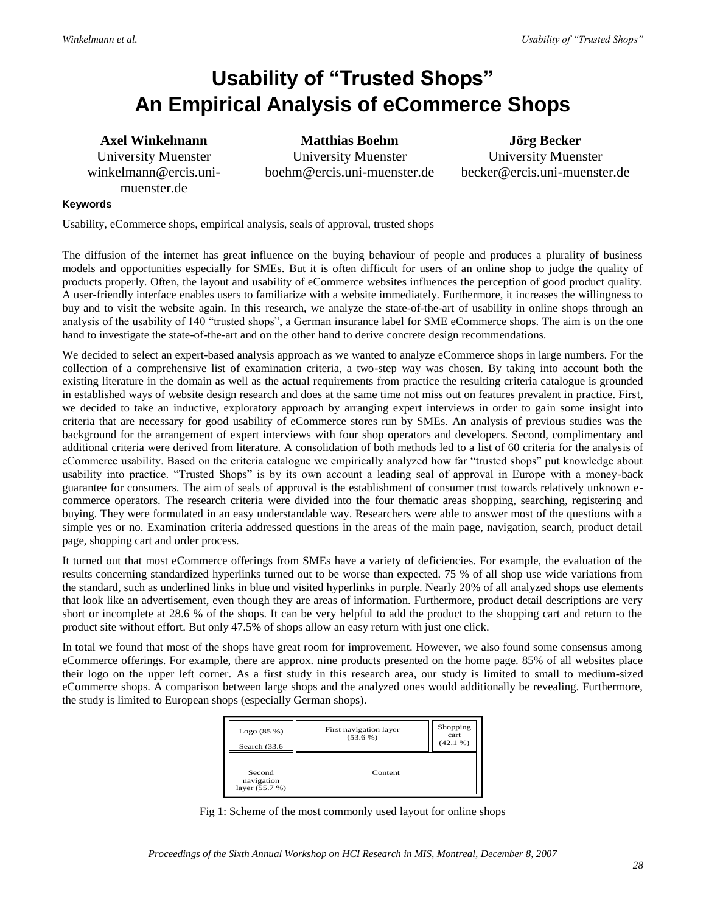# **Usability of "Trusted Shops" An Empirical Analysis of eCommerce Shops**

### **Axel Winkelmann**

University Muenster winkelmann@ercis.unimuenster.de

**Matthias Boehm** University Muenster boehm@ercis.uni-muenster.de

**Jörg Becker** University Muenster becker@ercis.uni-muenster.de

#### **Keywords**

Usability, eCommerce shops, empirical analysis, seals of approval, trusted shops

The diffusion of the internet has great influence on the buying behaviour of people and produces a plurality of business models and opportunities especially for SMEs. But it is often difficult for users of an online shop to judge the quality of products properly. Often, the layout and usability of eCommerce websites influences the perception of good product quality. A user-friendly interface enables users to familiarize with a website immediately. Furthermore, it increases the willingness to buy and to visit the website again. In this research, we analyze the state-of-the-art of usability in online shops through an analysis of the usability of 140 "trusted shops", a German insurance label for SME eCommerce shops. The aim is on the one hand to investigate the state-of-the-art and on the other hand to derive concrete design recommendations.

We decided to select an expert-based analysis approach as we wanted to analyze eCommerce shops in large numbers. For the collection of a comprehensive list of examination criteria, a two-step way was chosen. By taking into account both the existing literature in the domain as well as the actual requirements from practice the resulting criteria catalogue is grounded in established ways of website design research and does at the same time not miss out on features prevalent in practice. First, we decided to take an inductive, exploratory approach by arranging expert interviews in order to gain some insight into criteria that are necessary for good usability of eCommerce stores run by SMEs. An analysis of previous studies was the background for the arrangement of expert interviews with four shop operators and developers. Second, complimentary and additional criteria were derived from literature. A consolidation of both methods led to a list of 60 criteria for the analysis of eCommerce usability. Based on the criteria catalogue we empirically analyzed how far "trusted shops" put knowledge about usability into practice. "Trusted Shops" is by its own account a leading seal of approval in Europe with a money-back guarantee for consumers. The aim of seals of approval is the establishment of consumer trust towards relatively unknown ecommerce operators. The research criteria were divided into the four thematic areas shopping, searching, registering and buying. They were formulated in an easy understandable way. Researchers were able to answer most of the questions with a simple yes or no. Examination criteria addressed questions in the areas of the main page, navigation, search, product detail page, shopping cart and order process.

It turned out that most eCommerce offerings from SMEs have a variety of deficiencies. For example, the evaluation of the results concerning standardized hyperlinks turned out to be worse than expected. 75 % of all shop use wide variations from the standard, such as underlined links in blue und visited hyperlinks in purple. Nearly 20% of all analyzed shops use elements that look like an advertisement, even though they are areas of information. Furthermore, product detail descriptions are very short or incomplete at 28.6 % of the shops. It can be very helpful to add the product to the shopping cart and return to the product site without effort. But only 47.5% of shops allow an easy return with just one click.

In total we found that most of the shops have great room for improvement. However, we also found some consensus among eCommerce offerings. For example, there are approx. nine products presented on the home page. 85% of all websites place their logo on the upper left corner. As a first study in this research area, our study is limited to small to medium-sized eCommerce shops. A comparison between large shops and the analyzed ones would additionally be revealing. Furthermore, the study is limited to European shops (especially German shops).

| Logo(85%)<br>Search (33.6)             | First navigation layer<br>$(53.6\%)$ | Shopping<br>cart<br>(42.1% |
|----------------------------------------|--------------------------------------|----------------------------|
| Second<br>navigation<br>layer (55.7 %) | Content                              |                            |

Fig 1: Scheme of the most commonly used layout for online shops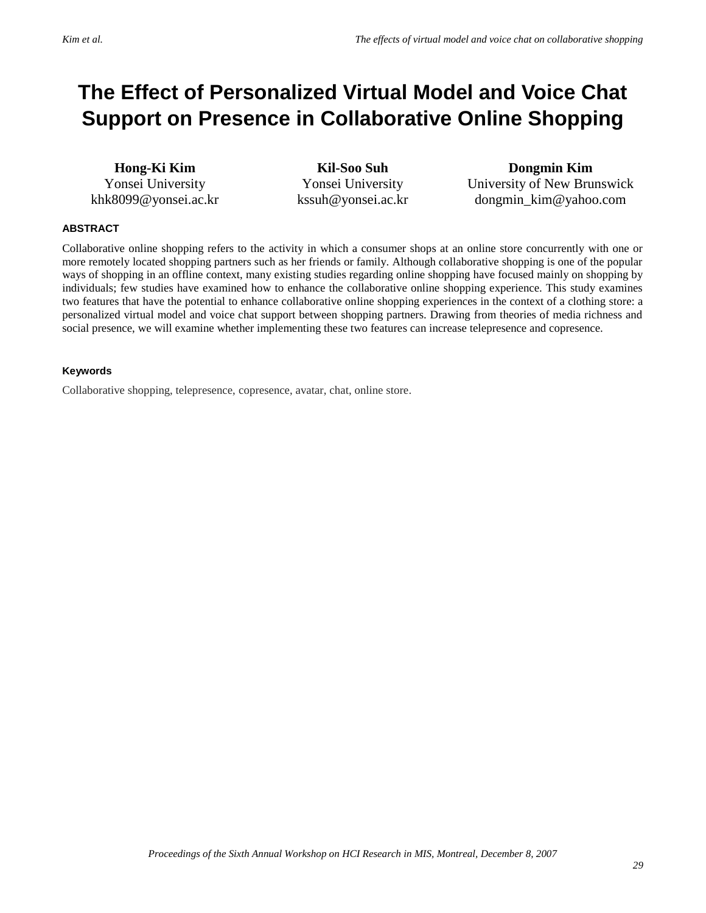# **The Effect of Personalized Virtual Model and Voice Chat Support on Presence in Collaborative Online Shopping**

**Hong-Ki Kim** Yonsei University khk8099@yonsei.ac.kr

**Kil-Soo Suh** Yonsei University kssuh@yonsei.ac.kr

**Dongmin Kim** University of New Brunswick dongmin\_kim@yahoo.com

#### **ABSTRACT**

Collaborative online shopping refers to the activity in which a consumer shops at an online store concurrently with one or more remotely located shopping partners such as her friends or family. Although collaborative shopping is one of the popular ways of shopping in an offline context, many existing studies regarding online shopping have focused mainly on shopping by individuals; few studies have examined how to enhance the collaborative online shopping experience. This study examines two features that have the potential to enhance collaborative online shopping experiences in the context of a clothing store: a personalized virtual model and voice chat support between shopping partners. Drawing from theories of media richness and social presence, we will examine whether implementing these two features can increase telepresence and copresence.

#### **Keywords**

Collaborative shopping, telepresence, copresence, avatar, chat, online store.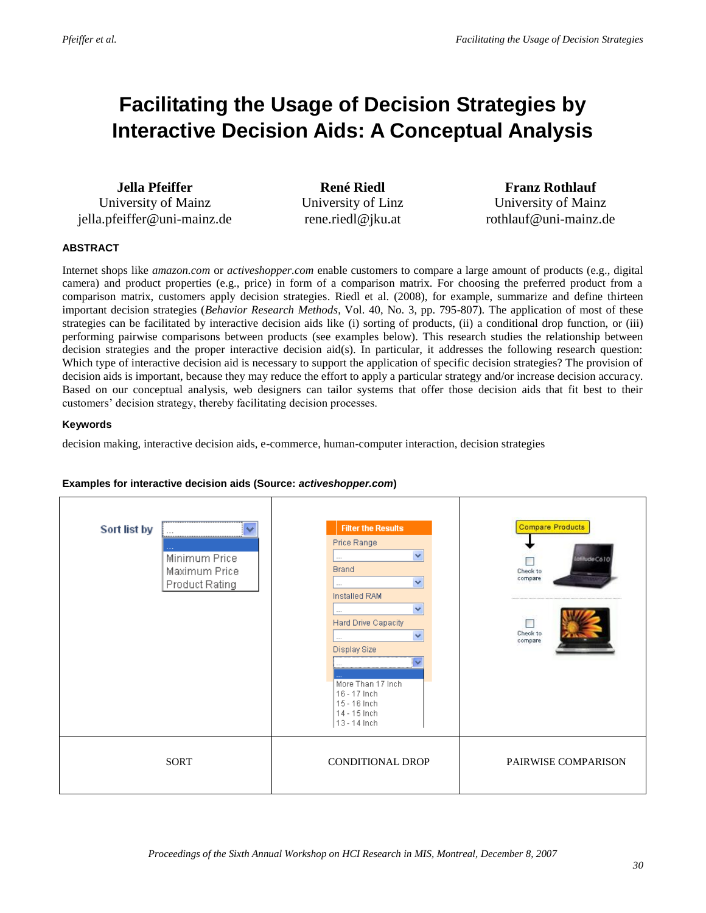# **Facilitating the Usage of Decision Strategies by Interactive Decision Aids: A Conceptual Analysis**

**Jella Pfeiffer** University of Mainz jella.pfeiffer@uni-mainz.de

**René Riedl** University of Linz rene.riedl@jku.at

**Franz Rothlauf** University of Mainz rothlauf@uni-mainz.de

#### **ABSTRACT**

Internet shops like *amazon.com* or *activeshopper.com* enable customers to compare a large amount of products (e.g., digital camera) and product properties (e.g., price) in form of a comparison matrix. For choosing the preferred product from a comparison matrix, customers apply decision strategies. Riedl et al. (2008), for example, summarize and define thirteen important decision strategies (*Behavior Research Methods*, Vol. 40, No. 3, pp. 795-807). The application of most of these strategies can be facilitated by interactive decision aids like (i) sorting of products, (ii) a conditional drop function, or (iii) performing pairwise comparisons between products (see examples below). This research studies the relationship between decision strategies and the proper interactive decision aid(s). In particular, it addresses the following research question: Which type of interactive decision aid is necessary to support the application of specific decision strategies? The provision of decision aids is important, because they may reduce the effort to apply a particular strategy and/or increase decision accuracy. Based on our conceptual analysis, web designers can tailor systems that offer those decision aids that fit best to their customers' decision strategy, thereby facilitating decision processes.

#### **Keywords**

decision making, interactive decision aids, e-commerce, human-computer interaction, decision strategies



#### **Examples for interactive decision aids (Source:** *activeshopper.com***)**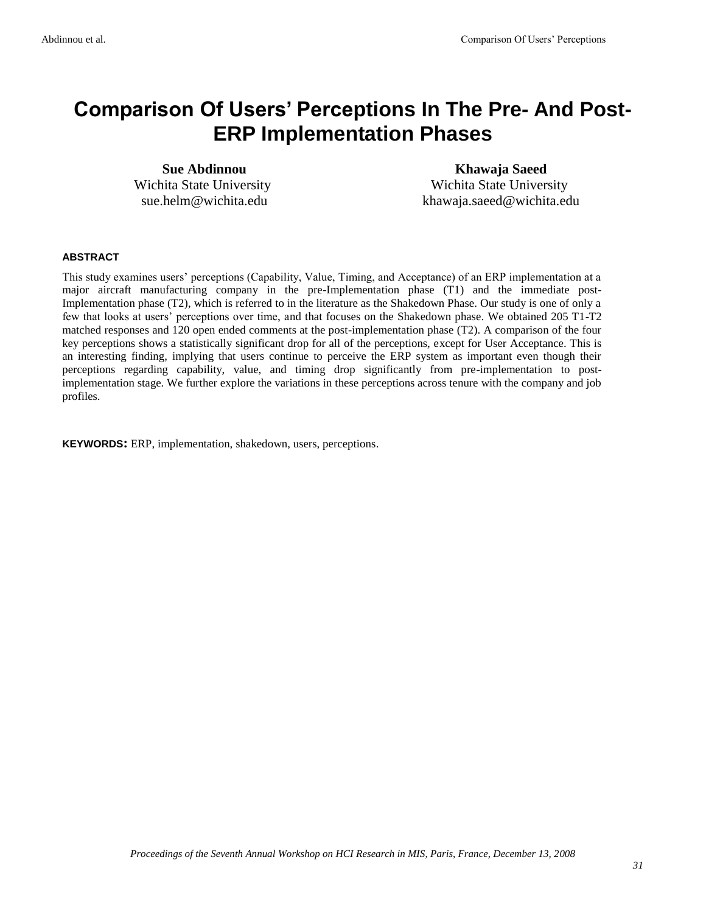## **Comparison Of Users' Perceptions In The Pre- And Post-ERP Implementation Phases**

**Sue Abdinnou** Wichita State University sue.helm@wichita.edu

**Khawaja Saeed** Wichita State University khawaja.saeed@wichita.edu

#### **ABSTRACT**

This study examines users' perceptions (Capability, Value, Timing, and Acceptance) of an ERP implementation at a major aircraft manufacturing company in the pre-Implementation phase (T1) and the immediate post-Implementation phase (T2), which is referred to in the literature as the Shakedown Phase. Our study is one of only a few that looks at users' perceptions over time, and that focuses on the Shakedown phase. We obtained 205 T1-T2 matched responses and 120 open ended comments at the post-implementation phase (T2). A comparison of the four key perceptions shows a statistically significant drop for all of the perceptions, except for User Acceptance. This is an interesting finding, implying that users continue to perceive the ERP system as important even though their perceptions regarding capability, value, and timing drop significantly from pre-implementation to postimplementation stage. We further explore the variations in these perceptions across tenure with the company and job profiles.

**KEYWORDS:** ERP, implementation, shakedown, users, perceptions.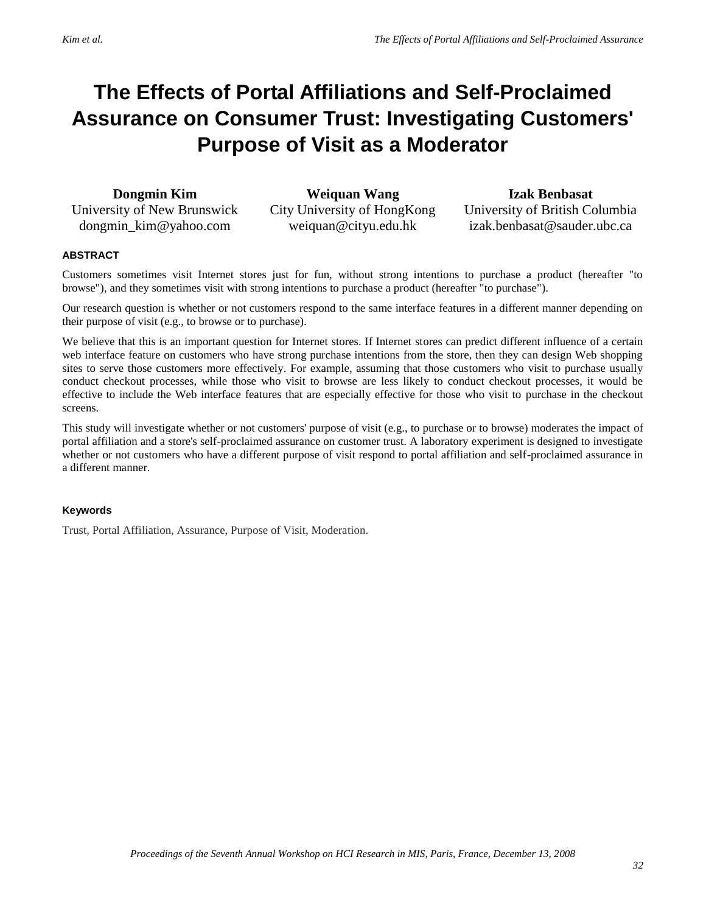# **The Effects of Portal Affiliations and Self-Proclaimed Assurance on Consumer Trust: Investigating Customers' Purpose of Visit as a Moderator**

**Dongmin Kim** University of New Brunswick dongmin\_kim@yahoo.com

**Weiquan Wang** City University of HongKong weiquan@cityu.edu.hk

**Izak Benbasat** University of British Columbia izak.benbasat@sauder.ubc.ca

#### **ABSTRACT**

Customers sometimes visit Internet stores just for fun, without strong intentions to purchase a product (hereafter "to browse"), and they sometimes visit with strong intentions to purchase a product (hereafter "to purchase").

Our research question is whether or not customers respond to the same interface features in a different manner depending on their purpose of visit (e.g., to browse or to purchase).

We believe that this is an important question for Internet stores. If Internet stores can predict different influence of a certain web interface feature on customers who have strong purchase intentions from the store, then they can design Web shopping sites to serve those customers more effectively. For example, assuming that those customers who visit to purchase usually conduct checkout processes, while those who visit to browse are less likely to conduct checkout processes, it would be effective to include the Web interface features that are especially effective for those who visit to purchase in the checkout screens.

This study will investigate whether or not customers' purpose of visit (e.g., to purchase or to browse) moderates the impact of portal affiliation and a store's self-proclaimed assurance on customer trust. A laboratory experiment is designed to investigate whether or not customers who have a different purpose of visit respond to portal affiliation and self-proclaimed assurance in a different manner.

#### **Keywords**

Trust, Portal Affiliation, Assurance, Purpose of Visit, Moderation.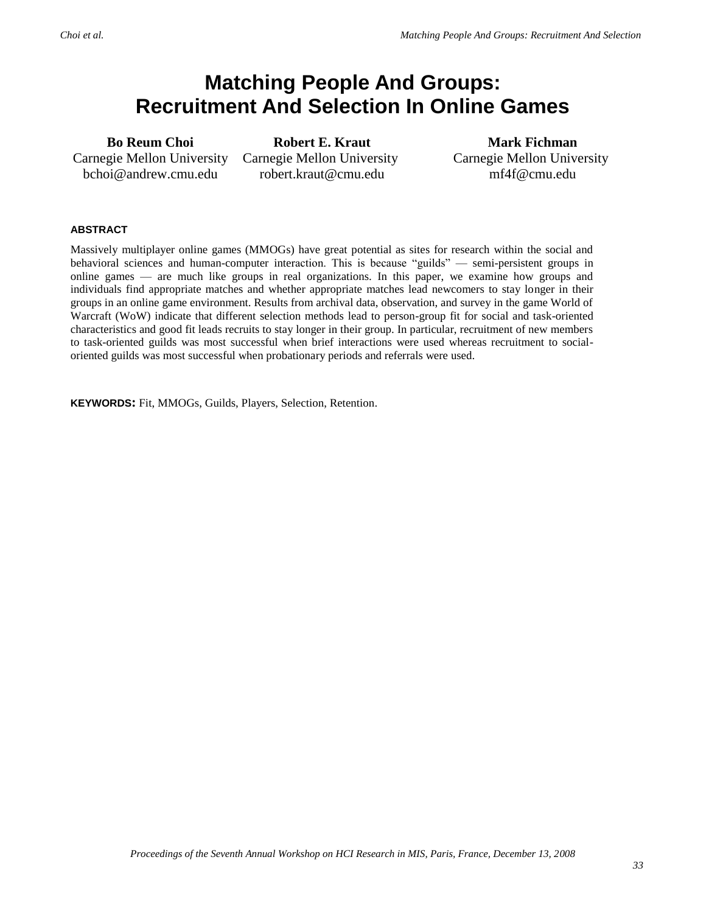## **Matching People And Groups: Recruitment And Selection In Online Games**

**Bo Reum Choi** Carnegie Mellon University bchoi@andrew.cmu.edu

**Robert E. Kraut** Carnegie Mellon University robert.kraut@cmu.edu

**Mark Fichman** Carnegie Mellon University mf4f@cmu.edu

#### **ABSTRACT**

Massively multiplayer online games (MMOGs) have great potential as sites for research within the social and behavioral sciences and human-computer interaction. This is because "guilds" — semi-persistent groups in online games — are much like groups in real organizations. In this paper, we examine how groups and individuals find appropriate matches and whether appropriate matches lead newcomers to stay longer in their groups in an online game environment. Results from archival data, observation, and survey in the game World of Warcraft (WoW) indicate that different selection methods lead to person-group fit for social and task-oriented characteristics and good fit leads recruits to stay longer in their group. In particular, recruitment of new members to task-oriented guilds was most successful when brief interactions were used whereas recruitment to socialoriented guilds was most successful when probationary periods and referrals were used.

**KEYWORDS:** Fit, MMOGs, Guilds, Players, Selection, Retention.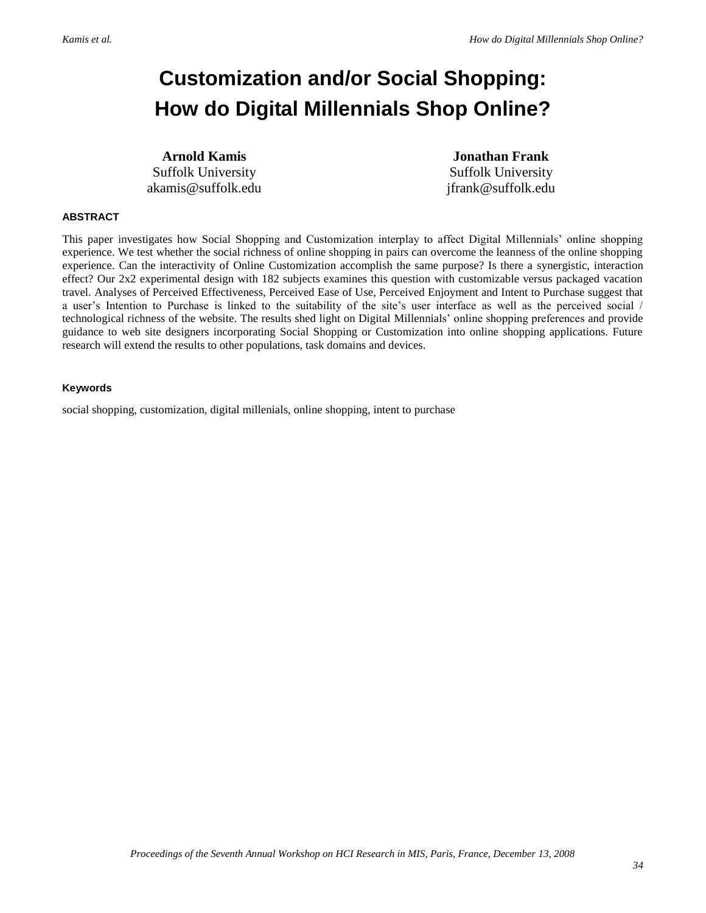# **Customization and/or Social Shopping: How do Digital Millennials Shop Online?**

**Arnold Kamis** Suffolk University akamis@suffolk.edu

**Jonathan Frank** Suffolk University jfrank@suffolk.edu

#### **ABSTRACT**

This paper investigates how Social Shopping and Customization interplay to affect Digital Millennials' online shopping experience. We test whether the social richness of online shopping in pairs can overcome the leanness of the online shopping experience. Can the interactivity of Online Customization accomplish the same purpose? Is there a synergistic, interaction effect? Our 2x2 experimental design with 182 subjects examines this question with customizable versus packaged vacation travel. Analyses of Perceived Effectiveness, Perceived Ease of Use, Perceived Enjoyment and Intent to Purchase suggest that a user's Intention to Purchase is linked to the suitability of the site's user interface as well as the perceived social / technological richness of the website. The results shed light on Digital Millennials' online shopping preferences and provide guidance to web site designers incorporating Social Shopping or Customization into online shopping applications. Future research will extend the results to other populations, task domains and devices.

#### **Keywords**

social shopping, customization, digital millenials, online shopping, intent to purchase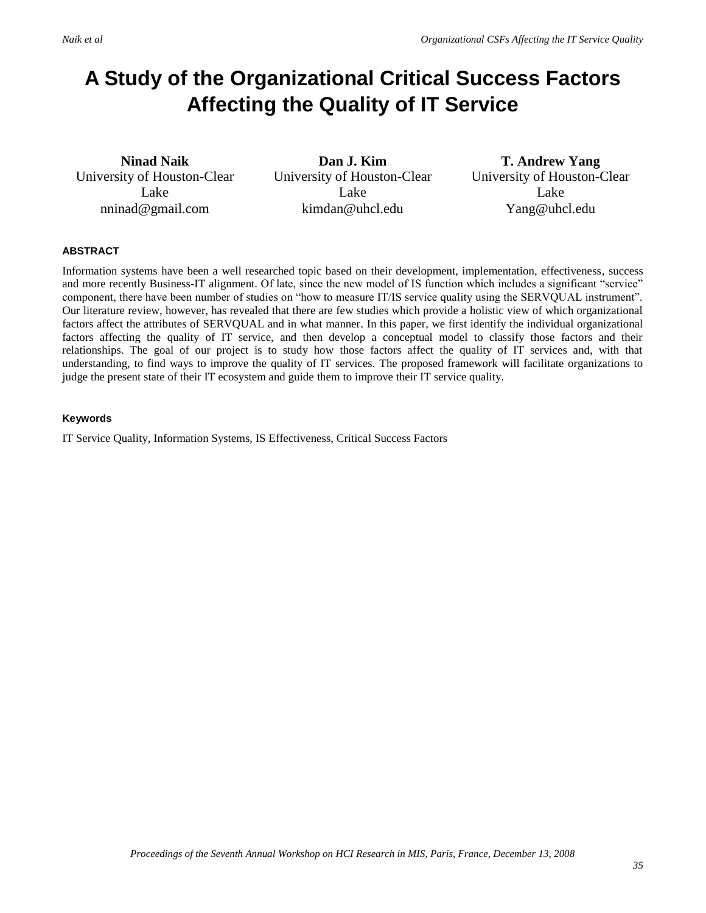# **A Study of the Organizational Critical Success Factors Affecting the Quality of IT Service**

**Ninad Naik** University of Houston-Clear Lake nninad@gmail.com

**Dan J. Kim** University of Houston-Clear Lake kimdan@uhcl.edu

**T. Andrew Yang** University of Houston-Clear Lake Yang@uhcl.edu

#### **ABSTRACT**

Information systems have been a well researched topic based on their development, implementation, effectiveness, success and more recently Business-IT alignment. Of late, since the new model of IS function which includes a significant "service" component, there have been number of studies on "how to measure IT/IS service quality using the SERVQUAL instrument". Our literature review, however, has revealed that there are few studies which provide a holistic view of which organizational factors affect the attributes of SERVQUAL and in what manner. In this paper, we first identify the individual organizational factors affecting the quality of IT service, and then develop a conceptual model to classify those factors and their relationships. The goal of our project is to study how those factors affect the quality of IT services and, with that understanding, to find ways to improve the quality of IT services. The proposed framework will facilitate organizations to judge the present state of their IT ecosystem and guide them to improve their IT service quality.

#### **Keywords**

IT Service Quality, Information Systems, IS Effectiveness, Critical Success Factors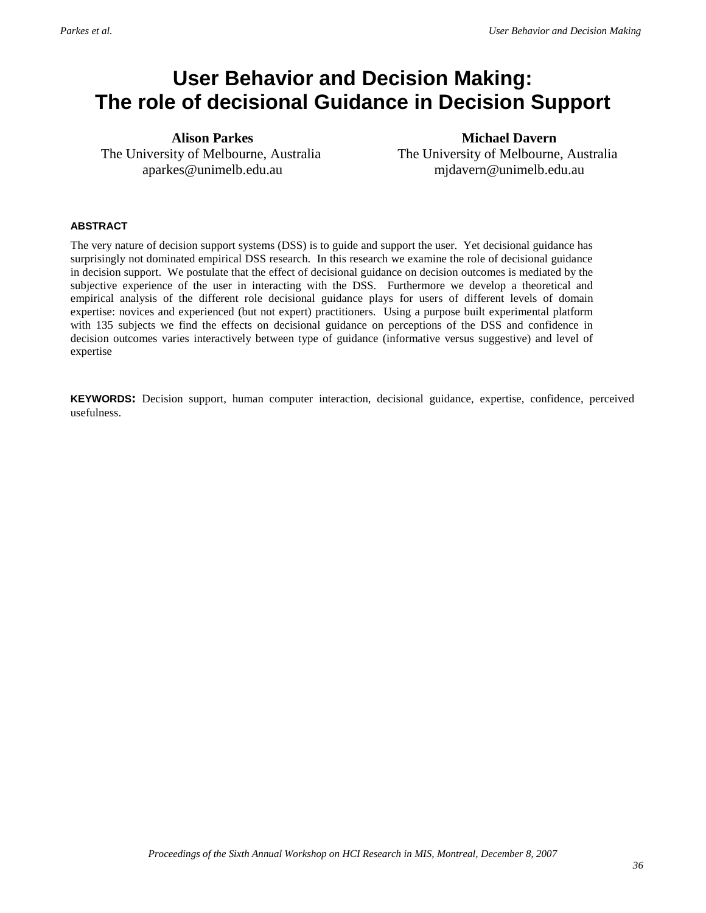## **User Behavior and Decision Making: The role of decisional Guidance in Decision Support**

**Alison Parkes** The University of Melbourne, Australia aparkes@unimelb.edu.au

**Michael Davern** The University of Melbourne, Australia mjdavern@unimelb.edu.au

#### **ABSTRACT**

The very nature of decision support systems (DSS) is to guide and support the user. Yet decisional guidance has surprisingly not dominated empirical DSS research. In this research we examine the role of decisional guidance in decision support. We postulate that the effect of decisional guidance on decision outcomes is mediated by the subjective experience of the user in interacting with the DSS. Furthermore we develop a theoretical and empirical analysis of the different role decisional guidance plays for users of different levels of domain expertise: novices and experienced (but not expert) practitioners. Using a purpose built experimental platform with 135 subjects we find the effects on decisional guidance on perceptions of the DSS and confidence in decision outcomes varies interactively between type of guidance (informative versus suggestive) and level of expertise

**KEYWORDS:** Decision support, human computer interaction, decisional guidance, expertise, confidence, perceived usefulness.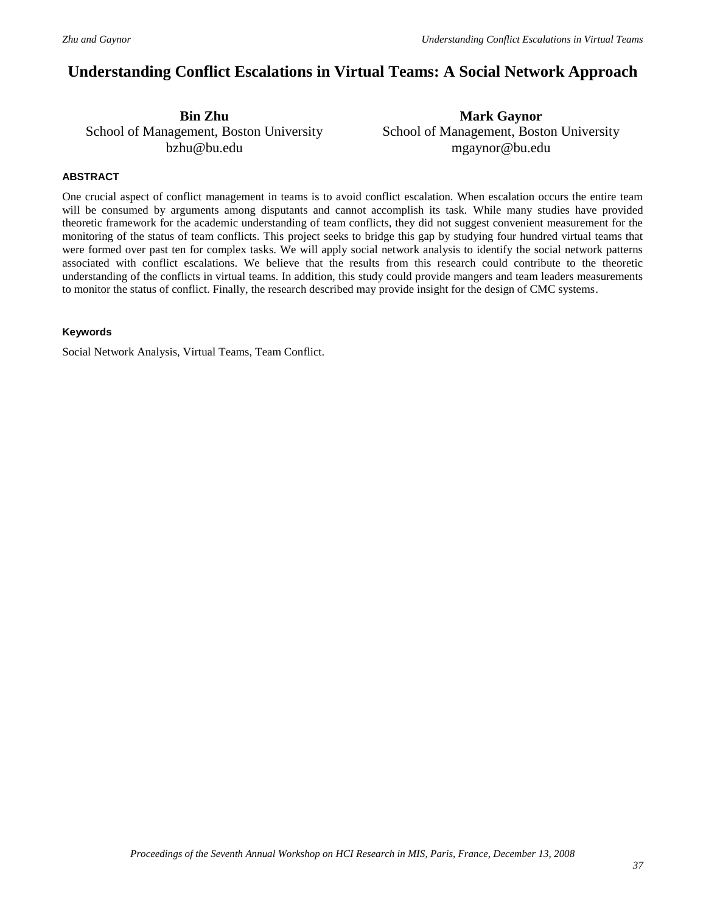## **Understanding Conflict Escalations in Virtual Teams: A Social Network Approach**

**Bin Zhu** School of Management, Boston University bzhu@bu.edu

**Mark Gaynor** School of Management, Boston University mgaynor@bu.edu

#### **ABSTRACT**

One crucial aspect of conflict management in teams is to avoid conflict escalation. When escalation occurs the entire team will be consumed by arguments among disputants and cannot accomplish its task. While many studies have provided theoretic framework for the academic understanding of team conflicts, they did not suggest convenient measurement for the monitoring of the status of team conflicts. This project seeks to bridge this gap by studying four hundred virtual teams that were formed over past ten for complex tasks. We will apply social network analysis to identify the social network patterns associated with conflict escalations. We believe that the results from this research could contribute to the theoretic understanding of the conflicts in virtual teams. In addition, this study could provide mangers and team leaders measurements to monitor the status of conflict. Finally, the research described may provide insight for the design of CMC systems.

#### **Keywords**

Social Network Analysis, Virtual Teams, Team Conflict.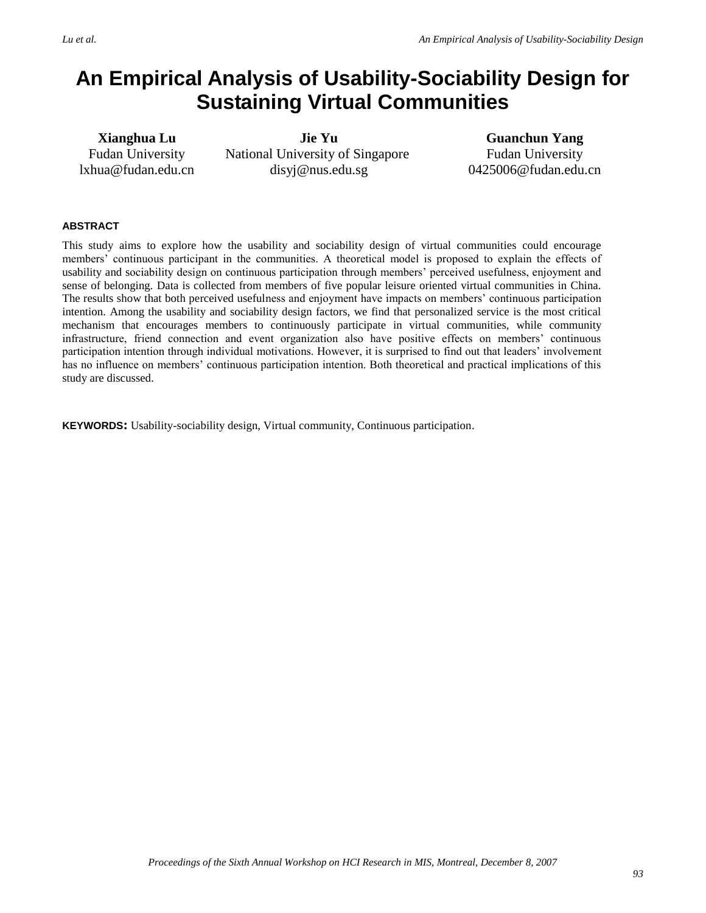## **An Empirical Analysis of Usability-Sociability Design for Sustaining Virtual Communities**

**Xianghua Lu** Fudan University lxhua@fudan.edu.cn

**Jie Yu** National University of Singapore disyj@nus.edu.sg

**Guanchun Yang** Fudan University 0425006@fudan.edu.cn

#### **ABSTRACT**

This study aims to explore how the usability and sociability design of virtual communities could encourage members' continuous participant in the communities. A theoretical model is proposed to explain the effects of usability and sociability design on continuous participation through members' perceived usefulness, enjoyment and sense of belonging. Data is collected from members of five popular leisure oriented virtual communities in China. The results show that both perceived usefulness and enjoyment have impacts on members' continuous participation intention. Among the usability and sociability design factors, we find that personalized service is the most critical mechanism that encourages members to continuously participate in virtual communities, while community infrastructure, friend connection and event organization also have positive effects on members' continuous participation intention through individual motivations. However, it is surprised to find out that leaders' involvement has no influence on members' continuous participation intention. Both theoretical and practical implications of this study are discussed.

**KEYWORDS:** Usability-sociability design, Virtual community, Continuous participation.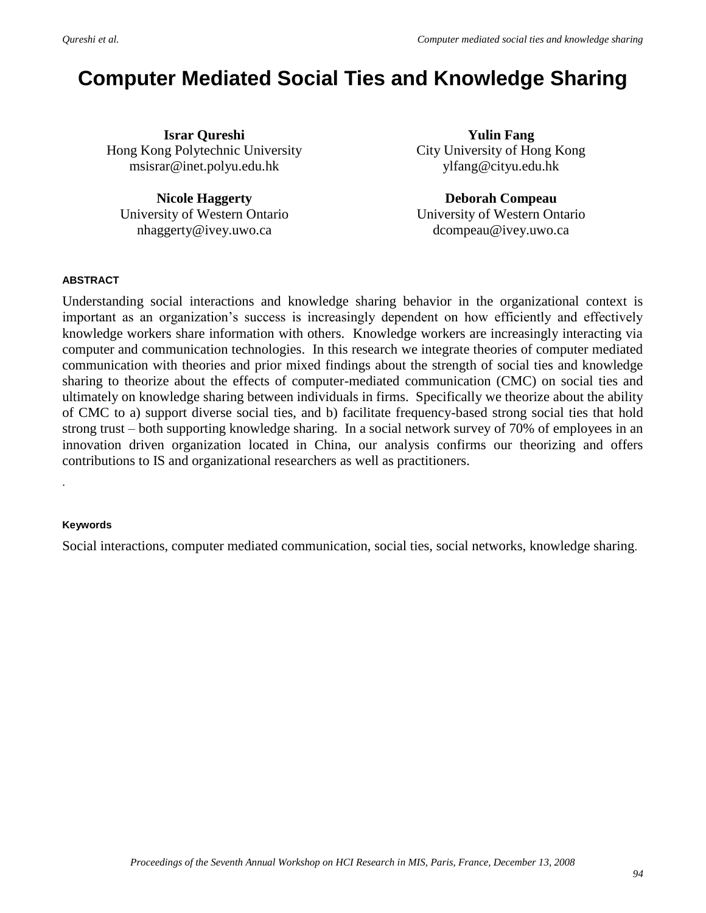# **Computer Mediated Social Ties and Knowledge Sharing**

**Israr Qureshi** Hong Kong Polytechnic University msisrar@inet.polyu.edu.hk

**Nicole Haggerty** University of Western Ontario nhaggerty@ivey.uwo.ca

**Yulin Fang** City University of Hong Kong ylfang@cityu.edu.hk

**Deborah Compeau** University of Western Ontario dcompeau@ivey.uwo.ca

### **ABSTRACT**

Understanding social interactions and knowledge sharing behavior in the organizational context is important as an organization's success is increasingly dependent on how efficiently and effectively knowledge workers share information with others. Knowledge workers are increasingly interacting via computer and communication technologies. In this research we integrate theories of computer mediated communication with theories and prior mixed findings about the strength of social ties and knowledge sharing to theorize about the effects of computer-mediated communication (CMC) on social ties and ultimately on knowledge sharing between individuals in firms. Specifically we theorize about the ability of CMC to a) support diverse social ties, and b) facilitate frequency-based strong social ties that hold strong trust – both supporting knowledge sharing. In a social network survey of 70% of employees in an innovation driven organization located in China, our analysis confirms our theorizing and offers contributions to IS and organizational researchers as well as practitioners.

### **Keywords**

.

Social interactions, computer mediated communication, social ties, social networks, knowledge sharing.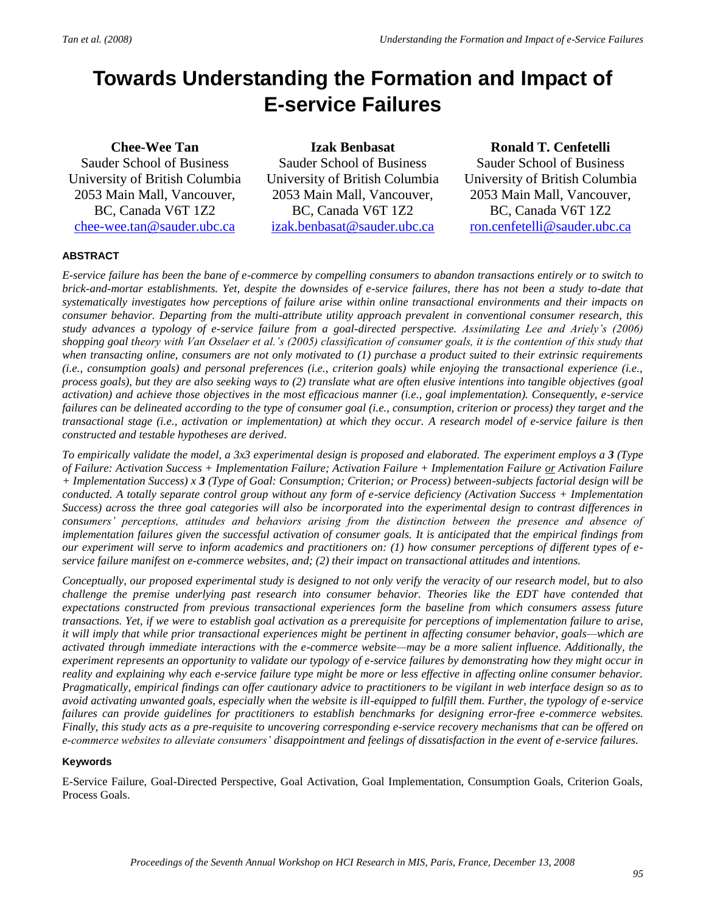## **Towards Understanding the Formation and Impact of E-service Failures**

## **Chee-Wee Tan**

Sauder School of Business University of British Columbia 2053 Main Mall, Vancouver, BC, Canada V6T 1Z2 [chee-wee.tan@sauder.ubc.ca](mailto:chee-wee.tan@sauder.ubc.ca)

**Izak Benbasat** Sauder School of Business University of British Columbia 2053 Main Mall, Vancouver, BC, Canada V6T 1Z2 [izak.benbasat@sauder.ubc.ca](mailto:izak.benbasat@sauder.ubc.ca)

**Ronald T. Cenfetelli**

Sauder School of Business University of British Columbia 2053 Main Mall, Vancouver, BC, Canada V6T 1Z2 [ron.cenfetelli@sauder.ubc.ca](mailto:ron.cenfetelli@sauder.ubc.ca)

#### **ABSTRACT**

*E-service failure has been the bane of e-commerce by compelling consumers to abandon transactions entirely or to switch to brick-and-mortar establishments. Yet, despite the downsides of e-service failures, there has not been a study to-date that systematically investigates how perceptions of failure arise within online transactional environments and their impacts on consumer behavior. Departing from the multi-attribute utility approach prevalent in conventional consumer research, this study advances a typology of e-service failure from a goal-directed perspective. Assimilating Lee and Ariely's (2006) shopping goal theory with Van Osselaer et al.'s (2005) classification of consumer goals, it is the contention of this study that when transacting online, consumers are not only motivated to (1) purchase a product suited to their extrinsic requirements (i.e., consumption goals) and personal preferences (i.e., criterion goals) while enjoying the transactional experience (i.e., process goals), but they are also seeking ways to (2) translate what are often elusive intentions into tangible objectives (goal activation) and achieve those objectives in the most efficacious manner (i.e., goal implementation). Consequently, e-service failures can be delineated according to the type of consumer goal (i.e., consumption, criterion or process) they target and the transactional stage (i.e., activation or implementation) at which they occur. A research model of e-service failure is then constructed and testable hypotheses are derived.*

*To empirically validate the model, a 3x3 experimental design is proposed and elaborated. The experiment employs a 3 (Type of Failure: Activation Success + Implementation Failure; Activation Failure + Implementation Failure or Activation Failure + Implementation Success) x 3 (Type of Goal: Consumption; Criterion; or Process) between-subjects factorial design will be conducted. A totally separate control group without any form of e-service deficiency (Activation Success + Implementation Success) across the three goal categories will also be incorporated into the experimental design to contrast differences in consumers' perceptions, attitudes and behaviors arising from the distinction between the presence and absence of implementation failures given the successful activation of consumer goals. It is anticipated that the empirical findings from our experiment will serve to inform academics and practitioners on: (1) how consumer perceptions of different types of eservice failure manifest on e-commerce websites, and; (2) their impact on transactional attitudes and intentions.*

*Conceptually, our proposed experimental study is designed to not only verify the veracity of our research model, but to also challenge the premise underlying past research into consumer behavior. Theories like the EDT have contended that expectations constructed from previous transactional experiences form the baseline from which consumers assess future transactions. Yet, if we were to establish goal activation as a prerequisite for perceptions of implementation failure to arise, it will imply that while prior transactional experiences might be pertinent in affecting consumer behavior, goals—which are activated through immediate interactions with the e-commerce website—may be a more salient influence. Additionally, the experiment represents an opportunity to validate our typology of e-service failures by demonstrating how they might occur in reality and explaining why each e-service failure type might be more or less effective in affecting online consumer behavior. Pragmatically, empirical findings can offer cautionary advice to practitioners to be vigilant in web interface design so as to avoid activating unwanted goals, especially when the website is ill-equipped to fulfill them. Further, the typology of e-service failures can provide guidelines for practitioners to establish benchmarks for designing error-free e-commerce websites. Finally, this study acts as a pre-requisite to uncovering corresponding e-service recovery mechanisms that can be offered on e-commerce websites to alleviate consumers' disappointment and feelings of dissatisfaction in the event of e-service failures.*

#### **Keywords**

E-Service Failure, Goal-Directed Perspective, Goal Activation, Goal Implementation, Consumption Goals, Criterion Goals, Process Goals.